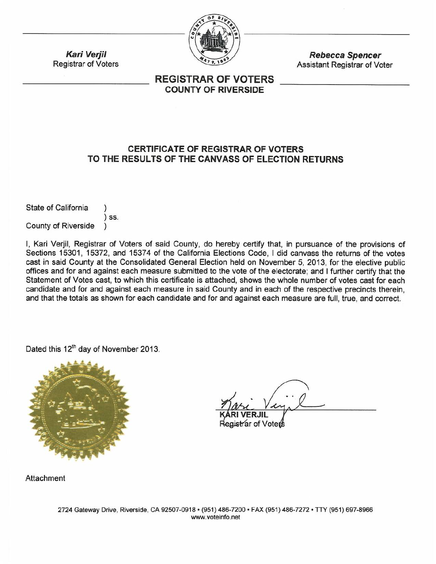

**Rebecca Spencer** Assistant Registrar of Voter

# **REGISTRAR OF VOTERS COUNTY OF RIVERSIDE**

# **CERTIFICATE OF REGISTRAR OF VOTERS** TO THE RESULTS OF THE CANVASS OF ELECTION RETURNS

State of California  $)$  SS. **County of Riverside** 

**Kari Verjil** 

**Registrar of Voters** 

I, Kari Verjil, Registrar of Voters of said County, do hereby certify that, in pursuance of the provisions of Sections 15301, 15372, and 15374 of the California Elections Code, I did canvass the returns of the votes cast in said County at the Consolidated General Election held on November 5, 2013, for the elective public offices and for and against each measure submitted to the vote of the electorate; and I further certify that the Statement of Votes cast, to which this certificate is attached, shows the whole number of votes cast for each candidate and for and against each measure in said County and in each of the respective precincts therein, and that the totals as shown for each candidate and for and against each measure are full, true, and correct.

Dated this 12<sup>th</sup> day of November 2013.



≹egistrar of Voter

Attachment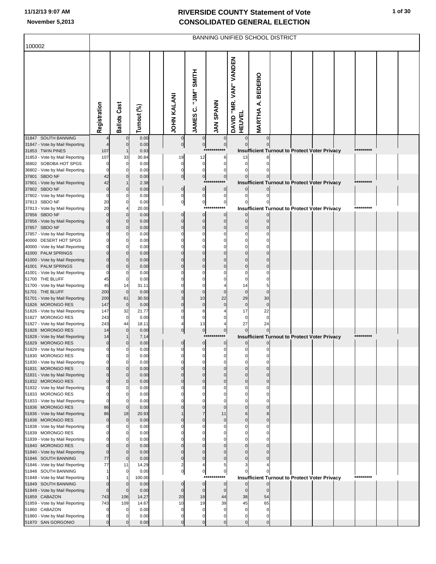| 100002                                                  |                   |                            |                |                            |                               |                          |                                         |                          | <b>BANNING UNIFIED SCHOOL DISTRICT</b>               |  |           |  |
|---------------------------------------------------------|-------------------|----------------------------|----------------|----------------------------|-------------------------------|--------------------------|-----------------------------------------|--------------------------|------------------------------------------------------|--|-----------|--|
|                                                         |                   |                            |                |                            |                               |                          |                                         |                          |                                                      |  |           |  |
|                                                         | Registration      | <b>Ballots Cast</b>        | Turnout (%)    | <b>JOHN KALANI</b>         | JAMES C. "JIM" SMITH          | <b>JAN SPANN</b>         | DAVID "MR. VAN" VANDEN<br><b>HEUVEL</b> | <b>MARTHA A. BEDERIO</b> |                                                      |  |           |  |
| 31847 SOUTH BANNING                                     |                   |                            | 0.00           | 0                          | $\mathbf 0$                   |                          |                                         |                          |                                                      |  |           |  |
| 31847 - Vote by Mail Reporting<br>31853 TWIN PINES      | 107               | $\mathbf 0$                | 0.00<br>0.93   | $\mathbf 0$                | $\overline{0}$<br>$***$       | $\bf{0}$<br>***          |                                         |                          | <b>Insufficient Turnout to Protect Voter Privacy</b> |  | ********* |  |
| 31853 - Vote by Mail Reporting                          | 107               | 33                         | 30.84          | 19                         | 12                            | 6                        | 13                                      |                          |                                                      |  |           |  |
| 36802 SOBOBA HOT SPGS                                   |                   | $\pmb{0}$                  | 0.00           | 0                          | $\bf{0}$                      | 0                        | $\Omega$                                |                          |                                                      |  |           |  |
| 36802 - Vote by Mail Reporting<br>37801 SBDO NF         | 42                | $\mathbf 0$<br>C           | 0.00<br>0.00   | $\mathbf 0$<br>$\pmb{0}$   | $\mathbf 0$<br>$\overline{0}$ | $\Omega$<br>$\pmb{0}$    |                                         |                          |                                                      |  |           |  |
| 37801 - Vote by Mail Reporting                          | 42                |                            | 2.38           |                            |                               | $***$<br>********        |                                         |                          | <b>Insufficient Turnout to Protect Voter Privacy</b> |  | ********* |  |
| 37802 SBDO NF                                           | $\mathbf 0$<br>0  | $\mathbf 0$                | 0.00           | $\pmb{0}$                  | $\bf 0$<br>$\bf{0}$           | $\mathbf 0$              |                                         |                          |                                                      |  |           |  |
| 37802 - Vote by Mail Reporting<br>37813 SBDO NF         | 20                | C<br>C                     | 0.00<br>0.00   | 0<br>$\overline{0}$        | $\mathbf{0}$                  | 0<br>$\pmb{0}$           | 0                                       |                          |                                                      |  |           |  |
| 37813 - Vote by Mail Reporting                          | 20                |                            | 20.00          |                            | $***$                         | ***                      |                                         |                          | <b>Insufficient Turnout to Protect Voter Privacy</b> |  | ********* |  |
| 37856 SBDO NF<br>37856 - Vote by Mail Reporting         |                   | $\mathbf 0$<br>$\mathbf 0$ | 0.00<br>0.00   | $\mathbf 0$<br>$\mathbf 0$ | $\mathbf 0$<br>$\mathbf 0$    | 0<br>$\mathbf 0$         | $\Omega$                                |                          |                                                      |  |           |  |
| 37857 SBDO NF                                           |                   | O                          | 0.00           | $\mathbf 0$                | $\overline{0}$                | $\mathbf 0$              | $\Omega$                                |                          |                                                      |  |           |  |
| 37857 - Vote by Mail Reporting                          |                   | C                          | 0.00           |                            | 0                             |                          | 0                                       |                          |                                                      |  |           |  |
| 40000 DESERT HOT SPGS<br>40000 - Vote by Mail Reporting |                   | C<br>$\mathbf C$           | 0.00<br>0.00   |                            | 0<br>$\Omega$                 |                          |                                         |                          |                                                      |  |           |  |
| 41000 PALM SPRINGS                                      |                   | $\mathbf 0$                | 0.00           |                            | $\mathbf 0$                   |                          |                                         |                          |                                                      |  |           |  |
| 41000 - Vote by Mail Reporting                          |                   | $\mathbf 0$                | 0.00           |                            | $\overline{0}$                | $\Omega$                 |                                         |                          |                                                      |  |           |  |
| 41001 PALM SPRINGS<br>41001 - Vote by Mail Reporting    |                   | O<br>C                     | 0.00<br>0.00   |                            | $\mathbf 0$<br>$\Omega$       |                          | $\Omega$                                |                          |                                                      |  |           |  |
| 51700 THE BLUFF                                         | 45                | 0                          | 0.00           |                            | $\Omega$                      |                          |                                         |                          |                                                      |  |           |  |
| 51700 - Vote by Mail Reporting                          | 45                | 14                         | 31.11          |                            | $\mathbf 0$                   |                          | 14                                      |                          |                                                      |  |           |  |
| 51701 THE BLUFF<br>51701 - Vote by Mail Reporting       | 200<br>200        | $\mathbf 0$<br>61          | 0.00<br>30.50  |                            | $\mathbf 0$<br>10             | 22                       | $\mathbf 0$<br>29                       | 30                       |                                                      |  |           |  |
| 51826 MORONGO RES                                       | 147               | $\mathbf 0$                | 0.00           | $\mathbf 0$                | $\mathbf 0$                   |                          | $\bf 0$                                 | C                        |                                                      |  |           |  |
| 51826 - Vote by Mail Reporting<br>51827 MORONGO RES     | 147<br>243        | 32<br>$\pmb{0}$            | 21.77<br>0.00  |                            | 8<br>$\mathbf 0$              |                          | 17<br>0                                 | 22<br>$\mathsf{C}$       |                                                      |  |           |  |
| 51827 - Vote by Mail Reporting                          | 243               | 44                         | 18.11          |                            | 13                            | 4                        | 27                                      | 24                       |                                                      |  |           |  |
| 51828 MORONGO RES                                       | 14                | $\mathbf 0$                | 0.00           | 0                          | $\overline{0}$                | $\pmb{0}$                |                                         |                          |                                                      |  | ********* |  |
| 51828 - Vote by Mail Reporting<br>51829 MORONGO RES     | 14<br>$\mathbf 0$ | $\mathbf 0$                | 7.14<br>0.00   | $\mathbf 0$                | $***$<br>$\pmb{0}$            | ****<br>$\boldsymbol{0}$ | $\overline{0}$                          | $\mathbf 0$              | <b>Insufficient Turnout to Protect Voter Privacy</b> |  |           |  |
| 51829 - Vote by Mail Reporting                          | 0                 | $\mathbf 0$                | 0.00           | $\mathbf 0$                | $\mathbf{0}$                  | $\mathbf 0$              | $\mathbf{0}$                            | $\Omega$                 |                                                      |  |           |  |
| 51830 MORONGO RES                                       |                   | C                          | 0.00           |                            |                               |                          |                                         |                          |                                                      |  |           |  |
| 51830 - Vote by Mail Reporting<br>51831 MORONGO RES     | በ                 | $\mathbf 0$<br>C           | 0.00<br>0.00   |                            | $\Omega$<br>$\Omega$          | $\Omega$                 | O<br>$\Omega$                           |                          |                                                      |  |           |  |
| 51831 - Vote by Mail Reporting                          | 0                 | $\mathbf 0$                | 0.00           | $\Omega$                   | $\mathbf 0$                   | $\Omega$                 | $\Omega$                                | C                        |                                                      |  |           |  |
| 51832 MORONGO RES<br>51832 - Vote by Mail Reporting     | $\Omega$<br>0     | $\mathbf 0$<br>C           | 0.00<br>0.00   | $\mathbf 0$<br>$\Omega$    | $\mathbf 0$<br>0              | $\mathbf 0$<br>0         | $\Omega$<br>$\Omega$                    | $\Omega$<br>C            |                                                      |  |           |  |
| 51833 MORONGO RES                                       | 0                 | $\mathbf 0$                | 0.00           |                            | $\Omega$                      | 0                        | $\Omega$                                |                          |                                                      |  |           |  |
| 51833 - Vote by Mail Reporting                          | 0                 | $\mathbf{C}$               | 0.00           |                            | $\Omega$                      | $\Omega$                 | $\Omega$                                |                          |                                                      |  |           |  |
| 51836 MORONGO RES<br>51836 - Vote by Mail Reporting     | 86<br>86          | $\mathbf 0$<br>18          | 0.00<br>20.93  |                            | $\mathbf 0$<br>$\overline{7}$ | $\Omega$<br>11           | $\Omega$<br>6                           |                          |                                                      |  |           |  |
| 51838 MORONGO RES                                       | $\mathbf 0$       | $\mathbf 0$                | 0.00           | $\mathbf 0$                | $\mathbf 0$                   | $\mathbf 0$              | $\mathbf 0$                             | $\Omega$                 |                                                      |  |           |  |
| 51838 - Vote by Mail Reporting                          |                   | 0                          | 0.00           | $\Omega$                   | $\mathbf 0$                   | 0                        | $\Omega$                                | C                        |                                                      |  |           |  |
| 51839 MORONGO RES<br>51839 - Vote by Mail Reporting     | 0                 | C<br>$\mathbf 0$           | 0.00<br>0.00   |                            | $\Omega$<br>$\Omega$          |                          |                                         |                          |                                                      |  |           |  |
| 51840 MORONGO RES                                       | $\Omega$          | $\mathbf 0$                | 0.00           |                            | $\overline{0}$                | $\Omega$                 |                                         |                          |                                                      |  |           |  |
| 51840 - Vote by Mail Reporting                          | $\mathbf 0$       | $\mathbf 0$                | 0.00           | $\mathbf 0$<br>$\mathbf 0$ | $\mathbf 0$<br>$\mathbf 0$    | $\Omega$<br>$\mathbf 0$  | $\Omega$                                |                          |                                                      |  |           |  |
| 51846 SOUTH BANNING<br>51846 - Vote by Mail Reporting   | 77<br>77          | $\mathbf 0$<br>11          | 0.00<br>14.29  | $\overline{2}$             | 4                             | 5                        | З                                       |                          |                                                      |  |           |  |
| 51848 SOUTH BANNING                                     |                   | $\mathbf 0$                | 0.00           | $\mathbf 0$                | $\overline{0}$                | $\pmb{0}$                |                                         |                          |                                                      |  |           |  |
| 51848 - Vote by Mail Reporting<br>51849 SOUTH BANNING   | 0                 | $\mathbf 0$                | 100.00<br>0.00 | $\mathbf 0$                | $***$<br>$\mathbf 0$          | ******<br>$\mathbf 0$    |                                         |                          | Insufficient Turnout to Protect Voter Privacy        |  | ********* |  |
| 51849 - Vote by Mail Reporting                          | $\mathbf 0$       | $\mathbf 0$                | 0.00           | $\mathbf 0$                | $\mathbf 0$                   | $\mathbf 0$              | $\mathbf 0$                             | $\mathbf 0$              |                                                      |  |           |  |
| 51859 CABAZON                                           | 743               | 106                        | 14.27          | 20                         | 18                            | 44                       | 38                                      | 54                       |                                                      |  |           |  |
| 51859 - Vote by Mail Reporting<br>51860 CABAZON         | 743               | 109<br>0                   | 14.67<br>0.00  | 10<br>0                    | 19<br>0                       | 39<br>0                  | 45<br>0                                 | 65<br>0                  |                                                      |  |           |  |
| 51860 - Vote by Mail Reporting                          |                   | $\mathbf{C}$               | 0.00           | 0                          | 0                             | $\mathbf 0$              | $\mathbf 0$                             | 0                        |                                                      |  |           |  |
| 51870 SAN GORGONIO                                      |                   | $\Omega$                   | 0.00           | $\mathbf 0$                | $\mathbf 0$                   | $\mathbf{0}$             | $\Omega$                                | $\mathbf 0$              |                                                      |  |           |  |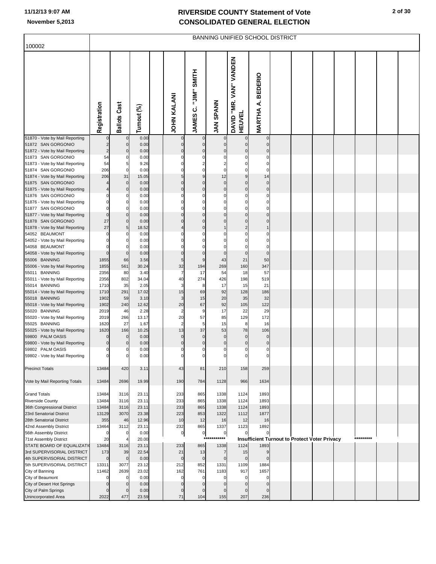| 100002                                                  |                |                            |                |                         |                          |                                | <b>BANNING UNIFIED SCHOOL DISTRICT</b>  |                            |  |                                                      |           |  |
|---------------------------------------------------------|----------------|----------------------------|----------------|-------------------------|--------------------------|--------------------------------|-----------------------------------------|----------------------------|--|------------------------------------------------------|-----------|--|
|                                                         |                |                            |                |                         |                          |                                |                                         |                            |  |                                                      |           |  |
|                                                         | Registration   | <b>Ballots Cast</b>        | Turnout (%)    | <b>JOHN KALANI</b>      | <b>JAMES C. "JIM"</b>    | <b>JAN SPANN</b>               | DAVID "MR. VAN" VANDEN<br><b>HEUVEL</b> | <b>MARTHA A. BEDERIO</b>   |  |                                                      |           |  |
| 51870 - Vote by Mail Reporting<br>51872 SAN GORGONIO    |                | 0<br>$\mathbf 0$           | 0.00<br>0.00   | $\Omega$                |                          | $\mathbf 0$<br>$\pmb{0}$       | $\mathbf 0$                             | $\pmb{0}$<br>$\mathbf 0$   |  |                                                      |           |  |
| 51872 - Vote by Mail Reporting                          |                | $\pmb{0}$                  | 0.00           | $\mathbf 0$             | $\mathbf 0$              | $\mathbf 0$                    | $\mathbf 0$                             | $\pmb{0}$                  |  |                                                      |           |  |
| 51873 SAN GORGONIO                                      | 54<br>54       | $\mathbf 0$<br>5           | 0.00<br>9.26   | 0                       | 0<br>2                   | $\Omega$                       | 0                                       | $\mathbf 0$<br>$\mathbf 0$ |  |                                                      |           |  |
| 51873 - Vote by Mail Reporting<br>51874 SAN GORGONIO    | 206            | $\mathbf 0$                | 0.00           | 0                       | $\Omega$                 | $\mathbf 0$                    | 0                                       | $\mathbf 0$                |  |                                                      |           |  |
| 51874 - Vote by Mail Reporting                          | 206            | 31                         | 15.05          | 5                       | 9                        | 12                             | 9                                       | 14                         |  |                                                      |           |  |
| 51875 SAN GORGONIO                                      |                | $\pmb{0}$                  | 0.00           | $\Omega$                | $\Omega$                 | $\pmb{0}$                      | $\mathbf 0$                             | $\mathbf 0$                |  |                                                      |           |  |
| 51875 - Vote by Mail Reporting<br>51876 SAN GORGONIO    |                | $\pmb{0}$<br>$\mathbf 0$   | 0.00<br>0.00   | $\mathbf 0$<br>$\Omega$ | $\mathbf 0$<br>0         | $\mathbf 0$<br>0               | $\overline{0}$<br>0                     | $\pmb{0}$<br>$\mathbf 0$   |  |                                                      |           |  |
| 51876 - Vote by Mail Reporting                          |                | $\mathbf 0$                | 0.00           | 0                       | 0                        | $\Omega$                       | 0                                       | $\mathbf 0$                |  |                                                      |           |  |
| 51877 SAN GORGONIO                                      |                | $\overline{0}$             | 0.00           | 0                       | 0                        | $\Omega$                       | $\Omega$                                | $\mathbf 0$                |  |                                                      |           |  |
| 51877 - Vote by Mail Reporting<br>51878 SAN GORGONIO    | 27             | $\mathbf 0$<br>$\pmb{0}$   | 0.00<br>0.00   | 0                       | 0<br>$\Omega$            | $\mathbf 0$<br>$\Omega$        | $\mathbf 0$<br>$\mathbf 0$              | $\mathbf 0$<br>$\mathbf 0$ |  |                                                      |           |  |
| 51878 - Vote by Mail Reporting                          | 27             | 5                          | 18.52          |                         | 0                        |                                | $\overline{2}$                          |                            |  |                                                      |           |  |
| 54052 BEAUMONT                                          |                | $\mathbf 0$                | 0.00           |                         |                          | $\Omega$                       | $\Omega$                                | $\mathbf 0$                |  |                                                      |           |  |
| 54052 - Vote by Mail Reporting<br>54058 BEAUMONT        |                | $\mathbf 0$<br>$\mathbf 0$ | 0.00<br>0.00   | 0                       |                          | $\Omega$<br>$\mathbf 0$        | $\Omega$                                | $\mathbf 0$<br>$\mathbf 0$ |  |                                                      |           |  |
| 54058 - Vote by Mail Reporting                          |                | $\mathbf 0$                | 0.00           | 0                       | 0                        | $\pmb{0}$                      | $\mathbf 0$                             | $\mathbf 0$                |  |                                                      |           |  |
| 55006 BANNING                                           | 1855           | 66                         | 3.56           | 5                       | 9                        | 43                             | 21                                      | 50                         |  |                                                      |           |  |
| 55006 - Vote by Mail Reporting<br>55011 BANNING         | 1855<br>2356   | 561<br>80                  | 30.24<br>3.40  | 32<br>$\overline{7}$    | 194<br>17                | 269<br>54                      | 160<br>18                               | 347<br>57                  |  |                                                      |           |  |
| 55011 - Vote by Mail Reporting                          | 2356           | 802                        | 34.04          | 40                      | 274                      | 426                            | 198                                     | 519                        |  |                                                      |           |  |
| 55014 BANNING                                           | 1710           | 35                         | 2.05           | 3                       | 8                        | 17                             | 15                                      | 21                         |  |                                                      |           |  |
| 55014 - Vote by Mail Reporting<br>55018 BANNING         | 1710<br>1902   | 291<br>59                  | 17.02<br>3.10  | 15<br>3                 | 69<br>15                 | 92<br>20                       | 128<br>35                               | 186<br>32                  |  |                                                      |           |  |
| 55018 - Vote by Mail Reporting                          | 1902           | 240                        | 12.62          | 20                      | 67                       | 92                             | 105                                     | 122                        |  |                                                      |           |  |
| 55020 BANNING                                           | 2019           | 46                         | 2.28           | 2                       | 9                        | 17                             | 22                                      | 29                         |  |                                                      |           |  |
| 55020 - Vote by Mail Reporting                          | 2019<br>1620   | 266<br>27                  | 13.17          | 20<br>$\overline{2}$    | 57                       | 85                             | 129                                     | 172                        |  |                                                      |           |  |
| 55025 BANNING<br>55025 - Vote by Mail Reporting         | 1620           | 166                        | 1.67<br>10.25  | 13                      | 5<br>37                  | 15<br>53                       | 8<br>78                                 | 16<br>106                  |  |                                                      |           |  |
| 59800 PALM OASIS                                        |                | $\mathbf 0$                | 0.00           | 0                       |                          | $\pmb{0}$                      | $\mathbf 0$                             | $\pmb{0}$                  |  |                                                      |           |  |
| 59800 - Vote by Mail Reporting                          | $\mathbf 0$    | $\pmb{0}$<br>$\mathbf 0$   | 0.00<br>0.00   | $\overline{0}$<br>0     | $\pmb{0}$<br>$\mathbf 0$ | $\overline{0}$<br>$\mathbf{0}$ | $\pmb{0}$<br>0                          | $\pmb{0}$<br>$\mathbf{0}$  |  |                                                      |           |  |
| 59802 PALM OASIS<br>59802 - Vote by Mail Reporting      | $\mathbf 0$    | 0                          | 0.00           |                         |                          |                                |                                         | 0                          |  |                                                      |           |  |
|                                                         |                |                            |                |                         |                          |                                |                                         |                            |  |                                                      |           |  |
| <b>Precinct Totals</b>                                  | 13484          | 420                        | 3.11           | 43                      | 81                       | 210                            | 158                                     | 259                        |  |                                                      |           |  |
| Vote by Mail Reporting Totals                           | 13484          | 2696                       | 19.99          | 190                     | 784                      | 1128                           | 966                                     | 1634                       |  |                                                      |           |  |
|                                                         |                |                            |                |                         |                          |                                |                                         |                            |  |                                                      |           |  |
| <b>Grand Totals</b><br><b>Riverside County</b>          | 13484<br>13484 | 3116<br>3116               | 23.11<br>23.11 | 233<br>233              | 865<br>865               | 1338<br>1338                   | 1124<br>1124                            | 1893<br>1893               |  |                                                      |           |  |
| 36th Congressional District                             | 13484          | 3116                       | 23.11          | 233                     | 865                      | 1338                           | 1124                                    | 1893                       |  |                                                      |           |  |
| 23rd Senatorial District                                | 13129          | 3070                       | 23.38          | 223                     | 853                      | 1322                           | 1112                                    | 1877                       |  |                                                      |           |  |
| 28th Senatorial District<br>42nd Assembly District      | 355<br>13464   | 46<br>3112                 | 12.96<br>23.11 | 10<br>232               | 12<br>865                | 16<br>1337                     | 12<br>1123                              | 16<br>1892                 |  |                                                      |           |  |
| 56th Assembly District                                  |                | $\mathbf 0$                | 0.00           | $\overline{0}$          | $\overline{0}$           | $\overline{0}$                 |                                         | 0                          |  |                                                      |           |  |
| 71st Assembly District                                  | 20             | $\overline{4}$             | 20.00          |                         | $***$                    | *****                          |                                         |                            |  | <b>Insufficient Turnout to Protect Voter Privacy</b> | ********* |  |
| STATE BOARD OF EQUALIZATI<br>3rd SUPERVISORIAL DISTRICT | 13484<br>173   | 3116<br>39                 | 23.11<br>22.54 | 233<br>21               | 865<br>13                | 1338<br>7                      | 1124<br>15                              | 1893<br>9                  |  |                                                      |           |  |
| 4th SUPERVISORIAL DISTRICT                              | $\Omega$       | $\pmb{0}$                  | 0.00           | $\mathbf 0$             | $\mathbf 0$              | $\overline{0}$                 | $\mathbf 0$                             | $\mathbf 0$                |  |                                                      |           |  |
| 5th SUPERVISORIAL DISTRICT                              | 13311          | 3077                       | 23.12          | 212                     | 852                      | 1331                           | 1109                                    | 1884                       |  |                                                      |           |  |
| City of Banning                                         | 11462          | 2639                       | 23.02          | 162                     | 761                      | 1183                           | 917                                     | 1657                       |  |                                                      |           |  |
| City of Beaumont<br>City of Desert Hot Springs          |                | $\mathbf 0$<br>$\mathbf 0$ | 0.00<br>0.00   | 0<br>0                  |                          | $\mathbf 0$<br>$\Omega$        | $\Omega$                                | 0<br>$\mathbf 0$           |  |                                                      |           |  |
| City of Palm Springs                                    |                | $\mathbf 0$                | 0.00           | 0                       |                          | $\Omega$                       | $\mathbf 0$                             | $\mathbf 0$                |  |                                                      |           |  |
| Unincorporated Area                                     | 2022           | 477                        | 23.59          | 71                      | 104                      | 155                            | 207                                     | 236                        |  |                                                      |           |  |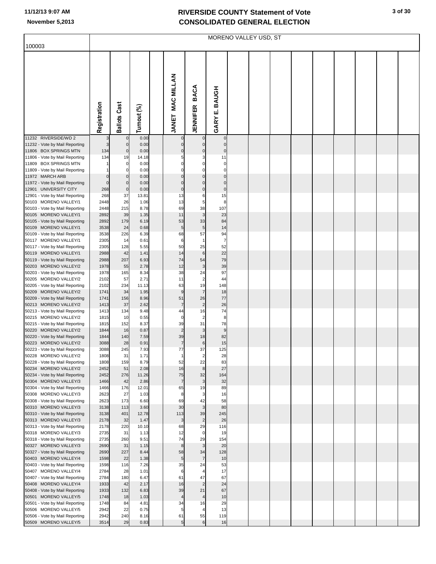| 100003                                                  |                 |                            |               |                            |                               |                             | MORENO VALLEY USD, ST |  |  |  |  |
|---------------------------------------------------------|-----------------|----------------------------|---------------|----------------------------|-------------------------------|-----------------------------|-----------------------|--|--|--|--|
|                                                         | Registration    | <b>Ballots Cast</b>        | Turnout (%)   | <b>MAC MILLAN</b><br>JANET | <b>BACA</b><br>JENNIFER       | <b>BAUGH</b><br>щi<br>GARY  |                       |  |  |  |  |
| 11232 RIVERSIDE/WD 2<br>11232 - Vote by Mail Reporting  | 3               | $\mathbf 0$<br>$\bf 0$     | 0.00<br>0.00  | $\mathbf 0$<br>$\mathbf 0$ | $\pmb{0}$                     | $\pmb{0}$<br>$\pmb{0}$      |                       |  |  |  |  |
| 11806 BOX SPRINGS MTN                                   | 134             | $\mathbf 0$                | 0.00          | $\mathbf 0$                | $\pmb{0}$                     | $\pmb{0}$                   |                       |  |  |  |  |
| 11806 - Vote by Mail Reporting                          | 134             | 19                         | 14.18         | 5                          | 3                             | 11                          |                       |  |  |  |  |
| 11809 BOX SPRINGS MTN<br>11809 - Vote by Mail Reporting |                 | $\mathbf 0$<br>$\mathbf 0$ | 0.00<br>0.00  | 0<br>$\Omega$              | 0<br>0                        | $\pmb{0}$<br>$\mathbf 0$    |                       |  |  |  |  |
| 11972 MARCH ARB                                         | 0               | $\mathbf 0$                | 0.00          | $\mathbf 0$                | $\mathbf 0$                   | $\pmb{0}$                   |                       |  |  |  |  |
| 11972 - Vote by Mail Reporting<br>12901 UNIVERSITY CITY | $\Omega$<br>268 | $\bf 0$<br>$\mathbf 0$     | 0.00<br>0.00  | $\mathbf 0$<br>$\mathbf 0$ | $\mathbf 0$<br>$\pmb{0}$      | $\pmb{0}$<br>$\overline{0}$ |                       |  |  |  |  |
| 12901 - Vote by Mail Reporting                          | 268             | 37                         | 13.81         | 13                         | 6                             | 15                          |                       |  |  |  |  |
| 50103 MORENO VALLEY/1                                   | 2448            | 26                         | 1.06          | 13                         | 5                             | 8                           |                       |  |  |  |  |
| 50103 - Vote by Mail Reporting<br>50105 MORENO VALLEY/1 | 2448<br>2892    | 215<br>39                  | 8.78<br>1.35  | 69<br>11                   | 38<br>$\mathbf{3}$            | 107<br>23                   |                       |  |  |  |  |
| 50105 - Vote by Mail Reporting                          | 2892            | 179                        | 6.19          | 53                         | 33                            | 84                          |                       |  |  |  |  |
| 50109 MORENO VALLEY/1                                   | 3538            | 24                         | 0.68          | 5                          | 5                             | 14                          |                       |  |  |  |  |
| 50109 - Vote by Mail Reporting<br>50117 MORENO VALLEY/1 | 3538<br>2305    | 226<br>14                  | 6.39<br>0.61  | 68<br>6                    | 57<br>$\mathbf{1}$            | 94<br>$\overline{7}$        |                       |  |  |  |  |
| 50117 - Vote by Mail Reporting                          | 2305            | 128                        | 5.55          | 50                         | 25                            | 52                          |                       |  |  |  |  |
| 50119 MORENO VALLEY/1                                   | 2988            | 42                         | 1.41          | 14                         | $\,6$                         | 22                          |                       |  |  |  |  |
| 50119 - Vote by Mail Reporting<br>50203 MORENO VALLEY/2 | 2988<br>1978    | 207<br>55                  | 6.93<br>2.78  | 74<br>12                   | 54<br>3                       | 79<br>39                    |                       |  |  |  |  |
| 50203 - Vote by Mail Reporting                          | 1978            | 165                        | 8.34          | 38                         | 24                            | 97                          |                       |  |  |  |  |
| 50205 MORENO VALLEY/2                                   | 2102            | 57                         | 2.71          | 11                         | $\overline{\mathbf{c}}$       | 44                          |                       |  |  |  |  |
| 50205 - Vote by Mail Reporting<br>50209 MORENO VALLEY/2 | 2102<br>1741    | 234<br>34                  | 11.13<br>1.95 | 63<br>9                    | 19<br>$\overline{7}$          | 148<br>18                   |                       |  |  |  |  |
| 50209 - Vote by Mail Reporting                          | 1741            | 156                        | 8.96          | 51                         | 26                            | 77                          |                       |  |  |  |  |
| 50213 MORENO VALLEY/2                                   | 1413            | 37                         | 2.62          | $\overline{7}$             | $\overline{2}$                | 26                          |                       |  |  |  |  |
| 50213 - Vote by Mail Reporting<br>50215 MORENO VALLEY/2 | 1413<br>1815    | 134<br>10                  | 9.48<br>0.55  | 44<br>$\mathbf 0$          | 16<br>$\overline{\mathbf{c}}$ | 74<br>8                     |                       |  |  |  |  |
| 50215 - Vote by Mail Reporting                          | 1815            | 152                        | 8.37          | 39                         | 31                            | 78                          |                       |  |  |  |  |
| 50220 MORENO VALLEY/2<br>50220 - Vote by Mail Reporting | 1844<br>1844    | 16<br>140                  | 0.87<br>7.59  | $\overline{2}$<br>39       | 3<br>18                       | $\boldsymbol{9}$<br>82      |                       |  |  |  |  |
| 50223 MORENO VALLEY/2                                   | 3088            | 28                         | 0.91          | $\overline{7}$             | $\,$ 6                        | 15                          |                       |  |  |  |  |
| 50223 - Vote by Mail Reporting                          | 3088            | 245                        | 7.93          | 77                         | 37                            | 125                         |                       |  |  |  |  |
| 50228 MORENO VALLEY/2<br>50228 - Vote by Mail Reporting | 1808<br>1808    | -31<br>159                 | 1.71<br>8.79  | 52                         | 22                            | 28<br>83                    |                       |  |  |  |  |
| 50234 MORENO VALLEY/2                                   | 2452            | 51                         | 2.08          | 16                         | $\bf8$                        | 27                          |                       |  |  |  |  |
| 50234 - Vote by Mail Reporting                          | 2452            | 276                        | 11.26         | 75                         | 32                            | 164                         |                       |  |  |  |  |
| 50304 MORENO VALLEY/3<br>50304 - Vote by Mail Reporting | 1466<br>1466    | 42<br>176                  | 2.86<br>12.01 | $\overline{7}$<br>65       | 3<br>19                       | 32<br>89                    |                       |  |  |  |  |
| 50308 MORENO VALLEY/3                                   | 2623            | 27                         | 1.03          | 8                          | 3                             | 16                          |                       |  |  |  |  |
| 50308 - Vote by Mail Reporting<br>50310 MORENO VALLEY/3 | 2623<br>3138    | 173<br>113                 | 6.60<br>3.60  | 69<br>30                   | 42<br>3                       | 58<br>80                    |                       |  |  |  |  |
| 50310 - Vote by Mail Reporting                          | 3138            | 401                        | 12.78         | 113                        | 39                            | 245                         |                       |  |  |  |  |
| 50313 MORENO VALLEY/3                                   | 2178            | 32                         | 1.47          | 3                          | $\overline{c}$                | 26                          |                       |  |  |  |  |
| 50313 - Vote by Mail Reporting<br>50318 MORENO VALLEY/3 | 2178<br>2735    | 220<br>31                  | 10.10<br>1.13 | 68<br>12                   | 29<br>$\mathbf 0$             | 116<br>19                   |                       |  |  |  |  |
| 50318 - Vote by Mail Reporting                          | 2735            | 260                        | 9.51          | 74                         | 29                            | 154                         |                       |  |  |  |  |
| 50327 MORENO VALLEY/3                                   | 2690            | 31                         | 1.15          | 8                          | 3                             | 20                          |                       |  |  |  |  |
| 50327 - Vote by Mail Reporting<br>50403 MORENO VALLEY/4 | 2690<br>1598    | 227<br>22                  | 8.44<br>1.38  | 58<br>5                    | 34<br>$\overline{7}$          | 128<br>10                   |                       |  |  |  |  |
| 50403 - Vote by Mail Reporting                          | 1598            | 116                        | 7.26          | 35                         | 24                            | 53                          |                       |  |  |  |  |
| 50407 MORENO VALLEY/4                                   | 2784            | 28                         | 1.01          | 6                          | 4                             | 17                          |                       |  |  |  |  |
| 50407 - Vote by Mail Reporting<br>50408 MORENO VALLEY/4 | 2784<br>1933    | 180<br>42                  | 6.47<br>2.17  | 61<br>16                   | 47<br>$\overline{2}$          | 67<br>24                    |                       |  |  |  |  |
| 50408 - Vote by Mail Reporting                          | 1933            | 132                        | 6.83          | 39                         | 21                            | 67                          |                       |  |  |  |  |
| 50501 MORENO VALLEY/5                                   | 1748            | 18                         | 1.03          | 4                          | 4                             | 10                          |                       |  |  |  |  |
| 50501 - Vote by Mail Reporting<br>50506 MORENO VALLEY/5 | 1748<br>2942    | 84<br>22                   | 4.81<br>0.75  | 34<br>5                    | 16<br>4                       | 29<br>13                    |                       |  |  |  |  |
| 50506 - Vote by Mail Reporting                          | 2942            | 240                        | 8.16          | 61                         | 55                            | 119                         |                       |  |  |  |  |
| 50509 MORENO VALLEY/5                                   | 3514            | 29                         | 0.83          | 5                          | 6                             | 16                          |                       |  |  |  |  |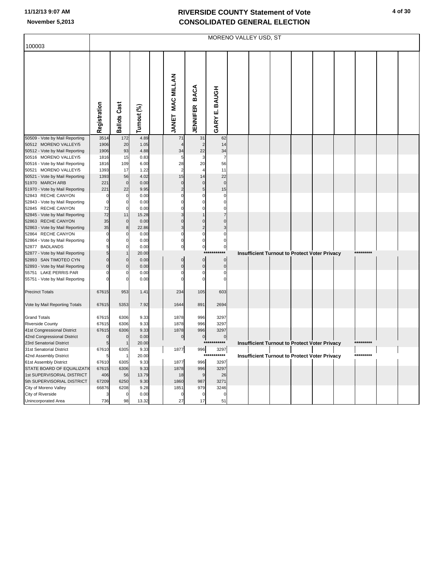|                                                     |                        |                            |              |                         |                             |                        | MORENO VALLEY USD, ST |  |                                                      |           |  |
|-----------------------------------------------------|------------------------|----------------------------|--------------|-------------------------|-----------------------------|------------------------|-----------------------|--|------------------------------------------------------|-----------|--|
| 100003                                              |                        |                            |              |                         |                             |                        |                       |  |                                                      |           |  |
|                                                     |                        |                            |              |                         |                             |                        |                       |  |                                                      |           |  |
|                                                     |                        |                            |              |                         |                             |                        |                       |  |                                                      |           |  |
|                                                     |                        |                            |              |                         |                             |                        |                       |  |                                                      |           |  |
|                                                     |                        |                            |              |                         |                             |                        |                       |  |                                                      |           |  |
|                                                     |                        |                            |              |                         |                             |                        |                       |  |                                                      |           |  |
|                                                     |                        |                            |              |                         | <b>BACA</b>                 |                        |                       |  |                                                      |           |  |
|                                                     |                        |                            |              |                         |                             |                        |                       |  |                                                      |           |  |
|                                                     |                        |                            |              |                         |                             |                        |                       |  |                                                      |           |  |
|                                                     |                        |                            |              |                         |                             |                        |                       |  |                                                      |           |  |
|                                                     |                        |                            |              |                         |                             |                        |                       |  |                                                      |           |  |
|                                                     | Registration           | <b>Ballots Cast</b>        | Turnout (%)  | <b>JANET MAC MILLAN</b> | <b>JENNIFER</b>             | GARY E. BAUGH          |                       |  |                                                      |           |  |
| 50509 - Vote by Mail Reporting                      | 3514                   | 172                        | 4.89         | 71                      | 31                          | 62                     |                       |  |                                                      |           |  |
| 50512 MORENO VALLEY/5                               | 1906                   | 20                         | 1.05         |                         | $\overline{2}$              | 14                     |                       |  |                                                      |           |  |
| 50512 - Vote by Mail Reporting                      | 1906                   | 93                         | 4.88         | 34                      | 22                          | 34                     |                       |  |                                                      |           |  |
| 50516 MORENO VALLEY/5                               | 1816                   | 15                         | 0.83         | 5                       | 3                           | 7                      |                       |  |                                                      |           |  |
| 50516 - Vote by Mail Reporting                      | 1816                   | 109                        | 6.00         | 28                      | 20                          | 56                     |                       |  |                                                      |           |  |
| 50521 MORENO VALLEY/5                               | 1393                   | 17                         | 1.22         | $\overline{2}$          | $\overline{\mathbf{4}}$     | 11                     |                       |  |                                                      |           |  |
| 50521 - Vote by Mail Reporting                      | 1393                   | 56                         | 4.02         | 15<br>$\mathbf 0$       | 14                          | 22<br>$\mathbf 0$      |                       |  |                                                      |           |  |
| 51970 MARCH ARB<br>51970 - Vote by Mail Reporting   | 221<br>22 <sup>1</sup> | $\mathbf 0$<br>22          | 0.00<br>9.95 | $\overline{2}$          | $\pmb{0}$<br>$\overline{5}$ | 15                     |                       |  |                                                      |           |  |
| 52843 RECHE CANYON                                  | $\Omega$               | $\mathbf 0$                | 0.00         | $\Omega$                | $\mathbf 0$                 | $\Omega$               |                       |  |                                                      |           |  |
| 52843 - Vote by Mail Reporting                      | $\Omega$               | $\mathbf 0$                | 0.00         | 0                       | $\mathbf 0$                 | $\mathbf 0$            |                       |  |                                                      |           |  |
| 52845 RECHE CANYON                                  | 72                     | $\mathbf 0$                | 0.00         | $\Omega$                | $\mathbf 0$                 | $\mathbf 0$            |                       |  |                                                      |           |  |
| 52845 - Vote by Mail Reporting                      | 72                     | 11                         | 15.28        |                         |                             | $\overline{7}$         |                       |  |                                                      |           |  |
| 52863 RECHE CANYON                                  | 35                     | $\bf 0$                    | 0.00         | $\mathbf 0$             | $\mathbf 0$                 | $\mathbf 0$            |                       |  |                                                      |           |  |
| 52863 - Vote by Mail Reporting                      | 35                     | 8                          | 22.86        | 3                       | $\overline{2}$              | 3                      |                       |  |                                                      |           |  |
| 52864 RECHE CANYON                                  | O                      | $\Omega$                   | 0.00         | $\overline{0}$          | $\mathbf 0$                 | $\mathbf 0$            |                       |  |                                                      |           |  |
| 52864 - Vote by Mail Reporting<br>52877 BADLANDS    | $\mathbf 0$<br>5       | $\mathbf 0$<br>$\mathbf 0$ | 0.00<br>0.00 | 0<br>$\mathbf 0$        | $\mathbf 0$<br>$\circ$      | $\pmb{0}$<br>$\pmb{0}$ |                       |  |                                                      |           |  |
| 52877 - Vote by Mail Reporting                      | 5                      | $\mathbf{1}$               | 20.00        |                         |                             | $^{\star\star}$        |                       |  | Insufficient Turnout to Protect Voter Privacy        |           |  |
| 52893 SAN TIMOTEO CYN                               |                        | $\mathbf 0$                | 0.00         | $\mathbf 0$             | $\mathbf 0$                 | $\mathbf 0$            |                       |  |                                                      |           |  |
| 52893 - Vote by Mail Reporting                      | $\Omega$               | $\mathbf 0$                | 0.00         | $\overline{0}$          | $\mathbf 0$                 | $\mathbf 0$            |                       |  |                                                      |           |  |
| 55751 LAKE PERRIS PAR                               | $\Omega$               | $\Omega$                   | 0.00         | $\Omega$                | $\mathbf 0$                 | $\mathbf 0$            |                       |  |                                                      |           |  |
| 55751 - Vote by Mail Reporting                      |                        | $\Omega$                   | 0.00         | $\Omega$                | $\mathbf 0$                 | $\mathbf 0$            |                       |  |                                                      |           |  |
|                                                     |                        |                            |              |                         |                             |                        |                       |  |                                                      |           |  |
| <b>Precinct Totals</b>                              | 67615                  | 953                        | 1.41         | 234                     | 105                         | 603                    |                       |  |                                                      |           |  |
| Vote by Mail Reporting Totals                       | 67615                  | 5353                       | 7.92         | 1644                    | 891                         | 2694                   |                       |  |                                                      |           |  |
|                                                     |                        |                            |              |                         |                             |                        |                       |  |                                                      |           |  |
| <b>Grand Totals</b>                                 | 67615                  | 6306                       | 9.33         | 1878                    | 996                         | 3297                   |                       |  |                                                      |           |  |
| <b>Riverside County</b>                             | 67615                  | 6306                       | 9.33         | 1878                    | 996                         | 3297                   |                       |  |                                                      |           |  |
| 41st Congressional District                         | 67615                  | 6306                       | 9.33         | 1878                    | 996                         | 3297                   |                       |  |                                                      |           |  |
| 42nd Congressional District                         |                        | $\mathbf 0$                | 0.00         | $\pmb{0}$               | $\overline{0}$              | $\pmb{0}$              |                       |  |                                                      |           |  |
| 23rd Senatorial District                            |                        |                            | 20.00        |                         |                             | *****                  |                       |  | <b>Insufficient Turnout to Protect Voter Privacy</b> | ********* |  |
| 31st Senatorial District                            | 67610                  | 6305                       | 9.33         | 1877                    | 996<br>$***$                | 3297<br>*****          |                       |  |                                                      | ********* |  |
| 42nd Assembly District                              |                        |                            | 20.00        |                         |                             |                        |                       |  | <b>Insufficient Turnout to Protect Voter Privacy</b> |           |  |
| 61st Assembly District<br>STATE BOARD OF EQUALIZATI | 67610<br>67615         | 6305<br>6306               | 9.33<br>9.33 | 1877<br>1878            | 996<br>996                  | 3297<br>3297           |                       |  |                                                      |           |  |
| 1st SUPERVISORIAL DISTRICT                          | 406                    | 56                         | 13.79        | 18                      | 9                           | 26                     |                       |  |                                                      |           |  |
| 5th SUPERVISORIAL DISTRICT                          | 67209                  | 6250                       | 9.30         | 1860                    | 987                         | 3271                   |                       |  |                                                      |           |  |
| City of Moreno Valley                               | 66876                  | 6208                       | 9.28         | 1851                    | 979                         | 3246                   |                       |  |                                                      |           |  |
| City of Riverside                                   |                        | $\mathbf 0$                | 0.00         | 0                       | $\pmb{0}$                   | 0                      |                       |  |                                                      |           |  |
| Unincorporated Area                                 | 736                    | 98                         | 13.32        | 27                      | 17                          | 51                     |                       |  |                                                      |           |  |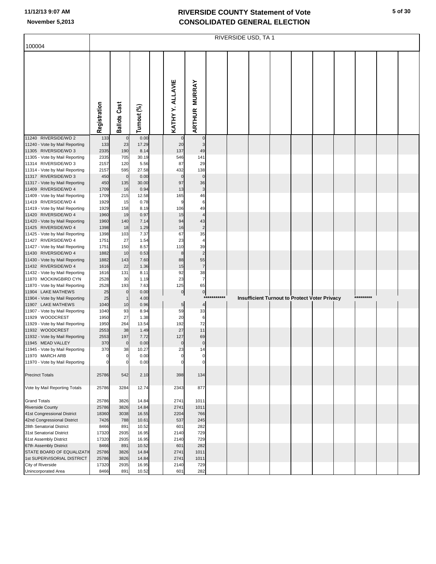|                                                        |                |                     |                |                  |                                |          | RIVERSIDE USD, TA 1 |  |                                               |  |           |  |
|--------------------------------------------------------|----------------|---------------------|----------------|------------------|--------------------------------|----------|---------------------|--|-----------------------------------------------|--|-----------|--|
| 100004                                                 |                |                     |                |                  |                                |          |                     |  |                                               |  |           |  |
|                                                        | Registration   | <b>Ballots Cast</b> | Turnout (%)    | KATHY Y. ALLAVIE | <b>MURRAY</b><br><b>ARTHUR</b> |          |                     |  |                                               |  |           |  |
| 11240 RIVERSIDE/WD 2                                   | 133            | $\pmb{0}$           | 0.00           |                  | $\pmb{0}$                      |          |                     |  |                                               |  |           |  |
| 11240 - Vote by Mail Reporting                         | 133            | 23                  | 17.29          | 20               | 3                              |          |                     |  |                                               |  |           |  |
| 11305 RIVERSIDE/WD 3                                   | 2335           | 190                 | 8.14           | 137              | 49                             |          |                     |  |                                               |  |           |  |
| 11305 - Vote by Mail Reporting<br>11314 RIVERSIDE/WD 3 | 2335<br>2157   | 705<br>120          | 30.19<br>5.56  | 546<br>87        | 141<br>29                      |          |                     |  |                                               |  |           |  |
| 11314 - Vote by Mail Reporting                         | 2157           | 595                 | 27.58          | 432              | 138                            |          |                     |  |                                               |  |           |  |
| 11317 RIVERSIDE/WD 3                                   | 450            | $\pmb{0}$           | 0.00           | $\mathbf 0$      | $\pmb{0}$                      |          |                     |  |                                               |  |           |  |
| 11317 - Vote by Mail Reporting                         | 450            | 135                 | 30.00          | 97               | 36                             |          |                     |  |                                               |  |           |  |
| 11409 RIVERSIDE/WD 4                                   | 1709           | 16                  | 0.94           | 13               | 3                              |          |                     |  |                                               |  |           |  |
| 11409 - Vote by Mail Reporting                         | 1709           | 215                 | 12.58          | 165              | 46                             |          |                     |  |                                               |  |           |  |
| 11419 RIVERSIDE/WD 4                                   | 1929           | 15                  | 0.78           | 9                | 6                              |          |                     |  |                                               |  |           |  |
| 11419 - Vote by Mail Reporting                         | 1929           | 158                 | 8.19           | 106              | 49                             |          |                     |  |                                               |  |           |  |
| 11420 RIVERSIDE/WD 4                                   | 1960           | 19                  | 0.97           | 15               | $\overline{4}$                 |          |                     |  |                                               |  |           |  |
| 11420 - Vote by Mail Reporting                         | 1960           | 140                 | 7.14           | 94               | 43                             |          |                     |  |                                               |  |           |  |
| 11425 RIVERSIDE/WD 4                                   | 1398           | 18                  | 1.29           | 16               | $\overline{c}$                 |          |                     |  |                                               |  |           |  |
| 11425 - Vote by Mail Reporting                         | 1398           | 103                 | 7.37           | 67               | 35                             |          |                     |  |                                               |  |           |  |
| 11427 RIVERSIDE/WD 4<br>11427 - Vote by Mail Reporting | 1751<br>1751   | 27<br>150           | 1.54<br>8.57   | 23<br>110        | $\overline{4}$<br>39           |          |                     |  |                                               |  |           |  |
| 11430 RIVERSIDE/WD 4                                   | 1882           | 10                  | 0.53           | 8                | $\overline{c}$                 |          |                     |  |                                               |  |           |  |
| 11430 - Vote by Mail Reporting                         | 1882           | 143                 | 7.60           | 88               | 55                             |          |                     |  |                                               |  |           |  |
| 11432 RIVERSIDE/WD 4                                   | 1616           | 22                  | 1.36           | 15               | $\overline{7}$                 |          |                     |  |                                               |  |           |  |
| 11432 - Vote by Mail Reporting                         | 1616           | 131                 | 8.11           | 92               | 38                             |          |                     |  |                                               |  |           |  |
| 11870 MOCKINGBIRD CYN                                  | 2528           | 30                  | 1.19           | 23               | $\overline{7}$                 |          |                     |  |                                               |  |           |  |
| 11870 - Vote by Mail Reporting                         | 2528           | 193                 | 7.63           | 125              | 65                             |          |                     |  |                                               |  |           |  |
| 11904 LAKE MATHEWS                                     | 25             | $\pmb{0}$           | 0.00           | 0                | $\overline{0}$                 | ******** |                     |  |                                               |  | ********* |  |
| 11904 - Vote by Mail Reporting                         | 25             | $\mathbf{1}$        | 4.00           |                  |                                | ***      |                     |  | Insufficient Turnout to Protect Voter Privacy |  |           |  |
| 11907 LAKE MATHEWS                                     | 1040           | 10<br>93            | 0.96           | 5                | $\overline{4}$                 |          |                     |  |                                               |  |           |  |
| 11907 - Vote by Mail Reporting<br>11929 WOODCREST      | 1040<br>1950   | 27                  | 8.94<br>1.38   | 59<br>20         | 33<br>6                        |          |                     |  |                                               |  |           |  |
| 11929 - Vote by Mail Reporting                         | 1950           | 264                 | 13.54          | 192              | 72                             |          |                     |  |                                               |  |           |  |
| 11932 WOODCREST                                        | 2553           | 38                  | 1.49           | 27               | 11                             |          |                     |  |                                               |  |           |  |
| 11932 - Vote by Mail Reporting                         | 2553           | 197                 | 7.72           | 127              | 69                             |          |                     |  |                                               |  |           |  |
| 11945 MEAD VALLEY                                      | 370            | $\mathbf 0$         | 0.00           |                  | $\pmb{0}$                      |          |                     |  |                                               |  |           |  |
| 11945 - Vote by Mail Reporting                         | 370            | 38                  | 10.27          | 23               | 14                             |          |                     |  |                                               |  |           |  |
| 11970 MARCH ARB                                        | $\overline{0}$ | $\pmb{0}$           | 0.00           | 0                | 0                              |          |                     |  |                                               |  |           |  |
| 11970 - Vote by Mail Reporting                         | $\Omega$       | $\mathbf 0$         | 0.00           | 0                | $\mathbf 0$                    |          |                     |  |                                               |  |           |  |
| <b>Precinct Totals</b>                                 | 25786          | 542                 | 2.10           | 398              | 134                            |          |                     |  |                                               |  |           |  |
| Vote by Mail Reporting Totals                          | 25786          | 3284                | 12.74          | 2343             | 877                            |          |                     |  |                                               |  |           |  |
| <b>Grand Totals</b>                                    | 25786          | 3826                | 14.84          | 2741             | 1011                           |          |                     |  |                                               |  |           |  |
| <b>Riverside County</b>                                | 25786          | 3826                | 14.84          | 2741             | 1011                           |          |                     |  |                                               |  |           |  |
| 41st Congressional District                            | 18360          | 3038                | 16.55          | 2204             | 766                            |          |                     |  |                                               |  |           |  |
| 42nd Congressional District                            | 7426           | 788                 | 10.61          | 537              | 245                            |          |                     |  |                                               |  |           |  |
| 28th Senatorial District<br>31st Senatorial District   | 8466<br>17320  | 891<br>2935         | 10.52<br>16.95 | 601<br>2140      | 282<br>729                     |          |                     |  |                                               |  |           |  |
| 61st Assembly District                                 | 17320          | 2935                | 16.95          | 2140             | 729                            |          |                     |  |                                               |  |           |  |
| 67th Assembly District                                 | 8466           | 891                 | 10.52          | 601              | 282                            |          |                     |  |                                               |  |           |  |
| STATE BOARD OF EQUALIZATI                              | 25786          | 3826                | 14.84          | 2741             | 1011                           |          |                     |  |                                               |  |           |  |
| 1st SUPERVISORIAL DISTRICT                             | 25786          | 3826                | 14.84          | 2741             | 1011                           |          |                     |  |                                               |  |           |  |
| City of Riverside                                      | 17320          | 2935                | 16.95          | 2140             | 729                            |          |                     |  |                                               |  |           |  |
| Unincorporated Area                                    | 8466           | 891                 | 10.52          | 601              | 282                            |          |                     |  |                                               |  |           |  |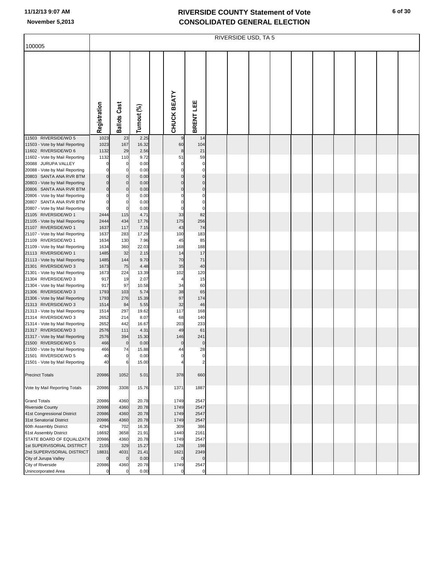|                                                           | RIVERSIDE USD, TA 5 |                      |                |  |             |                   |  |  |  |  |  |  |  |  |  |
|-----------------------------------------------------------|---------------------|----------------------|----------------|--|-------------|-------------------|--|--|--|--|--|--|--|--|--|
| 100005                                                    |                     |                      |                |  |             |                   |  |  |  |  |  |  |  |  |  |
|                                                           |                     |                      |                |  |             |                   |  |  |  |  |  |  |  |  |  |
|                                                           |                     |                      |                |  |             |                   |  |  |  |  |  |  |  |  |  |
|                                                           |                     |                      |                |  |             |                   |  |  |  |  |  |  |  |  |  |
|                                                           |                     |                      |                |  |             |                   |  |  |  |  |  |  |  |  |  |
|                                                           |                     |                      |                |  |             |                   |  |  |  |  |  |  |  |  |  |
|                                                           |                     |                      |                |  |             |                   |  |  |  |  |  |  |  |  |  |
|                                                           |                     |                      |                |  |             |                   |  |  |  |  |  |  |  |  |  |
|                                                           |                     |                      |                |  |             |                   |  |  |  |  |  |  |  |  |  |
|                                                           |                     |                      |                |  |             |                   |  |  |  |  |  |  |  |  |  |
|                                                           |                     |                      |                |  |             |                   |  |  |  |  |  |  |  |  |  |
|                                                           |                     |                      |                |  |             |                   |  |  |  |  |  |  |  |  |  |
|                                                           | Registration        | <b>Ballots Cast</b>  | Turnout (%)    |  | CHUCK BEATY | BRENT LEE         |  |  |  |  |  |  |  |  |  |
| 11503 RIVERSIDE/WD 5                                      | 1023                | 23                   | 2.25           |  | 9           | 14                |  |  |  |  |  |  |  |  |  |
| 11503 - Vote by Mail Reporting                            | 1023                | 167                  | 16.32          |  | 60          | 104               |  |  |  |  |  |  |  |  |  |
| 11602 RIVERSIDE/WD 6                                      | 1132                | 29                   | 2.56           |  | 8           | 21                |  |  |  |  |  |  |  |  |  |
| 11602 - Vote by Mail Reporting                            | 1132                | 110                  | 9.72           |  | 51          | 59                |  |  |  |  |  |  |  |  |  |
| 20088 JURUPA VALLEY                                       |                     | 0                    | 0.00           |  | 0           | 0                 |  |  |  |  |  |  |  |  |  |
| 20088 - Vote by Mail Reporting                            |                     | 0                    | 0.00           |  | $\Omega$    | $\mathbf 0$       |  |  |  |  |  |  |  |  |  |
| 20803 SANTA ANA RVR BTM                                   |                     | $\pmb{0}$            | 0.00           |  | $\Omega$    | $\pmb{0}$         |  |  |  |  |  |  |  |  |  |
| 20803 - Vote by Mail Reporting                            |                     | $\pmb{0}$            | 0.00           |  | 0           | $\pmb{0}$         |  |  |  |  |  |  |  |  |  |
| 20806 SANTA ANA RVR BTM                                   |                     | 0                    | 0.00           |  | $\mathbf 0$ | $\pmb{0}$         |  |  |  |  |  |  |  |  |  |
| 20806 - Vote by Mail Reporting                            |                     | 0<br>0               | 0.00           |  | 0<br>0      | 0<br>$\mathbf 0$  |  |  |  |  |  |  |  |  |  |
| 20807 SANTA ANA RVR BTM<br>20807 - Vote by Mail Reporting |                     | 0                    | 0.00<br>0.00   |  | 0           | $\mathbf 0$       |  |  |  |  |  |  |  |  |  |
| 21105 RIVERSIDE/WD 1                                      | 2444                | 115                  | 4.71           |  | 33          | 82                |  |  |  |  |  |  |  |  |  |
| 21105 - Vote by Mail Reporting                            | 2444                | 434                  | 17.76          |  | 175         | 256               |  |  |  |  |  |  |  |  |  |
| 21107 RIVERSIDE/WD 1                                      | 1637                | 117                  | 7.15           |  | 43          | 74                |  |  |  |  |  |  |  |  |  |
| 21107 - Vote by Mail Reporting                            | 1637                | 283                  | 17.29          |  | 100         | 183               |  |  |  |  |  |  |  |  |  |
| 21109 RIVERSIDE/WD 1                                      | 1634                | 130                  | 7.96           |  | 45          | 85                |  |  |  |  |  |  |  |  |  |
| 21109 - Vote by Mail Reporting                            | 1634                | 360                  | 22.03          |  | 168         | 188               |  |  |  |  |  |  |  |  |  |
| 21113 RIVERSIDE/WD 1                                      | 1485                | 32                   | 2.15           |  | 14          | 17                |  |  |  |  |  |  |  |  |  |
| 21113 - Vote by Mail Reporting                            | 1485                | 144                  | 9.70           |  | 70          | 71                |  |  |  |  |  |  |  |  |  |
| 21301 RIVERSIDE/WD 3                                      | 1673                | 75                   | 4.48           |  | 35          | 40                |  |  |  |  |  |  |  |  |  |
| 21301 - Vote by Mail Reporting                            | 1673                | 224                  | 13.39          |  | 102         | 120               |  |  |  |  |  |  |  |  |  |
| 21304 RIVERSIDE/WD 3<br>21304 - Vote by Mail Reporting    | 917<br>917          | 19<br>97             | 2.07<br>10.58  |  | 4<br>34     | 15<br>60          |  |  |  |  |  |  |  |  |  |
| 21306 RIVERSIDE/WD 3                                      | 1793                | 103                  | 5.74           |  | 38          | 65                |  |  |  |  |  |  |  |  |  |
| 21306 - Vote by Mail Reporting                            | 1793                | 276                  | 15.39          |  | 97          | 174               |  |  |  |  |  |  |  |  |  |
| 21313 RIVERSIDE/WD 3                                      | 1514                | 84                   | 5.55           |  | 32          | 46                |  |  |  |  |  |  |  |  |  |
| 21313 - Vote by Mail Reporting                            | 1514                | 297                  | 19.62          |  | 117         | 168               |  |  |  |  |  |  |  |  |  |
| 21314 RIVERSIDE/WD 3                                      | 2652                | 214                  | 8.07           |  | 68          | 140               |  |  |  |  |  |  |  |  |  |
| 21314 - Vote by Mail Reporting                            | 2652                | 442                  | 16.67          |  | 203         | 233               |  |  |  |  |  |  |  |  |  |
| 21317 RIVERSIDE/WD 3                                      | 2576                | 111                  | 4.31           |  | 49          | 61                |  |  |  |  |  |  |  |  |  |
| 21317 - Vote by Mail Reporting                            | 2576                | 394                  | 15.30          |  | 146         | 241               |  |  |  |  |  |  |  |  |  |
| 21500 RIVERSIDE/WD 5                                      | 466                 | $\pmb{0}$            | 0.00           |  | 0           | $\pmb{0}$         |  |  |  |  |  |  |  |  |  |
| 21500 - Vote by Mail Reporting<br>21501 RIVERSIDE/WD 5    | 466                 | 74<br>$\overline{0}$ | 15.88<br>0.00  |  | 44<br>0     | 28<br>$\mathbf 0$ |  |  |  |  |  |  |  |  |  |
| 21501 - Vote by Mail Reporting                            | 40<br>40            | 6                    | 15.00          |  |             | $\overline{2}$    |  |  |  |  |  |  |  |  |  |
|                                                           |                     |                      |                |  |             |                   |  |  |  |  |  |  |  |  |  |
| <b>Precinct Totals</b>                                    | 20986               | 1052                 | 5.01           |  | 378         | 660               |  |  |  |  |  |  |  |  |  |
|                                                           |                     |                      |                |  |             |                   |  |  |  |  |  |  |  |  |  |
| Vote by Mail Reporting Totals                             | 20986               | 3308                 | 15.76          |  | 1371        | 1887              |  |  |  |  |  |  |  |  |  |
|                                                           |                     |                      |                |  |             |                   |  |  |  |  |  |  |  |  |  |
| <b>Grand Totals</b>                                       | 20986               | 4360                 | 20.78          |  | 1749        | 2547              |  |  |  |  |  |  |  |  |  |
| <b>Riverside County</b>                                   | 20986               | 4360                 | 20.78          |  | 1749        | 2547              |  |  |  |  |  |  |  |  |  |
| 41st Congressional District                               | 20986               | 4360                 | 20.78          |  | 1749        | 2547              |  |  |  |  |  |  |  |  |  |
| 31st Senatorial District                                  | 20986               | 4360                 | 20.78          |  | 1749        | 2547              |  |  |  |  |  |  |  |  |  |
| 60th Assembly District                                    | 4294                | 702                  | 16.35          |  | 309         | 386               |  |  |  |  |  |  |  |  |  |
| 61st Assembly District                                    | 16692               | 3658                 | 21.91          |  | 1440        | 2161              |  |  |  |  |  |  |  |  |  |
| STATE BOARD OF EQUALIZATI<br>1st SUPERVISORIAL DISTRICT   | 20986               | 4360<br>329          | 20.78<br>15.27 |  | 1749        | 2547<br>198       |  |  |  |  |  |  |  |  |  |
| 2nd SUPERVISORIAL DISTRICT                                | 2155<br>18831       | 4031                 | 21.41          |  | 128<br>1621 | 2349              |  |  |  |  |  |  |  |  |  |
| City of Jurupa Valley                                     |                     | $\pmb{0}$            | 0.00           |  | $\mathbf 0$ | $\Omega$          |  |  |  |  |  |  |  |  |  |
| City of Riverside                                         | 20986               | 4360                 | 20.78          |  | 1749        | 2547              |  |  |  |  |  |  |  |  |  |
| Unincorporated Area                                       |                     | $\pmb{0}$            | 0.00           |  | $\Omega$    | 0                 |  |  |  |  |  |  |  |  |  |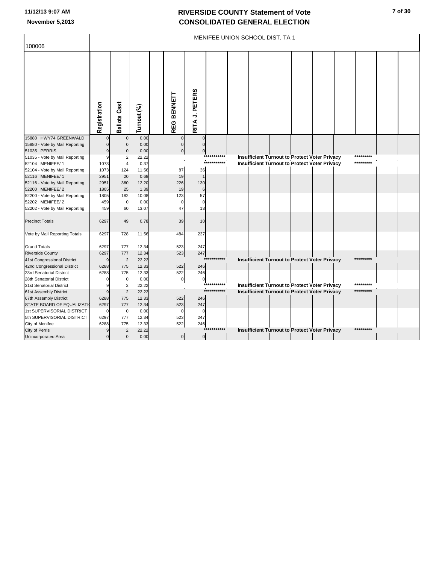| 100006                                              |               |                     |                |            |                             |             | MENIFEE UNION SCHOOL DIST, TA 1 |  |                                                                                                       |           |  |
|-----------------------------------------------------|---------------|---------------------|----------------|------------|-----------------------------|-------------|---------------------------------|--|-------------------------------------------------------------------------------------------------------|-----------|--|
|                                                     |               |                     |                |            |                             |             |                                 |  |                                                                                                       |           |  |
|                                                     | Registration  | <b>Ballots Cast</b> | Turnout (%)    | REG BENNET | RITA J. PETERS              |             |                                 |  |                                                                                                       |           |  |
| 15880 HWY74 GREENWALD                               |               | $\Omega$            | 0.00           |            | $\Omega$<br>$\Omega$        |             |                                 |  |                                                                                                       |           |  |
| 15880 - Vote by Mail Reporting                      |               | $\mathbf{0}$        | 0.00           |            | $\mathbf 0$<br>$\Omega$     |             |                                 |  |                                                                                                       |           |  |
| 51035 PERRIS                                        |               | $\Omega$            | 0.00           |            | $\mathbf 0$<br>$\mathbf 0$  |             |                                 |  |                                                                                                       |           |  |
| 51035 - Vote by Mail Reporting                      |               | 2                   | 22.22          |            |                             | *********** |                                 |  | Insufficient Turnout to Protect Voter Privacy                                                         | ********* |  |
| 52104 MENIFEE/1                                     | 1073          | $\overline{4}$      | 0.37           |            |                             | *********** |                                 |  | <b>Insufficient Turnout to Protect Voter Privacy</b>                                                  | ********* |  |
| 52104 - Vote by Mail Reporting                      | 1073          | 124                 | 11.56          | 87         | 36                          |             |                                 |  |                                                                                                       |           |  |
| 52116 MENIFEE/1                                     | 2951          | 20                  | 0.68           | 19         | $\overline{1}$              |             |                                 |  |                                                                                                       |           |  |
| 52116 - Vote by Mail Reporting                      | 2951          | 360                 | 12.20          | 226        | 130                         |             |                                 |  |                                                                                                       |           |  |
| 52200 MENIFEE/ 2                                    | 1805          | 25                  | 1.39           | 19         | $\,6$                       |             |                                 |  |                                                                                                       |           |  |
| 52200 - Vote by Mail Reporting                      | 1805          | 182                 | 10.08          | 123        | 57<br>$\Omega$              |             |                                 |  |                                                                                                       |           |  |
| 52202 MENIFEE/ 2                                    | 459<br>459    | $\mathbf 0$<br>60   | 0.00<br>13.07  | 47         | $\Omega$<br>13              |             |                                 |  |                                                                                                       |           |  |
| 52202 - Vote by Mail Reporting                      |               |                     |                |            |                             |             |                                 |  |                                                                                                       |           |  |
| <b>Precinct Totals</b>                              | 6297          | 49                  | 0.78           | 39         | 10                          |             |                                 |  |                                                                                                       |           |  |
| Vote by Mail Reporting Totals                       | 6297          | 728                 | 11.56          | 484        | 237                         |             |                                 |  |                                                                                                       |           |  |
| <b>Grand Totals</b>                                 | 6297          | 777                 | 12.34          | 523        | 247                         |             |                                 |  |                                                                                                       |           |  |
| <b>Riverside County</b>                             | 6297          | 777                 | 12.34          | 523        | 247                         |             |                                 |  |                                                                                                       |           |  |
| 41st Congressional District                         | g             | $\overline{2}$      | 22.22          |            |                             | $***$       |                                 |  | <b>Insufficient Turnout to Protect Voter Privacy</b>                                                  | ********* |  |
| 42nd Congressional District                         | 6288          | 775                 | 12.33          | 522        | 246                         |             |                                 |  |                                                                                                       |           |  |
| 23rd Senatorial District                            | 6288          | 775                 | 12.33          | 522        | 246                         |             |                                 |  |                                                                                                       |           |  |
| 28th Senatorial District                            |               | $\mathsf{C}$        | 0.00           |            | $\circ$<br>$\pmb{0}$        |             |                                 |  |                                                                                                       | ********* |  |
| 31st Senatorial District                            |               | 2                   | 22.22          |            |                             | *********** |                                 |  | Insufficient Turnout to Protect Voter Privacy<br><b>Insufficient Turnout to Protect Voter Privacy</b> | ********* |  |
| 61st Assembly District                              |               | $\overline{2}$      | 22.22          |            |                             |             |                                 |  |                                                                                                       |           |  |
| 67th Assembly District<br>STATE BOARD OF EQUALIZATI | 6288<br>6297  | 775<br>777          | 12.33<br>12.34 | 522<br>523 | 246<br>247                  |             |                                 |  |                                                                                                       |           |  |
| 1st SUPERVISORIAL DISTRICT                          | $\mathcal{C}$ | $\mathbf 0$         | 0.00           |            | $\Omega$<br>$\Omega$        |             |                                 |  |                                                                                                       |           |  |
| 5th SUPERVISORIAL DISTRICT                          | 6297          | 777                 | 12.34          | 523        | 247                         |             |                                 |  |                                                                                                       |           |  |
| City of Menifee                                     | 6288          | 775                 | 12.33          | 522        | 246                         |             |                                 |  |                                                                                                       |           |  |
| City of Perris                                      | 9             | $\overline{2}$      | 22.22          |            |                             | *********** |                                 |  | Insufficient Turnout to Protect Voter Privacy                                                         | ********* |  |
| Unincorporated Area                                 | $\Omega$      | $\mathbf{0}$        | 0.00           |            | $\pmb{0}$<br>$\overline{0}$ |             |                                 |  |                                                                                                       |           |  |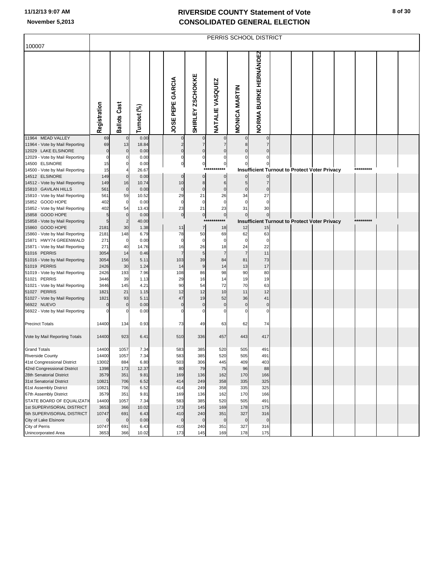|                                                       | PERRIS SCHOOL DISTRICT |                         |               |  |                   |                   |                        |                      |                              |  |                                               |  |  |           |  |
|-------------------------------------------------------|------------------------|-------------------------|---------------|--|-------------------|-------------------|------------------------|----------------------|------------------------------|--|-----------------------------------------------|--|--|-----------|--|
| 100007                                                |                        |                         |               |  |                   |                   |                        |                      |                              |  |                                               |  |  |           |  |
|                                                       | Registration           | <b>Ballots Cast</b>     | Turnout (%)   |  | JOSE PEPE GARCIA  | SHIRLEY ZSCHOKKE  | <b>NATALIE VASQUEZ</b> | <b>MONICA MARTIN</b> | <b>NORMA BURKE HERNÁNDEZ</b> |  |                                               |  |  |           |  |
| 11964 MEAD VALLEY<br>11964 - Vote by Mail Reporting   | 69<br>69               | $\mathbf 0$<br>13       | 0.00<br>18.84 |  | $\mathbf 0$       |                   | 0<br>7                 |                      | $\Omega$                     |  |                                               |  |  |           |  |
| 12029 LAKE ELSINORE                                   | $\Omega$               | 0                       | 0.00          |  | $\pmb{0}$         | $\mathbf 0$       | $\mathbf 0$            |                      |                              |  |                                               |  |  |           |  |
| 12029 - Vote by Mail Reporting                        |                        | 0                       | 0.00          |  | $\pmb{0}$         | 0                 | 0                      |                      |                              |  |                                               |  |  |           |  |
| 14500 ELSINORE                                        | 15                     | 0                       | 0.00          |  | $\mathbf{0}$      | $\mathbf 0$       | $\pmb{0}$              |                      |                              |  |                                               |  |  |           |  |
| 14500 - Vote by Mail Reporting                        | 15                     | $\overline{4}$          | 26.67         |  |                   |                   |                        |                      |                              |  | Insufficient Turnout to Protect Voter Privacy |  |  |           |  |
| 14512 ELSINORE                                        | 149                    | $\mathbf 0$             | 0.00          |  | $\mathbf 0$       | $\pmb{0}$         | $\mathbf 0$            | $\Omega$             | $\Omega$                     |  |                                               |  |  |           |  |
| 14512 - Vote by Mail Reporting                        | 149                    | 16                      | 10.74         |  | 10                | 8                 | $\,$ 6 $\,$            | 5                    | 7                            |  |                                               |  |  |           |  |
| 15810 GAVILAN HILLS<br>15810 - Vote by Mail Reporting | 561<br>561             | $\mathbf 0$<br>59       | 0.00<br>10.52 |  | $\mathbf 0$<br>29 | $\pmb{0}$<br>21   | $\bf 0$<br>26          | $\bf 0$<br>34        | $\mathcal{C}$<br>27          |  |                                               |  |  |           |  |
| 15852 GOOD HOPE                                       | 402                    | $\pmb{0}$               | 0.00          |  | 0                 | 0                 | 0                      | $\mathbf 0$          | $\Omega$                     |  |                                               |  |  |           |  |
| 15852 - Vote by Mail Reporting                        | 402                    | 54                      | 13.43         |  | 23                | 21                | 23                     | 31                   | 30                           |  |                                               |  |  |           |  |
| 15858 GOOD HOPE                                       |                        | $\mathbf 0$             | 0.00          |  | $\overline{0}$    | $\pmb{0}$         | $\mathbf{0}$           | $\Omega$             |                              |  |                                               |  |  |           |  |
| 15858 - Vote by Mail Reporting                        | 5                      | $\overline{\mathbf{c}}$ | 40.00         |  |                   | $**$              | $***$                  |                      |                              |  | Insufficient Turnout to Protect Voter Privacy |  |  | ********* |  |
| 15860 GOOD HOPE                                       | 2181                   | 30                      | 1.38          |  | 11                | $\overline{7}$    | 18                     | 12                   | 15                           |  |                                               |  |  |           |  |
| 15860 - Vote by Mail Reporting                        | 2181                   | 148                     | 6.79          |  | 78                | 50                | 69                     | 62                   | 63                           |  |                                               |  |  |           |  |
| 15871 HWY74 GREENWALD                                 | 271                    | 0                       | 0.00          |  | 0                 | 0                 | $\mathbf 0$            | $\mathbf 0$          | $\mathsf{C}$                 |  |                                               |  |  |           |  |
| 15871 - Vote by Mail Reporting<br>51016 PERRIS        | 271<br>3054            | 40<br>14                | 14.76<br>0.46 |  | 16                | 26<br>5           | 18<br>$\overline{7}$   | 24<br>$\overline{7}$ | 22<br>11                     |  |                                               |  |  |           |  |
| 51016 - Vote by Mail Reporting                        | 3054                   | 156                     | 5.11          |  | 103               | 39                | 84                     | 81                   | 73                           |  |                                               |  |  |           |  |
| 51019 PERRIS                                          | 2426                   | 30                      | 1.24          |  | 14                | 9                 | 14                     | 13                   | 17                           |  |                                               |  |  |           |  |
| 51019 - Vote by Mail Reporting                        | 2426                   | 193                     | 7.96          |  | 108               | 86                | 98                     | 90                   | 80                           |  |                                               |  |  |           |  |
| 51021 PERRIS                                          | 3446                   | 39                      | 1.13          |  | 29                | 16                | 14                     | 19                   | 19                           |  |                                               |  |  |           |  |
| 51021 - Vote by Mail Reporting                        | 3446                   | 145                     | 4.21          |  | 90                | 54                | 72                     | 70                   | 63                           |  |                                               |  |  |           |  |
| 51027 PERRIS                                          | 1821                   | 21                      | 1.15          |  | 12                | 12                | 10                     | 11                   | 12                           |  |                                               |  |  |           |  |
| 51027 - Vote by Mail Reporting<br>56922 NUEVO         | 1821                   | 93<br>0                 | 5.11<br>0.00  |  | 47<br>$\mathbf 0$ | 19<br>$\mathbf 0$ | 52<br>$\pmb{0}$        | 36<br>$\mathbf 0$    | 41<br>$\mathbf 0$            |  |                                               |  |  |           |  |
| 56922 - Vote by Mail Reporting                        |                        | 0                       | 0.00          |  | 0                 | 0                 | $\Omega$               | $\Omega$             | $\Omega$                     |  |                                               |  |  |           |  |
|                                                       |                        |                         |               |  |                   |                   |                        |                      |                              |  |                                               |  |  |           |  |
| <b>Precinct Totals</b>                                | 14400                  | 134                     | 0.93          |  | 73                | 49                | 63                     | 62                   | 74                           |  |                                               |  |  |           |  |
| Vote by Mail Reporting Totals                         | 14400                  | 923                     | 6.41          |  | 510               | 336               | 457                    | 443                  | 417                          |  |                                               |  |  |           |  |
| <b>Grand Totals</b>                                   | 14400                  | 1057                    | 7.34          |  | 583               | 385               | 520                    | 505                  | 491                          |  |                                               |  |  |           |  |
| <b>Riverside County</b>                               | 14400                  | 1057                    | 7.34          |  | 583               | 385               | 520                    | 505                  | 491                          |  |                                               |  |  |           |  |
| 41st Congressional District                           | 13002                  | 884                     | 6.80          |  | 503               | 306               | 445                    | 409                  | 403                          |  |                                               |  |  |           |  |
| 42nd Congressional District                           | 1398                   | 173                     | 12.37         |  | 80                | 79                | 75                     | 96                   | 88                           |  |                                               |  |  |           |  |
| 28th Senatorial District                              | 3579                   | 351                     | 9.81          |  | 169               | 136               | 162                    | 170                  | 166                          |  |                                               |  |  |           |  |
| 31st Senatorial District<br>61st Assembly District    | 10821<br>10821         | 706<br>706              | 6.52<br>6.52  |  | 414<br>414        | 249<br>249        | 358<br>358             | 335<br>335           | 325<br>325                   |  |                                               |  |  |           |  |
| 67th Assembly District                                | 3579                   | 351                     | 9.81          |  | 169               | 136               | 162                    | 170                  | 166                          |  |                                               |  |  |           |  |
| STATE BOARD OF EQUALIZATI                             | 14400                  | 1057                    | 7.34          |  | 583               | 385               | 520                    | 505                  | 491                          |  |                                               |  |  |           |  |
| 1st SUPERVISORIAL DISTRICT                            | 3653                   | 366                     | 10.02         |  | 173               | 145               | 169                    | 178                  | 175                          |  |                                               |  |  |           |  |
| 5th SUPERVISORIAL DISTRICT                            | 10747                  | 691                     | 6.43          |  | 410               | 240               | 351                    | 327                  | 316                          |  |                                               |  |  |           |  |
| City of Lake Elsinore                                 |                        | $\pmb{0}$               | 0.00          |  | $\pmb{0}$         | $\mathbf 0$       | $\mathbf 0$            | $\mathbf 0$          | $\mathbf 0$                  |  |                                               |  |  |           |  |
| City of Perris                                        | 10747                  | 691                     | 6.43          |  | 410               | 240               | 351                    | 327                  | 316                          |  |                                               |  |  |           |  |
| Unincorporated Area                                   | 3653                   | 366                     | 10.02         |  | 173               | 145               | 169                    | 178                  | 175                          |  |                                               |  |  |           |  |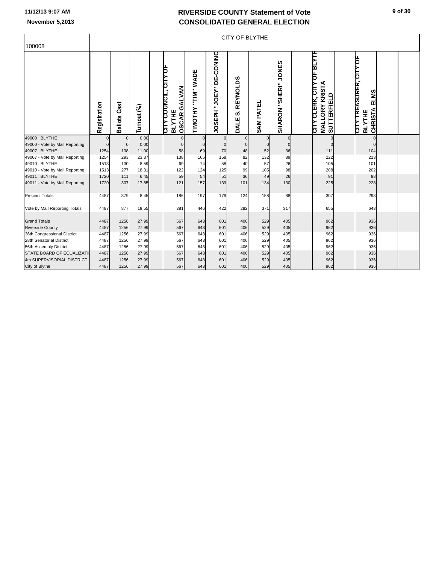|                                |              | <b>CITY OF BLYTHE</b>  |             |  |                                                                             |                       |                                   |                              |                     |                                |                                                                    |                    |                                                                      |  |  |
|--------------------------------|--------------|------------------------|-------------|--|-----------------------------------------------------------------------------|-----------------------|-----------------------------------|------------------------------|---------------------|--------------------------------|--------------------------------------------------------------------|--------------------|----------------------------------------------------------------------|--|--|
| 100008                         |              |                        |             |  |                                                                             |                       |                                   |                              |                     |                                |                                                                    |                    |                                                                      |  |  |
|                                | Registration | Cast<br><b>Ballots</b> | Turnout (%) |  | CITY COUNCIL, CITY OF<br><b>ALVAN</b><br>Õ<br><b>BLYTHE</b><br><b>OSCAR</b> | "TIM" WADE<br>TIMOTHY | "JOEY" DE-CONINC<br><b>JOSEPH</b> | <b>REYNOLDS</b><br>ဟ<br>DALE | PATEL<br><b>SAM</b> | <b>JONES</b><br>SHARON "SHERI" | ᅋᄧᅏ<br><b>ORY KRISTA</b><br><b>CLERK, CITY</b><br><b>MALL</b><br>᠊ | <b>SUTTERFIELD</b> | þ<br>TREASURER, CIT<br>ELMS<br><b>CHRISTA</b><br><b>BLYTHE</b><br>ξh |  |  |
| 49000 BLYTHE                   | $\mathbf 0$  | $\mathbf 0$            | 0.00        |  | $\mathbf{0}$                                                                | $\mathbf{0}$          | $\overline{0}$                    | $\overline{0}$               | $\Omega$            | $\mathbf 0$                    |                                                                    | $\pmb{0}$          | $\mathbf 0$                                                          |  |  |
| 49000 - Vote by Mail Reporting | $\Omega$     | $\overline{0}$         | 0.00        |  | $\Omega$                                                                    | $\Omega$              | $\Omega$                          | $\overline{0}$               |                     | $\Omega$                       |                                                                    | $\Omega$           | $\Omega$                                                             |  |  |
| 49007 BLYTHE                   | 1254         | 138                    | 11.00       |  | 58                                                                          | 69                    | 70                                | 48                           | 52                  | 36                             |                                                                    | 111                | 104                                                                  |  |  |
| 49007 - Vote by Mail Reporting | 1254         | 293                    | 23.37       |  | 138                                                                         | 165                   | 158                               | 82                           | 132                 | 89                             |                                                                    | 222                | 213                                                                  |  |  |
| 49010 BLYTHE                   | 1513         | 130                    | 8.59        |  | 69                                                                          | 74                    | 58                                | 40                           | 57                  | 26                             |                                                                    | 105                | 101                                                                  |  |  |
| 49010 - Vote by Mail Reporting | 1513         | 277                    | 18.31       |  | 122                                                                         | 124                   | 125                               | 99                           | 105                 | 98                             |                                                                    | 208                | 202                                                                  |  |  |
| 49011 BLYTHE                   | 1720         | 111                    | 6.45        |  | 59                                                                          | 54                    | 51                                | 36                           | 49                  | 26                             |                                                                    | 91                 | 88                                                                   |  |  |
| 49011 - Vote by Mail Reporting | 1720         | 307                    | 17.85       |  | 121                                                                         | 157                   | 139                               | 101                          | 134                 | 130                            |                                                                    | 225                | 228                                                                  |  |  |
| <b>Precinct Totals</b>         | 4487         | 379                    | 8.45        |  | 186                                                                         | 197                   | 179                               | 124                          | 158                 | 88                             |                                                                    | 307                | 293                                                                  |  |  |
| Vote by Mail Reporting Totals  | 4487         | 877                    | 19.55       |  | 381                                                                         | 446                   | 422                               | 282                          | 371                 | 317                            |                                                                    | 655                | 643                                                                  |  |  |
| <b>Grand Totals</b>            | 4487         | 1256                   | 27.99       |  | 567                                                                         | 643                   | 601                               | 406                          | 529                 | 405                            |                                                                    | 962                | 936                                                                  |  |  |
| <b>Riverside County</b>        | 4487         | 1256                   | 27.99       |  | 567                                                                         | 643                   | 601                               | 406                          | 529                 | 405                            |                                                                    | 962                | 936                                                                  |  |  |
| 36th Congressional District    | 4487         | 1256                   | 27.99       |  | 567                                                                         | 643                   | 601                               | 406                          | 529                 | 405                            |                                                                    | 962                | 936                                                                  |  |  |
| 28th Senatorial District       | 4487         | 1256                   | 27.99       |  | 567                                                                         | 643                   | 601                               | 406                          | 529                 | 405                            |                                                                    | 962                | 936                                                                  |  |  |
| 56th Assembly District         | 4487         | 1256                   | 27.99       |  | 567                                                                         | 643                   | 601                               | 406                          | 529                 | 405                            |                                                                    | 962                | 936                                                                  |  |  |
| STATE BOARD OF EQUALIZATI      | 4487         | 1256                   | 27.99       |  | 567                                                                         | 643                   | 601                               | 406                          | 529                 | 405                            |                                                                    | 962                | 936                                                                  |  |  |
| 4th SUPERVISORIAL DISTRICT     | 4487         | 1256                   | 27.99       |  | 567                                                                         | 643                   | 601                               | 406                          | 529                 | 405                            |                                                                    | 962                | 936                                                                  |  |  |
| City of Blythe                 | 4487         | 1256                   | 27.99       |  | 567                                                                         | 643                   | 601                               | 406                          | 529                 | 405                            |                                                                    | 962                | 936                                                                  |  |  |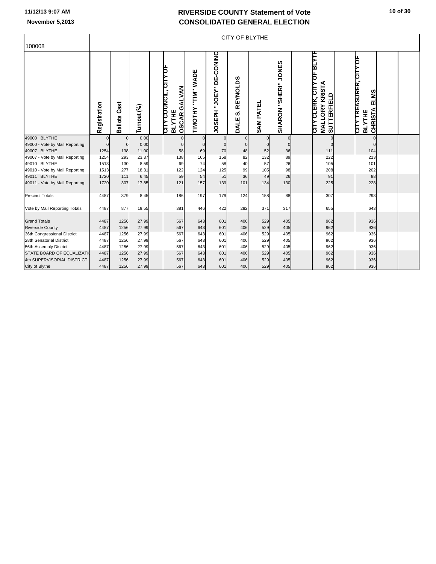|                                |              | <b>CITY OF BLYTHE</b>  |             |  |                                                                         |                       |                                      |                                      |                     |                                |                                                                                          |                                                                                   |             |  |  |
|--------------------------------|--------------|------------------------|-------------|--|-------------------------------------------------------------------------|-----------------------|--------------------------------------|--------------------------------------|---------------------|--------------------------------|------------------------------------------------------------------------------------------|-----------------------------------------------------------------------------------|-------------|--|--|
| 100008                         |              |                        |             |  |                                                                         |                       |                                      |                                      |                     |                                |                                                                                          |                                                                                   |             |  |  |
|                                | Registration | Cast<br><b>Ballots</b> | Turnout (%) |  | CITY COUNCIL, CITY OF<br><b>GALVAN</b><br><b>BLYTHE</b><br><b>OSCAR</b> | "TIM" WADE<br>TIMOTHY | DE-CONINC<br>"JOEY"<br><b>JOSEPH</b> | <b>REYNOLDS</b><br><b>ဟဲ</b><br>DALE | PATEL<br><b>SAM</b> | <b>JONES</b><br>SHARON "SHERI" | 마파까<br><b>ORY KRISTA</b><br><b>CLERK, CITY</b><br><b>SUTTERFIELD</b><br><b>MALL</b><br>È | þ<br><b>TREASURER, CIT</b><br><b>ELMS</b><br><b>CHRISTA</b><br><b>BLYTHE</b><br>È |             |  |  |
| 49000 BLYTHE                   |              | $\overline{0}$         | 0.00        |  | $\mathbf 0$                                                             | $\mathbf 0$           | $\mathbf 0$                          | $\overline{0}$                       | $\overline{0}$      | $\Omega$                       | $\Omega$                                                                                 |                                                                                   | $\mathbf 0$ |  |  |
| 49000 - Vote by Mail Reporting | $\Omega$     | $\Omega$               | 0.00        |  | $\Omega$                                                                | $\Omega$              | $\Omega$                             | $\Omega$                             | $\overline{0}$      | $\Omega$                       |                                                                                          |                                                                                   | $\mathbf 0$ |  |  |
| 49007 BLYTHE                   | 1254         | 138                    | 11.00       |  | 58                                                                      | 69                    | 70                                   | 48                                   | 52                  | 36                             | 111                                                                                      | 104                                                                               |             |  |  |
| 49007 - Vote by Mail Reporting | 1254         | 293                    | 23.37       |  | 138                                                                     | 165                   | 158                                  | 82                                   | 132                 | 89                             | 222                                                                                      | 213                                                                               |             |  |  |
| 49010 BLYTHE                   | 1513         | 130                    | 8.59        |  | 69                                                                      | 74                    | 58                                   | 40                                   | 57                  | 26                             | 105                                                                                      | 101                                                                               |             |  |  |
| 49010 - Vote by Mail Reporting | 1513         | 277                    | 18.31       |  | 122                                                                     | 124                   | 125                                  | 99                                   | 105                 | 98                             | 208                                                                                      | 202                                                                               |             |  |  |
| 49011 BLYTHE                   | 1720         | 111                    | 6.45        |  | 59                                                                      | 54                    | 51                                   | 36                                   | 49                  | 26                             | 91                                                                                       | 88                                                                                |             |  |  |
| 49011 - Vote by Mail Reporting | 1720         | 307                    | 17.85       |  | 121                                                                     | 157                   | 139                                  | 101                                  | 134                 | 130                            | 225                                                                                      | 228                                                                               |             |  |  |
| <b>Precinct Totals</b>         | 4487         | 379                    | 8.45        |  | 186                                                                     | 197                   | 179                                  | 124                                  | 158                 | 88                             | 307                                                                                      | 293                                                                               |             |  |  |
| Vote by Mail Reporting Totals  | 4487         | 877                    | 19.55       |  | 381                                                                     | 446                   | 422                                  | 282                                  | 371                 | 317                            | 655                                                                                      | 643                                                                               |             |  |  |
| <b>Grand Totals</b>            | 4487         | 1256                   | 27.99       |  | 567                                                                     | 643                   | 601                                  | 406                                  | 529                 | 405                            | 962                                                                                      | 936                                                                               |             |  |  |
| <b>Riverside County</b>        | 4487         | 1256                   | 27.99       |  | 567                                                                     | 643                   | 601                                  | 406                                  | 529                 | 405                            | 962                                                                                      | 936                                                                               |             |  |  |
| 36th Congressional District    | 4487         | 1256                   | 27.99       |  | 567                                                                     | 643                   | 601                                  | 406                                  | 529                 | 405                            | 962                                                                                      | 936                                                                               |             |  |  |
| 28th Senatorial District       | 4487         | 1256                   | 27.99       |  | 567                                                                     | 643                   | 601                                  | 406                                  | 529                 | 405                            | 962                                                                                      | 936                                                                               |             |  |  |
| 56th Assembly District         | 4487         | 1256                   | 27.99       |  | 567                                                                     | 643                   | 601                                  | 406                                  | 529                 | 405                            | 962                                                                                      | 936                                                                               |             |  |  |
| STATE BOARD OF EQUALIZATI      | 4487         | 1256                   | 27.99       |  | 567                                                                     | 643                   | 601                                  | 406                                  | 529                 | 405                            | 962                                                                                      | 936                                                                               |             |  |  |
| 4th SUPERVISORIAL DISTRICT     | 4487         | 1256                   | 27.99       |  | 567                                                                     | 643                   | 601                                  | 406                                  | 529                 | 405                            | 962                                                                                      | 936                                                                               |             |  |  |
| City of Blythe                 | 4487         | 1256                   | 27.99       |  | 567                                                                     | 643                   | 601                                  | 406                                  | 529                 | 405                            | 962                                                                                      | 936                                                                               |             |  |  |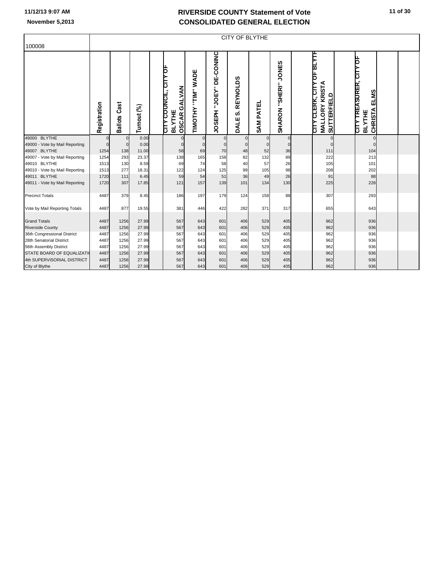|                                |              | <b>CITY OF BLYTHE</b>  |             |  |                                                                             |                       |                                   |                              |                     |                                |                                                                    |                    |                                                                      |  |  |
|--------------------------------|--------------|------------------------|-------------|--|-----------------------------------------------------------------------------|-----------------------|-----------------------------------|------------------------------|---------------------|--------------------------------|--------------------------------------------------------------------|--------------------|----------------------------------------------------------------------|--|--|
| 100008                         |              |                        |             |  |                                                                             |                       |                                   |                              |                     |                                |                                                                    |                    |                                                                      |  |  |
|                                | Registration | Cast<br><b>Ballots</b> | Turnout (%) |  | CITY COUNCIL, CITY OF<br><b>ALVAN</b><br>Õ<br><b>BLYTHE</b><br><b>OSCAR</b> | "TIM" WADE<br>TIMOTHY | "JOEY" DE-CONINC<br><b>JOSEPH</b> | <b>REYNOLDS</b><br>ဟ<br>DALE | PATEL<br><b>SAM</b> | <b>JONES</b><br>SHARON "SHERI" | ᅋᄧᅏ<br><b>ORY KRISTA</b><br><b>CLERK, CITY</b><br><b>MALL</b><br>᠊ | <b>SUTTERFIELD</b> | þ<br>TREASURER, CIT<br>ELMS<br><b>CHRISTA</b><br><b>BLYTHE</b><br>ξh |  |  |
| 49000 BLYTHE                   | $\mathbf 0$  | $\mathbf 0$            | 0.00        |  | $\mathbf{0}$                                                                | $\mathbf{0}$          | $\overline{0}$                    | $\overline{0}$               | $\Omega$            | $\mathbf 0$                    |                                                                    | $\pmb{0}$          | $\mathbf 0$                                                          |  |  |
| 49000 - Vote by Mail Reporting | $\Omega$     | $\overline{0}$         | 0.00        |  | $\Omega$                                                                    | $\Omega$              | $\Omega$                          | $\overline{0}$               |                     | $\Omega$                       |                                                                    | $\Omega$           | $\Omega$                                                             |  |  |
| 49007 BLYTHE                   | 1254         | 138                    | 11.00       |  | 58                                                                          | 69                    | 70                                | 48                           | 52                  | 36                             |                                                                    | 111                | 104                                                                  |  |  |
| 49007 - Vote by Mail Reporting | 1254         | 293                    | 23.37       |  | 138                                                                         | 165                   | 158                               | 82                           | 132                 | 89                             |                                                                    | 222                | 213                                                                  |  |  |
| 49010 BLYTHE                   | 1513         | 130                    | 8.59        |  | 69                                                                          | 74                    | 58                                | 40                           | 57                  | 26                             |                                                                    | 105                | 101                                                                  |  |  |
| 49010 - Vote by Mail Reporting | 1513         | 277                    | 18.31       |  | 122                                                                         | 124                   | 125                               | 99                           | 105                 | 98                             |                                                                    | 208                | 202                                                                  |  |  |
| 49011 BLYTHE                   | 1720         | 111                    | 6.45        |  | 59                                                                          | 54                    | 51                                | 36                           | 49                  | 26                             |                                                                    | 91                 | 88                                                                   |  |  |
| 49011 - Vote by Mail Reporting | 1720         | 307                    | 17.85       |  | 121                                                                         | 157                   | 139                               | 101                          | 134                 | 130                            |                                                                    | 225                | 228                                                                  |  |  |
| <b>Precinct Totals</b>         | 4487         | 379                    | 8.45        |  | 186                                                                         | 197                   | 179                               | 124                          | 158                 | 88                             |                                                                    | 307                | 293                                                                  |  |  |
| Vote by Mail Reporting Totals  | 4487         | 877                    | 19.55       |  | 381                                                                         | 446                   | 422                               | 282                          | 371                 | 317                            |                                                                    | 655                | 643                                                                  |  |  |
| <b>Grand Totals</b>            | 4487         | 1256                   | 27.99       |  | 567                                                                         | 643                   | 601                               | 406                          | 529                 | 405                            |                                                                    | 962                | 936                                                                  |  |  |
| <b>Riverside County</b>        | 4487         | 1256                   | 27.99       |  | 567                                                                         | 643                   | 601                               | 406                          | 529                 | 405                            |                                                                    | 962                | 936                                                                  |  |  |
| 36th Congressional District    | 4487         | 1256                   | 27.99       |  | 567                                                                         | 643                   | 601                               | 406                          | 529                 | 405                            |                                                                    | 962                | 936                                                                  |  |  |
| 28th Senatorial District       | 4487         | 1256                   | 27.99       |  | 567                                                                         | 643                   | 601                               | 406                          | 529                 | 405                            |                                                                    | 962                | 936                                                                  |  |  |
| 56th Assembly District         | 4487         | 1256                   | 27.99       |  | 567                                                                         | 643                   | 601                               | 406                          | 529                 | 405                            |                                                                    | 962                | 936                                                                  |  |  |
| STATE BOARD OF EQUALIZATI      | 4487         | 1256                   | 27.99       |  | 567                                                                         | 643                   | 601                               | 406                          | 529                 | 405                            |                                                                    | 962                | 936                                                                  |  |  |
| 4th SUPERVISORIAL DISTRICT     | 4487         | 1256                   | 27.99       |  | 567                                                                         | 643                   | 601                               | 406                          | 529                 | 405                            |                                                                    | 962                | 936                                                                  |  |  |
| City of Blythe                 | 4487         | 1256                   | 27.99       |  | 567                                                                         | 643                   | 601                               | 406                          | 529                 | 405                            |                                                                    | 962                | 936                                                                  |  |  |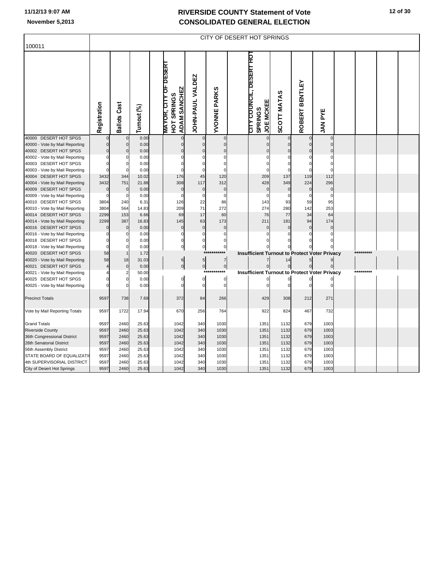|                                                            |              |                     |              |                              |                                    |                         |                     | CITY OF DESERT HOT SPRINGS                                            |                    |                      |                 |           |  |
|------------------------------------------------------------|--------------|---------------------|--------------|------------------------------|------------------------------------|-------------------------|---------------------|-----------------------------------------------------------------------|--------------------|----------------------|-----------------|-----------|--|
| 100011                                                     |              |                     |              |                              |                                    |                         |                     |                                                                       |                    |                      |                 |           |  |
|                                                            |              |                     |              |                              |                                    |                         |                     |                                                                       |                    |                      |                 |           |  |
|                                                            | Registration | <b>Ballots Cast</b> | Turnout (%)  | <b>MAYOR, CITY OF DESERT</b> | <b>ADAM SANCHEZ</b><br>HOT SPRINGS | <b>JOHN-PAUL VALDEZ</b> | <b>YVONNE PARKS</b> | <b>CITY COUNCIL, DESERT HOT</b><br><b>JOE MCKEE</b><br><b>SPRINGS</b> | <b>SCOTT MATAS</b> | ROBERT BENTLEY       | <b>JAN PYE</b>  |           |  |
| 40000 DESERT HOT SPGS                                      |              |                     | 0.00         |                              | $\overline{0}$                     |                         | $\mathbf 0$         | $\Omega$                                                              |                    |                      | $\mathbf 0$     |           |  |
| 40000 - Vote by Mail Reporting                             |              | $\Omega$            | 0.00         |                              | $\Omega$                           | $\Omega$                | $\mathbf 0$         | $\sqrt{ }$                                                            | $\Omega$           |                      | $\Omega$        |           |  |
| 40002 DESERT HOT SPGS                                      |              | $\mathbf 0$         | 0.00         |                              |                                    | $\mathbf 0$             | $\pmb{0}$           |                                                                       |                    |                      |                 |           |  |
| 40002 - Vote by Mail Reporting                             |              |                     | 0.00         |                              | 0                                  |                         | $\overline{0}$      | $\mathcal{C}$                                                         |                    |                      | C               |           |  |
| 40003 DESERT HOT SPGS                                      |              | $\Omega$            | 0.00         |                              |                                    | $\Omega$                | $\Omega$            | C                                                                     | $\Omega$           | C                    | $\Omega$        |           |  |
| 40003 - Vote by Mail Reporting                             |              | $\Omega$            | 0.00         |                              |                                    | 0                       | $\Omega$            |                                                                       | $\Omega$           |                      | $\Omega$        |           |  |
| 40004 DESERT HOT SPGS                                      | 3432         | 344                 | 10.02        |                              | 176                                | 45                      | 120                 | 209                                                                   | 137                | 119                  | 112             |           |  |
| 40004 - Vote by Mail Reporting<br>DESERT HOT SPGS<br>40009 | 3432         | 751<br>$\Omega$     | 21.88        |                              | 308<br>$\Omega$                    | 117                     | 312<br>$\mathbf 0$  | 428<br>$\mathsf{C}$                                                   | 349<br>0           | 224<br>$\mathcal{C}$ | 296<br>$\Omega$ |           |  |
| 40009 - Vote by Mail Reporting                             |              | $\Omega$            | 0.00<br>0.00 |                              | 0                                  | $\bf{0}$<br>$\Omega$    | $\Omega$            | C                                                                     | C                  |                      | C               |           |  |
| 40010 DESERT HOT SPGS                                      | 3804         | 240                 | 6.31         |                              | 126                                | 22                      | 86                  | 143                                                                   | 93                 | 59                   | 95              |           |  |
| 40010 - Vote by Mail Reporting                             | 3804         | 564                 | 14.83        |                              | 209                                | 71                      | 272                 | 274                                                                   | 280                | 142                  | 253             |           |  |
| 40014 DESERT HOT SPGS                                      | 2299         | 153                 | 6.66         |                              | 69                                 | 17                      | 60                  | 76                                                                    | 77                 | 34                   | 64              |           |  |
| 40014 - Vote by Mail Reporting                             | 2299         | 387                 | 16.83        |                              | 145                                | 63                      | 173                 | 211                                                                   | 181                | 94                   | 174             |           |  |
| 40016 DESERT HOT SPGS                                      |              | $\mathbf 0$         | 0.00         |                              | $\mathbf 0$                        | $\mathbf 0$             | $\pmb{0}$           | C                                                                     | $\Omega$           | $\mathsf{C}$         | $\mathbf 0$     |           |  |
| 40016 - Vote by Mail Reporting                             |              |                     | 0.00         |                              | 0                                  | 0                       | $\bf{0}$            | C                                                                     |                    |                      | C               |           |  |
| 40018 DESERT HOT SPGS                                      |              |                     | 0.00         |                              | $\bf{0}$                           | 0                       | $\mathbf 0$         |                                                                       |                    |                      |                 |           |  |
| 40018 - Vote by Mail Reporting                             | $\Omega$     | $\Omega$            | 0.00         |                              | $\overline{0}$                     | $\pmb{0}$               | $\mathbf 0$         |                                                                       |                    |                      |                 |           |  |
| 40020 DESERT HOT SPGS                                      | 58           | $\mathbf{1}$        | 1.72         |                              |                                    |                         | ***                 | <b>Insufficient Turnout to Protect Voter Privacy</b>                  |                    |                      |                 | ********* |  |
| 40020 - Vote by Mail Reporting                             | 58           | 18                  | 31.03        |                              | 6                                  | 5 <sub>5</sub>          | $\overline{7}$      |                                                                       | 14                 |                      | 9               |           |  |
| 40021 DESERT HOT SPGS                                      |              | $\mathbf 0$         | 0.00         |                              | 이                                  | $\overline{0}$          | $\circ$             | 0                                                                     | $\mathbf 0$        |                      |                 |           |  |
| 40021 - Vote by Mail Reporting                             |              |                     | 50.00        |                              |                                    | $***$                   | ***                 | <b>Insufficient Turnout to Protect Voter Privacy</b>                  |                    |                      |                 | ********* |  |
| 40025 DESERT HOT SPGS                                      |              | $\mathbf 0$         | 0.00         |                              | 0                                  | $\mathbf 0$             | $\bf{0}$            |                                                                       |                    |                      |                 |           |  |
| 40025 - Vote by Mail Reporting                             |              | $\Omega$            | 0.00         |                              | $\Omega$                           | $\Omega$                | $\Omega$            |                                                                       | $\sqrt{2}$         |                      |                 |           |  |
| <b>Precinct Totals</b>                                     | 9597         | 738                 | 7.69         |                              | 372                                | 84                      | 266                 | 429                                                                   | 308                | 212                  | 271             |           |  |
| Vote by Mail Reporting Totals                              | 9597         | 1722                | 17.94        |                              | 670                                | 256                     | 764                 | 922                                                                   | 824                | 467                  | 732             |           |  |
| <b>Grand Totals</b>                                        | 9597         | 2460                | 25.63        |                              | 1042                               | 340                     | 1030                | 1351                                                                  | 1132               | 679                  | 1003            |           |  |
| <b>Riverside County</b>                                    | 9597         | 2460                | 25.63        |                              | 1042                               | 340                     | 1030                | 1351                                                                  | 1132               | 679                  | 1003            |           |  |
| 36th Congressional District                                | 9597         | 2460                | 25.63        |                              | 1042                               | 340                     | 1030                | 1351                                                                  | 1132               | 679                  | 1003            |           |  |
| 28th Senatorial District                                   | 9597         | 2460                | 25.63        |                              | 1042                               | 340                     | 1030                | 1351                                                                  | 1132               | 679                  | 1003            |           |  |
| 56th Assembly District                                     | 9597         | 2460                | 25.63        |                              | 1042                               | 340                     | 1030                | 1351                                                                  | 1132               | 679                  | 1003            |           |  |
| STATE BOARD OF EQUALIZATI                                  | 9597         | 2460                | 25.63        |                              | 1042                               | 340                     | 1030                | 1351                                                                  | 1132               | 679                  | 1003            |           |  |
| 4th SUPERVISORIAL DISTRICT                                 | 9597         | 2460                | 25.63        |                              | 1042                               | 340                     | 1030                | 1351                                                                  | 1132               | 679                  | 1003            |           |  |
| City of Desert Hot Springs                                 | 9597         | 2460                | 25.63        |                              | 1042                               | 340                     | 1030                | 1351                                                                  | 1132               | 679                  | 1003            |           |  |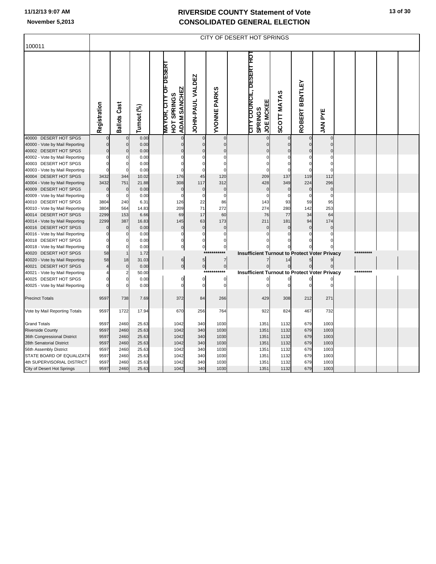|                                                         |              |                               |               |                                                                    |                         |                               | CITY OF DESERT HOT SPRINGS                                          |                    |                          |                             |           |  |
|---------------------------------------------------------|--------------|-------------------------------|---------------|--------------------------------------------------------------------|-------------------------|-------------------------------|---------------------------------------------------------------------|--------------------|--------------------------|-----------------------------|-----------|--|
| 100011                                                  |              |                               |               |                                                                    |                         |                               |                                                                     |                    |                          |                             |           |  |
|                                                         |              |                               |               |                                                                    |                         |                               |                                                                     |                    |                          |                             |           |  |
|                                                         | Registration | <b>Ballots Cast</b>           | Turnout (%)   | <b>MAYOR, CITY OF DESERT</b><br><b>ADAM SANCHEZ</b><br>HOT SPRINGS | <b>JOHN-PAUL VALDEZ</b> | <b>YVONNE PARKS</b>           | CITY COUNCIL, DESERT HOT<br><b>JOE MCKEE</b><br><b>SPRINGS</b>      | <b>SCOTT MATAS</b> | <b>BENTLEY</b><br>ROBERT | <b>JAN PYE</b>              |           |  |
| 40000 DESERT HOT SPGS                                   |              | $\mathbf{0}$                  | 0.00          | $\overline{0}$                                                     |                         | $\mathbf 0$                   | $\mathbf 0$                                                         |                    |                          | $\mathbf 0$                 |           |  |
| 40000 - Vote by Mail Reporting                          |              | $\mathbf 0$                   | 0.00          | $\Omega$                                                           | $\mathbf 0$             | $\pmb{0}$                     | $\Omega$                                                            | $\mathbf 0$        |                          | $\Omega$                    |           |  |
| 40002 DESERT HOT SPGS                                   |              | $\mathbf 0$                   | 0.00          | $\mathbf 0$                                                        | $\mathbf 0$             | $\mathbf 0$<br>$\overline{0}$ | C                                                                   | $\Omega$           |                          | $\Omega$                    |           |  |
| 40002 - Vote by Mail Reporting<br>40003 DESERT HOT SPGS |              | $\Omega$                      | 0.00<br>0.00  | 0<br>$\Omega$                                                      | $\Omega$                | $\mathbf 0$                   | $\mathcal{C}$<br>C                                                  | $\Omega$           | C                        | $\mathcal{C}$<br>$\sqrt{ }$ |           |  |
| 40003 - Vote by Mail Reporting                          |              | $\Omega$                      | 0.00          | $\Omega$                                                           | $\Omega$                | $\Omega$                      | $\sqrt{ }$                                                          | $\Omega$           |                          | $\Omega$                    |           |  |
| 40004 DESERT HOT SPGS                                   | 3432         | 344                           | 10.02         | 176                                                                | 45                      | 120                           | 209                                                                 | 137                | 119                      | 112                         |           |  |
| 40004 - Vote by Mail Reporting                          | 3432         | 751                           | 21.88         | 308                                                                | 117                     | 312                           | 428                                                                 | 349                | 224                      | 296                         |           |  |
| 40009 DESERT HOT SPGS                                   |              | 0                             | 0.00          | $\mathbf{0}$                                                       | $\mathbf 0$             | $\mathbf 0$                   | $\mathsf{C}$                                                        | $\mathbf 0$        | C                        | $\mathbf 0$                 |           |  |
| 40009 - Vote by Mail Reporting                          |              | $\Omega$                      | 0.00          | $\Omega$                                                           | $\Omega$                | $\Omega$                      |                                                                     | C                  |                          |                             |           |  |
| 40010 DESERT HOT SPGS                                   | 3804         | 240                           | 6.31          | 126                                                                | 22                      | 86                            | 143                                                                 | 93                 | 59                       | 95                          |           |  |
| 40010 - Vote by Mail Reporting                          | 3804         | 564                           | 14.83         | 209                                                                | 71                      | 272                           | 274                                                                 | 280                | 142                      | 253                         |           |  |
| 40014 DESERT HOT SPGS                                   | 2299         | 153                           | 6.66          | 69                                                                 | 17                      | 60                            | 76                                                                  | 77                 | 34                       | 64                          |           |  |
| 40014 - Vote by Mail Reporting                          | 2299         | 387                           | 16.83         | 145                                                                | 63                      | 173                           | 211                                                                 | 181                | 94                       | 174                         |           |  |
| 40016 DESERT HOT SPGS                                   |              | $\mathbf 0$                   | 0.00          | $\mathbf 0$                                                        | $\mathbf 0$             | $\pmb{0}$                     | $\mathsf{C}$                                                        | $\Omega$           | $\mathsf{C}$             | $\mathbf 0$                 |           |  |
| 40016 - Vote by Mail Reporting                          |              |                               | 0.00          | 0                                                                  | 0                       | $\mathbf 0$                   | C                                                                   | 0                  |                          | $\Omega$                    |           |  |
| 40018 DESERT HOT SPGS                                   |              |                               | 0.00          | 0                                                                  | $\mathbf 0$             | $\mathbf 0$                   |                                                                     |                    |                          |                             |           |  |
| 40018 - Vote by Mail Reporting                          | $\Omega$     | $\Omega$                      | 0.00          | $\overline{0}$                                                     | $\mathbf 0$             | $\bf{0}$<br>$***$             |                                                                     | $\Omega$           |                          |                             | ********* |  |
| 40020 DESERT HOT SPGS                                   | 58           | $\mathbf{1}$                  | 1.72          |                                                                    |                         |                               | <b>Insufficient Turnout to Protect Voter Privacy</b>                |                    |                          |                             |           |  |
| 40020 - Vote by Mail Reporting                          | 58           | 18                            | 31.03         | 6                                                                  | $5\overline{)}$         | $\overline{7}$                |                                                                     | 14                 |                          | 9                           |           |  |
| 40021 DESERT HOT SPGS                                   |              | $\mathbf 0$<br>$\overline{2}$ | 0.00          | $\overline{0}$                                                     | $\overline{0}$<br>$***$ | $\circ$<br>***                | $\mathbf 0$<br><b>Insufficient Turnout to Protect Voter Privacy</b> | $\mathbf 0$        | $\mathbf 0$              |                             |           |  |
| 40021 - Vote by Mail Reporting<br>40025 DESERT HOT SPGS |              | $\Omega$                      | 50.00<br>0.00 | 0                                                                  | $\mathbf 0$             | $\mathbf 0$                   |                                                                     |                    |                          |                             |           |  |
| 40025 - Vote by Mail Reporting                          |              |                               | 0.00          | $\Omega$                                                           | $\Omega$                | $\mathbf 0$                   |                                                                     | $\sqrt{2}$         |                          |                             |           |  |
|                                                         |              |                               |               |                                                                    |                         |                               |                                                                     |                    |                          |                             |           |  |
| <b>Precinct Totals</b>                                  | 9597         | 738                           | 7.69          | 372                                                                | 84                      | 266                           | 429                                                                 | 308                | 212                      | 271                         |           |  |
| Vote by Mail Reporting Totals                           | 9597         | 1722                          | 17.94         | 670                                                                | 256                     | 764                           | 922                                                                 | 824                | 467                      | 732                         |           |  |
| <b>Grand Totals</b>                                     | 9597         | 2460                          | 25.63         | 1042                                                               | 340                     | 1030                          | 1351                                                                | 1132               | 679                      | 1003                        |           |  |
| <b>Riverside County</b>                                 | 9597         | 2460                          | 25.63         | 1042                                                               | 340                     | 1030                          | 1351                                                                | 1132               | 679                      | 1003                        |           |  |
| 36th Congressional District                             | 9597         | 2460                          | 25.63         | 1042                                                               | 340                     | 1030                          | 1351                                                                | 1132               | 679                      | 1003                        |           |  |
| 28th Senatorial District                                | 9597         | 2460                          | 25.63         | 1042                                                               | 340                     | 1030                          | 1351                                                                | 1132               | 679                      | 1003                        |           |  |
| 56th Assembly District                                  | 9597         | 2460                          | 25.63         | 1042                                                               | 340                     | 1030                          | 1351                                                                | 1132               | 679                      | 1003                        |           |  |
| STATE BOARD OF EQUALIZATI                               | 9597         | 2460                          | 25.63         | 1042                                                               | 340                     | 1030                          | 1351                                                                | 1132               | 679                      | 1003                        |           |  |
| 4th SUPERVISORIAL DISTRICT                              | 9597         | 2460                          | 25.63         | 1042                                                               | 340                     | 1030                          | 1351                                                                | 1132               | 679                      | 1003                        |           |  |
| City of Desert Hot Springs                              | 9597         | 2460                          | 25.63         | 1042                                                               | 340                     | 1030                          | 1351                                                                | 1132               | 679                      | 1003                        |           |  |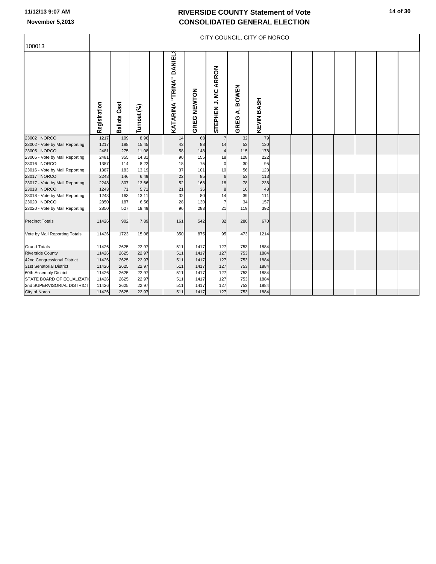| 100013                         |              |                     |             |                         |             |                         |                           | CITY COUNCIL, CITY OF NORCO |  |  |  |  |
|--------------------------------|--------------|---------------------|-------------|-------------------------|-------------|-------------------------|---------------------------|-----------------------------|--|--|--|--|
|                                | Registration | <b>Ballots Cast</b> | Turnout (%) | KATARINA "TRINA" DANIEL | GREG NEWTON | STEPHEN J. MC ARRON     | <b>BOWEN</b><br>خ<br>GREG | <b>KEVIN BASH</b>           |  |  |  |  |
| 23002 NORCO                    | 1217         | 109                 | 8.96        | 14                      | 68          | $\overline{7}$          | 32                        | 79                          |  |  |  |  |
| 23002 - Vote by Mail Reporting | 1217         | 188                 | 15.45       | 43                      | 88          | 14                      | 53                        | 130                         |  |  |  |  |
| 23005 NORCO                    | 2481         | 275                 | 11.08       | 58                      | 148         | $\overline{\mathbf{4}}$ | 115                       | 178                         |  |  |  |  |
| 23005 - Vote by Mail Reporting | 2481         | 355                 | 14.31       | 90                      | 155         | 18                      | 128                       | 222                         |  |  |  |  |
| 23016 NORCO                    | 1387         | 114                 | 8.22        | 18                      | 75          | 0                       | 30                        | 95                          |  |  |  |  |
| 23016 - Vote by Mail Reporting | 1387         | 183                 | 13.19       | 37                      | 101         | 10                      | 56                        | 123                         |  |  |  |  |
| 23017 NORCO                    | 2248         | 146                 | 6.49        | 22                      | 85          | $6\phantom{1}6$         | 53                        | 113                         |  |  |  |  |
| 23017 - Vote by Mail Reporting | 2248         | 307                 | 13.66       | 52                      | 168         | 18                      | 78                        | 236                         |  |  |  |  |
| 23018 NORCO                    | 1243         | 71                  | 5.71        | 21                      | 36          | $\bf8$                  | 16                        | 48                          |  |  |  |  |
| 23018 - Vote by Mail Reporting | 1243         | 163                 | 13.11       | 32                      | 80          | 14                      | 39                        | 111                         |  |  |  |  |
| 23020 NORCO                    | 2850         | 187                 | 6.56        | 28                      | 130         | $\overline{7}$          | 34                        | 157                         |  |  |  |  |
| 23020 - Vote by Mail Reporting | 2850         | 527                 | 18.49       | 96                      | 283         | 21                      | 119                       | 392                         |  |  |  |  |
| <b>Precinct Totals</b>         | 11426        | 902                 | 7.89        | 161                     | 542         | 32                      | 280                       | 670                         |  |  |  |  |
| Vote by Mail Reporting Totals  | 11426        | 1723                | 15.08       | 350                     | 875         | 95                      | 473                       | 1214                        |  |  |  |  |
| <b>Grand Totals</b>            | 11426        | 2625                | 22.97       | 511                     | 1417        | 127                     | 753                       | 1884                        |  |  |  |  |
| <b>Riverside County</b>        | 11426        | 2625                | 22.97       | 511                     | 1417        | 127                     | 753                       | 1884                        |  |  |  |  |
| 42nd Congressional District    | 11426        | 2625                | 22.97       | 511                     | 1417        | 127                     | 753                       | 1884                        |  |  |  |  |
| 31st Senatorial District       | 11426        | 2625                | 22.97       | 511                     | 1417        | 127                     | 753                       | 1884                        |  |  |  |  |
| 60th Assembly District         | 11426        | 2625                | 22.97       | 511                     | 1417        | 127                     | 753                       | 1884                        |  |  |  |  |
| STATE BOARD OF EQUALIZATI      | 11426        | 2625                | 22.97       | 511                     | 1417        | 127                     | 753                       | 1884                        |  |  |  |  |
| 2nd SUPERVISORIAL DISTRICT     | 11426        | 2625                | 22.97       | 511                     | 1417        | 127                     | 753                       | 1884                        |  |  |  |  |
| City of Norco                  | 11426        | 2625                | 22.97       | 511                     | 1417        | 127                     | 753                       | 1884                        |  |  |  |  |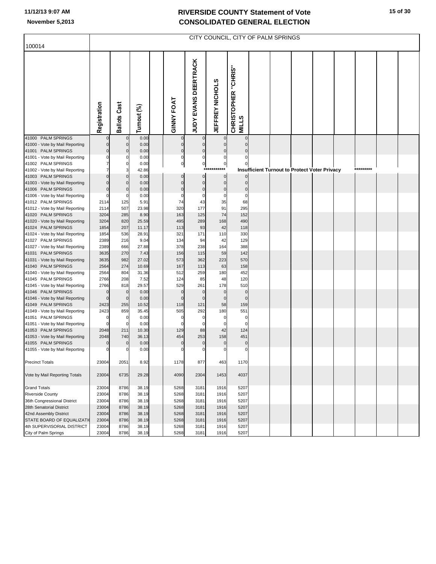| 100014                                               |                |                         |                |                    |                          |                 |                                     | CITY COUNCIL, CITY OF PALM SPRINGS |                                               |  |           |  |
|------------------------------------------------------|----------------|-------------------------|----------------|--------------------|--------------------------|-----------------|-------------------------------------|------------------------------------|-----------------------------------------------|--|-----------|--|
|                                                      |                |                         |                |                    |                          |                 |                                     |                                    |                                               |  |           |  |
|                                                      | Registration   | <b>Ballots Cast</b>     | Turnout (%)    | <b>GINNY FOAT</b>  | JUDY EVANS DEERTRACK     | JEFFREY NICHOLS | CHRISTOPHER "CHRIS"<br><b>MILLS</b> |                                    |                                               |  |           |  |
| 41000 PALM SPRINGS                                   |                | $\mathbf 0$             | 0.00           |                    | 0                        |                 | $\Omega$                            |                                    |                                               |  |           |  |
| 41000 - Vote by Mail Reporting                       | $\Omega$       | $\mathbf 0$             | 0.00           | $\mathbf 0$        | $\pmb{0}$                | 0               | $\Omega$                            |                                    |                                               |  |           |  |
| 41001 PALM SPRINGS                                   | $\Omega$       | $\mathbf 0$<br>$\Omega$ | 0.00           | $\pmb{0}$          | $\pmb{0}$<br>$\mathbf 0$ | $\mathbf 0$     | $\Omega$<br>$\Omega$                |                                    |                                               |  |           |  |
| 41001 - Vote by Mail Reporting<br>41002 PALM SPRINGS |                | $\mathbf 0$             | 0.00<br>0.00   | 0<br>0             | $\mathbf{0}$             | 0<br>$\pmb{0}$  |                                     |                                    |                                               |  |           |  |
| 41002 - Vote by Mail Reporting                       |                | 3                       | 42.86          |                    | $***$                    | $***$           |                                     |                                    | Insufficient Turnout to Protect Voter Privacy |  | ********* |  |
| 41003 PALM SPRINGS                                   |                | $\bf 0$                 | 0.00           | 0                  | $\pmb{0}$                | $\bf{0}$        |                                     |                                    |                                               |  |           |  |
| 41003 - Vote by Mail Reporting                       |                | $\mathbf 0$             | 0.00           | $\mathbf 0$        | $\pmb{0}$                | $\mathbf 0$     | $\Omega$                            |                                    |                                               |  |           |  |
| 41006 PALM SPRINGS                                   | $\Omega$       | $\Omega$                | 0.00           | $\mathbf 0$        | $\pmb{0}$                | $\pmb{0}$       | $\mathbf 0$                         |                                    |                                               |  |           |  |
| 41006 - Vote by Mail Reporting                       |                | $\Omega$                | 0.00           | 0                  | $\mathbf 0$              | $\mathbf 0$     | $\mathbf 0$                         |                                    |                                               |  |           |  |
| 41012 PALM SPRINGS                                   | 2114           | 125                     | 5.91           | 74                 | 43                       | 35              | 68                                  |                                    |                                               |  |           |  |
| 41012 - Vote by Mail Reporting                       | 2114           | 507                     | 23.98          | 320                | 177                      | 91              | 295                                 |                                    |                                               |  |           |  |
| 41020 PALM SPRINGS                                   | 3204           | 285                     | 8.90           | 163                | 125                      | 74              | 152                                 |                                    |                                               |  |           |  |
| 41020 - Vote by Mail Reporting<br>41024 PALM SPRINGS | 3204<br>1854   | 820<br>207              | 25.59<br>11.17 | 495<br>113         | 289<br>93                | 168<br>42       | 490<br>118                          |                                    |                                               |  |           |  |
| 41024 - Vote by Mail Reporting                       | 1854           | 536                     | 28.91          | 321                | 171                      | 110             | 330                                 |                                    |                                               |  |           |  |
| 41027 PALM SPRINGS                                   | 2389           | 216                     | 9.04           | 134                | 94                       | 42              | 129                                 |                                    |                                               |  |           |  |
| 41027 - Vote by Mail Reporting                       | 2389           | 666                     | 27.88          | 378                | 238                      | 164             | 388                                 |                                    |                                               |  |           |  |
| 41031 PALM SPRINGS                                   | 3635           | 270                     | 7.43           | 156                | 115                      | 59              | 142                                 |                                    |                                               |  |           |  |
| 41031 - Vote by Mail Reporting                       | 3635           | 982                     | 27.02          | 573                | 362                      | 223             | 570                                 |                                    |                                               |  |           |  |
| 41040 PALM SPRINGS                                   | 2564           | 274                     | 10.69          | 167                | 113                      | 63              | 158                                 |                                    |                                               |  |           |  |
| 41040 - Vote by Mail Reporting                       | 2564           | 804                     | 31.36          | 512                | 259                      | 180             | 452                                 |                                    |                                               |  |           |  |
| 41045 PALM SPRINGS                                   | 2766           | 208                     | 7.52           | 124                | 85                       | 48              | 120                                 |                                    |                                               |  |           |  |
| 41045 - Vote by Mail Reporting<br>41046 PALM SPRINGS | 2766<br>O      | 818<br>$\mathbf 0$      | 29.57<br>0.00  | 529<br>$\mathbf 0$ | 261<br>$\pmb{0}$         | 178<br>$\bf{0}$ | 510<br>$\mathbf 0$                  |                                    |                                               |  |           |  |
| 41046 - Vote by Mail Reporting                       | $\Omega$       | $\overline{0}$          | 0.00           | $\mathbf{0}$       | $\mathbf 0$              | $\mathbf 0$     | $\mathbf 0$                         |                                    |                                               |  |           |  |
| 41049 PALM SPRINGS                                   | 2423           | 255                     | 10.52          | 118                | 121                      | 58              | 159                                 |                                    |                                               |  |           |  |
| 41049 - Vote by Mail Reporting                       | 2423           | 859                     | 35.45          | 505                | 292                      | 180             | 551                                 |                                    |                                               |  |           |  |
| 41051 PALM SPRINGS                                   |                | $\mathbf 0$             | 0.00           | 0                  | 0                        | 0               | 0                                   |                                    |                                               |  |           |  |
| 41051 - Vote by Mail Reporting                       |                | $\Omega$                | 0.00           | $\mathbf 0$        | $\mathbf 0$              | 0               | $\Omega$                            |                                    |                                               |  |           |  |
| 41053 PALM SPRINGS                                   | 2048           | 211                     | 10.30          | 129                | 88                       | 42              | 124                                 |                                    |                                               |  |           |  |
| 41053 - Vote by Mail Reporting<br>41055 PALM SPRINGS | 2048           | 740<br>$\mathbf 0$      | 36.13<br>0.00  | 454<br>$\mathbf 0$ | 253<br>$\pmb{0}$         | 158<br>$\bf{0}$ | 451<br>$\mathbf 0$                  |                                    |                                               |  |           |  |
| 41055 - Vote by Mail Reporting                       |                |                         | 0.00           | 0                  | 0                        | 0               | 0                                   |                                    |                                               |  |           |  |
|                                                      |                |                         |                |                    |                          |                 |                                     |                                    |                                               |  |           |  |
| <b>Precinct Totals</b>                               | 23004          | 2051                    | 8.92           | 1178               | 877                      | 463             | 1170                                |                                    |                                               |  |           |  |
| Vote by Mail Reporting Totals                        | 23004          | 6735                    | 29.28          | 4090               | 2304                     | 1453            | 4037                                |                                    |                                               |  |           |  |
| <b>Grand Totals</b>                                  | 23004          | 8786                    | 38.19          | 5268               | 3181                     | 1916            | 5207                                |                                    |                                               |  |           |  |
| <b>Riverside County</b>                              | 23004          | 8786                    | 38.19          | 5268               | 3181                     | 1916            | 5207                                |                                    |                                               |  |           |  |
| 36th Congressional District                          | 23004          | 8786                    | 38.19          | 5268               | 3181                     | 1916            | 5207                                |                                    |                                               |  |           |  |
| 28th Senatorial District                             | 23004          | 8786                    | 38.19          | 5268               | 3181                     | 1916            | 5207                                |                                    |                                               |  |           |  |
| 42nd Assembly District<br>STATE BOARD OF EQUALIZATI  | 23004<br>23004 | 8786<br>8786            | 38.19<br>38.19 | 5268<br>5268       | 3181<br>3181             | 1916<br>1916    | 5207<br>5207                        |                                    |                                               |  |           |  |
| 4th SUPERVISORIAL DISTRICT                           | 23004          | 8786                    | 38.19          | 5268               | 3181                     | 1916            | 5207                                |                                    |                                               |  |           |  |
| City of Palm Springs                                 | 23004          | 8786                    | 38.19          | 5268               | 3181                     | 1916            | 5207                                |                                    |                                               |  |           |  |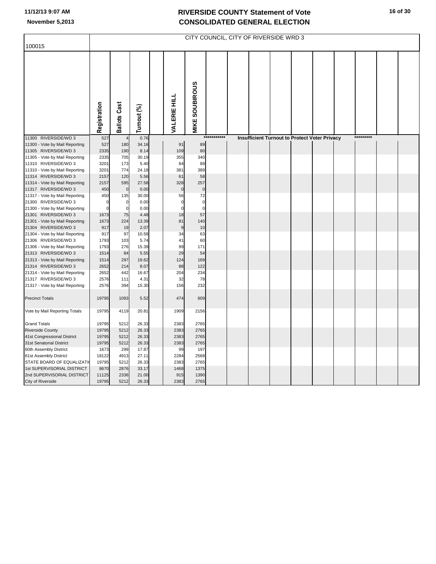|                                                        |              |                     |               |                     |                       |             | CITY COUNCIL, CITY OF RIVERSIDE WRD 3 |  |                                               |  |           |  |
|--------------------------------------------------------|--------------|---------------------|---------------|---------------------|-----------------------|-------------|---------------------------------------|--|-----------------------------------------------|--|-----------|--|
| 100015                                                 |              |                     |               |                     |                       |             |                                       |  |                                               |  |           |  |
|                                                        | Registration | <b>Ballots Cast</b> | Turnout (%)   | <b>VALERIE HILL</b> | <b>MIKE SOUBIROUS</b> |             |                                       |  |                                               |  |           |  |
| 11300 RIVERSIDE/WD 3                                   | 527          |                     | 0.76          |                     |                       | *********** |                                       |  | Insufficient Turnout to Protect Voter Privacy |  | ********* |  |
| 11300 - Vote by Mail Reporting                         | 527          | 180                 | 34.16         | 91                  | 89                    |             |                                       |  |                                               |  |           |  |
| 11305 RIVERSIDE/WD 3                                   | 2335         | 190                 | 8.14          | 109                 | 80                    |             |                                       |  |                                               |  |           |  |
| 11305 - Vote by Mail Reporting                         | 2335         | 705                 | 30.19         | 355                 | 340                   |             |                                       |  |                                               |  |           |  |
| 11310 RIVERSIDE/WD 3                                   | 3201         | 173                 | 5.40          | 84                  | 89                    |             |                                       |  |                                               |  |           |  |
| 11310 - Vote by Mail Reporting                         | 3201         | 774                 | 24.18         | 381                 | 389                   |             |                                       |  |                                               |  |           |  |
| 11314 RIVERSIDE/WD 3                                   | 2157         | 120                 | 5.56          | 61                  | 58                    |             |                                       |  |                                               |  |           |  |
| 11314 - Vote by Mail Reporting                         | 2157         | 595                 | 27.58         | 328                 | 257                   |             |                                       |  |                                               |  |           |  |
| 11317 RIVERSIDE/WD 3                                   | 450          | $\mathbf 0$         | 0.00          | $\mathbf 0$         | $\pmb{0}$             |             |                                       |  |                                               |  |           |  |
| 11317 - Vote by Mail Reporting                         | 450          | 135                 | 30.00         | 56                  | 72                    |             |                                       |  |                                               |  |           |  |
| 21300 RIVERSIDE/WD 3                                   | $\Omega$     | $\pmb{0}$           | 0.00          | $\mathbf 0$         | $\mathbf 0$           |             |                                       |  |                                               |  |           |  |
| 21300 - Vote by Mail Reporting                         | $\Omega$     | $\mathbf 0$         | 0.00          | $\Omega$            | $\mathbf 0$           |             |                                       |  |                                               |  |           |  |
| 21301 RIVERSIDE/WD 3                                   | 1673         | 75                  | 4.48          | 18                  | 57                    |             |                                       |  |                                               |  |           |  |
| 21301 - Vote by Mail Reporting                         | 1673         | 224                 | 13.39         | 81                  | 140                   |             |                                       |  |                                               |  |           |  |
| 21304 RIVERSIDE/WD 3                                   | 917          | 19                  | 2.07          | 9                   | 10                    |             |                                       |  |                                               |  |           |  |
| 21304 - Vote by Mail Reporting                         | 917          | 97                  | 10.58         | 34                  | 63                    |             |                                       |  |                                               |  |           |  |
| 21306 RIVERSIDE/WD 3                                   | 1793         | 103                 | 5.74          | 41                  | 60                    |             |                                       |  |                                               |  |           |  |
| 21306 - Vote by Mail Reporting                         | 1793         | 276                 | 15.39         | 99                  | 171                   |             |                                       |  |                                               |  |           |  |
| 21313 RIVERSIDE/WD 3                                   | 1514         | 84<br>297           | 5.55          | 29<br>124           | 54<br>169             |             |                                       |  |                                               |  |           |  |
| 21313 - Vote by Mail Reporting<br>21314 RIVERSIDE/WD 3 | 1514<br>2652 | 214                 | 19.62<br>8.07 | 88                  | 122                   |             |                                       |  |                                               |  |           |  |
| 21314 - Vote by Mail Reporting                         | 2652         | 442                 | 16.67         | 204                 | 234                   |             |                                       |  |                                               |  |           |  |
| 21317 RIVERSIDE/WD 3                                   | 2576         | 111                 | 4.31          | 32                  | 78                    |             |                                       |  |                                               |  |           |  |
| 21317 - Vote by Mail Reporting                         | 2576         | 394                 | 15.30         | 156                 | 232                   |             |                                       |  |                                               |  |           |  |
|                                                        |              |                     |               |                     |                       |             |                                       |  |                                               |  |           |  |
| <b>Precinct Totals</b>                                 | 19795        | 1093                | 5.52          | 474                 | 609                   |             |                                       |  |                                               |  |           |  |
| Vote by Mail Reporting Totals                          | 19795        | 4119                | 20.81         | 1909                | 2156                  |             |                                       |  |                                               |  |           |  |
| <b>Grand Totals</b>                                    | 19795        | 5212                | 26.33         | 2383                | 2765                  |             |                                       |  |                                               |  |           |  |
| <b>Riverside County</b>                                | 19795        | 5212                | 26.33         | 2383                | 2765                  |             |                                       |  |                                               |  |           |  |
| 41st Congressional District                            | 19795        | 5212                | 26.33         | 2383                | 2765                  |             |                                       |  |                                               |  |           |  |
| 31st Senatorial District                               | 19795        | 5212                | 26.33         | 2383                | 2765                  |             |                                       |  |                                               |  |           |  |
| 60th Assembly District                                 | 1673         | 299                 | 17.87         | 99                  | 197                   |             |                                       |  |                                               |  |           |  |
| 61st Assembly District                                 | 18122        | 4913                | 27.11         | 2284                | 2568                  |             |                                       |  |                                               |  |           |  |
| STATE BOARD OF EQUALIZATI                              | 19795        | 5212                | 26.33         | 2383                | 2765                  |             |                                       |  |                                               |  |           |  |
| 1st SUPERVISORIAL DISTRICT                             | 8670         | 2876                | 33.17         | 1468                | 1375                  |             |                                       |  |                                               |  |           |  |
| 2nd SUPERVISORIAL DISTRICT                             | 11125        | 2336                | 21.00         | 915                 | 1390                  |             |                                       |  |                                               |  |           |  |
| City of Riverside                                      | 19795        | 5212                | 26.33         | 2383                | 2765                  |             |                                       |  |                                               |  |           |  |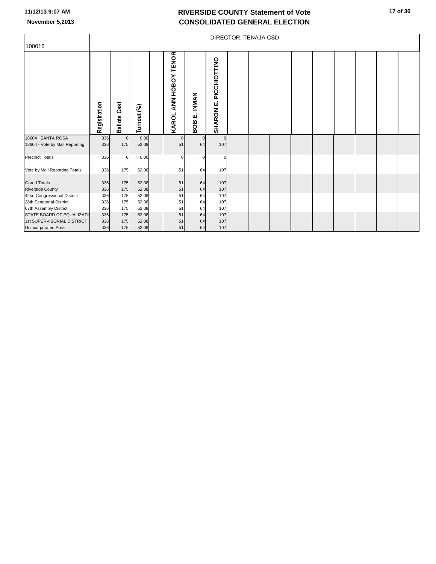| 100016                         |              |                        |             |                                 |                           |                              | DIRECTOR, TENAJA CSD |  |  |  |  |
|--------------------------------|--------------|------------------------|-------------|---------------------------------|---------------------------|------------------------------|----------------------|--|--|--|--|
|                                | Registration | Cast<br><b>Ballots</b> | Turnout (%) | ANN HOBOY-TENOR<br><b>KAROL</b> | <b>INMAN</b><br>щi<br>80B | PICCHIOTTINO<br>цj<br>SHARON |                      |  |  |  |  |
| 18604 SANTA ROSA               | 336          | $\overline{0}$         | 0.00        | $\Omega$                        |                           | $\circ$                      |                      |  |  |  |  |
| 18604 - Vote by Mail Reporting | 336          | 175                    | 52.08       | 51                              | 64                        | 107                          |                      |  |  |  |  |
| <b>Precinct Totals</b>         | 336          | $\mathbf{0}$           | 0.00        | $\Omega$                        | O                         | $\Omega$                     |                      |  |  |  |  |
| Vote by Mail Reporting Totals  | 336          | 175                    | 52.08       | 51                              | 64                        | 107                          |                      |  |  |  |  |
| <b>Grand Totals</b>            | 336          | 175                    | 52.08       | 51                              | 64                        | 107                          |                      |  |  |  |  |
| <b>Riverside County</b>        | 336          | 175                    | 52.08       | 51                              | 64                        | 107                          |                      |  |  |  |  |
| 42nd Congressional District    | 336          | 175                    | 52.08       | 51                              | 64                        | 107                          |                      |  |  |  |  |
| 28th Senatorial District       | 336          | 175                    | 52.08       | 51                              | 64                        | 107                          |                      |  |  |  |  |
| 67th Assembly District         | 336          | 175                    | 52.08       | 51                              | 64                        | 107                          |                      |  |  |  |  |
| STATE BOARD OF EQUALIZATI      | 336          | 175                    | 52.08       | 51                              | 64                        | 107                          |                      |  |  |  |  |
| 1st SUPERVISORIAL DISTRICT     | 336          | 175                    | 52.08       | 51                              | 64                        | 107                          |                      |  |  |  |  |
| <b>Unincorporated Area</b>     | 336          | 175                    | 52.08       | 51                              | 64                        | 107                          |                      |  |  |  |  |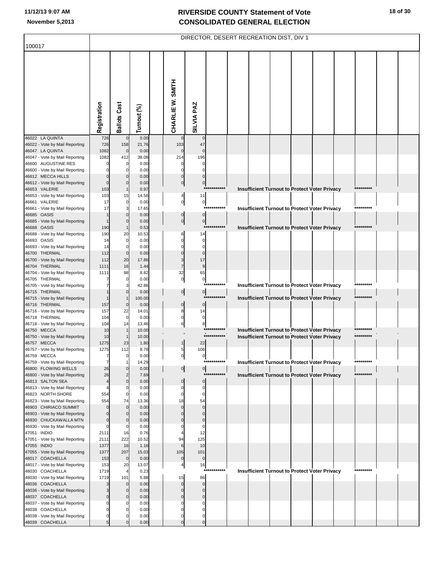|                                                         |                      |                            |               |                  | DIRECTOR, DESERT RECREATION DIST, DIV 1         |              |  |  |                                                      |           |  |
|---------------------------------------------------------|----------------------|----------------------------|---------------|------------------|-------------------------------------------------|--------------|--|--|------------------------------------------------------|-----------|--|
| 100017                                                  |                      |                            |               |                  |                                                 |              |  |  |                                                      |           |  |
|                                                         | Registration         | <b>Ballots Cast</b>        | Turnout (%)   | CHARLIE W. SMITH | SILVIA PAZ                                      |              |  |  |                                                      |           |  |
| 46022 LA QUINTA                                         | 726                  | $\mathbf 0$                | 0.00          |                  | $\Omega$                                        |              |  |  |                                                      |           |  |
| 46022 - Vote by Mail Reporting<br>46047 LA QUINTA       | 726<br>1082          | 158<br>$\mathbf 0$         | 21.76<br>0.00 | 103              | 47<br>$\mathbf 0$                               |              |  |  |                                                      |           |  |
| 46047 - Vote by Mail Reporting                          | 1082                 | 412                        | 38.08         | 214              | 196                                             |              |  |  |                                                      |           |  |
| 46600 AUGUSTINE RES                                     |                      | 0                          | 0.00          |                  | 0                                               |              |  |  |                                                      |           |  |
| 46600 - Vote by Mail Reporting<br>46612 MECCA HILLS     |                      | $\mathbf 0$<br>$\Omega$    | 0.00<br>0.00  |                  | $\mathbf 0$<br>$\pmb{0}$                        |              |  |  |                                                      |           |  |
| 46612 - Vote by Mail Reporting                          | $\Omega$             | $\mathbf 0$                | 0.00          |                  | $\overline{0}$<br>$\mathbf 0$                   |              |  |  |                                                      |           |  |
| 46653 VALERIE                                           | 103                  | $\overline{1}$             | 0.97          |                  |                                                 | ***********  |  |  | Insufficient Turnout to Protect Voter Privacy        | ********* |  |
| 46653 - Vote by Mail Reporting                          | 103                  | 15                         | 14.56         |                  | 4<br>11                                         |              |  |  |                                                      |           |  |
| 46661 VALERIE<br>46661 - Vote by Mail Reporting         | 17<br>17             | 0<br>3                     | 0.00<br>17.65 |                  | $\mathbf{0}$<br>$\pmb{0}$                       | ************ |  |  | <b>Insufficient Turnout to Protect Voter Privacy</b> | ********* |  |
| 46685 OASIS                                             |                      | $\Omega$                   | 0.00          |                  | $\mathbf 0$<br>0                                |              |  |  |                                                      |           |  |
| 46685 - Vote by Mail Reporting                          |                      | $\mathbf{0}$               | 0.00          |                  | $\overline{0}$<br>$\pmb{0}$                     | ***********  |  |  |                                                      | ********* |  |
| 46688 OASIS<br>46688 - Vote by Mail Reporting           | 190<br>190           | $\mathbf 1$<br>20          | 0.53<br>10.53 |                  | 14                                              |              |  |  | <b>Insufficient Turnout to Protect Voter Privacy</b> |           |  |
| 46693 OASIS                                             | 14                   | $\mathbf 0$                | 0.00          |                  | $\mathbf 0$<br>$\Omega$                         |              |  |  |                                                      |           |  |
| 46693 - Vote by Mail Reporting                          | 14                   | $\mathbf 0$                | 0.00          |                  | $\Omega$<br>$\Omega$                            |              |  |  |                                                      |           |  |
| 46700 THERMAL                                           | 112                  | $\mathbf 0$                | 0.00          |                  | $\Omega$<br>$\Omega$                            |              |  |  |                                                      |           |  |
| 46700 - Vote by Mail Reporting<br>46704 THERMAL         | 112<br>1111          | 20<br>16                   | 17.86<br>1.44 |                  | 3<br>17<br>$\overline{7}$<br>9                  |              |  |  |                                                      |           |  |
| 46704 - Vote by Mail Reporting                          | 1111                 | 98                         | 8.82          |                  | 32<br>65                                        |              |  |  |                                                      |           |  |
| 46705 THERMAL                                           | 7                    | 0                          | 0.00          |                  | $\overline{0}$<br>$\pmb{0}$                     | ***********  |  |  |                                                      | ********* |  |
| 46705 - Vote by Mail Reporting<br>46715 THERMAL         | 7                    | 3<br>$\Omega$              | 42.86<br>0.00 |                  | $\overline{0}$<br>$\boldsymbol{0}$              |              |  |  | <b>Insufficient Turnout to Protect Voter Privacy</b> |           |  |
| 46715 - Vote by Mail Reporting                          |                      | $\overline{1}$             | 100.00        |                  |                                                 | ***********  |  |  | Insufficient Turnout to Protect Voter Privacy        | ********* |  |
| 46716 THERMAL                                           | 157                  | $\mathbf 0$                | 0.00          |                  | $\pmb{0}$<br>$\mathbf 0$                        |              |  |  |                                                      |           |  |
| 46716 - Vote by Mail Reporting<br>46718 THERMAL         | 157<br>104           | 22<br>$\mathbf 0$          | 14.01         |                  | 8<br>14<br>$\pmb{0}$<br>$\mathbf 0$             |              |  |  |                                                      |           |  |
| 46718 - Vote by Mail Reporting                          | 104                  | 14                         | 0.00<br>13.46 |                  | 6<br>8                                          |              |  |  |                                                      |           |  |
| 46750 MECCA                                             | 10                   | $\mathbf{1}$               | 10.00         |                  |                                                 | ***********  |  |  | <b>Insufficient Turnout to Protect Voter Privacy</b> | ********* |  |
| 46750 - Vote by Mail Reporting                          | 10                   |                            | 10.00         |                  |                                                 | ***********  |  |  | <b>Insufficient Turnout to Protect Voter Privacy</b> | ********* |  |
| 46757 MECCA<br>46757 - Vote by Mail Reporting           | 1275<br>1275         | 23<br>112                  | 1.80<br>8.78  |                  | 22<br>5<br>106                                  |              |  |  |                                                      |           |  |
| 46759 MECCA                                             |                      | $\mathbf{0}$               | 0.00          |                  | $\mathbf{0}$<br>$\boldsymbol{0}$                |              |  |  |                                                      |           |  |
| 46759 - Vote by Mail Reporting                          | 7                    |                            | 14.29         |                  |                                                 | ***********  |  |  | Insufficient Turnout to Protect Voter Privacy        | ********* |  |
| 46800 FLOWING WELLS<br>46800 - Vote by Mail Reporting   | 26<br>26             | $\Omega$<br>$\overline{2}$ | 0.00<br>7.69  |                  | $\overline{0}$<br>$\overline{0}$                | ***********  |  |  | <b>Insufficient Turnout to Protect Voter Privacy</b> | ********* |  |
| 46813 SALTON SEA                                        | 4                    | $\mathbf{0}$               | 0.00          |                  | $\pmb{0}$<br>$\mathbf 0$                        |              |  |  |                                                      |           |  |
| 46813 - Vote by Mail Reporting                          | 4                    | 0                          | 0.00          |                  | 0<br>0                                          |              |  |  |                                                      |           |  |
| 46823 NORTH SHORE<br>46823 - Vote by Mail Reporting     | 554<br>554           | $\mathbf 0$<br>74          | 0.00<br>13.36 |                  | $\mathbf 0$<br>0<br>18<br>54                    |              |  |  |                                                      |           |  |
| 46903 CHIRIACO SUMMIT                                   | 0                    | $\mathbf{0}$               | 0.00          |                  | $\mathbf{0}$<br>$\Omega$                        |              |  |  |                                                      |           |  |
| 46903 - Vote by Mail Reporting                          | 0                    | $\mathbf 0$                | 0.00          |                  | $\Omega$<br>$\Omega$                            |              |  |  |                                                      |           |  |
| 46930 CHUCKAWALLA MTN<br>46930 - Vote by Mail Reporting | $\Omega$<br>$\Omega$ | $\mathbf 0$<br>$\mathbf 0$ | 0.00<br>0.00  |                  | $\mathbf 0$<br>$\Omega$<br>$\Omega$<br>$\Omega$ |              |  |  |                                                      |           |  |
| 47051 INDIO                                             | 2111                 | 16                         | 0.76          |                  | 12                                              |              |  |  |                                                      |           |  |
| 47051 - Vote by Mail Reporting                          | 2111                 | 222                        | 10.52         | 94               | 125                                             |              |  |  |                                                      |           |  |
| 47055 INDIO                                             | 1377                 | 16                         | 1.16          |                  | 10<br>6                                         |              |  |  |                                                      |           |  |
| 47055 - Vote by Mail Reporting<br>48017 COACHELLA       | 1377<br>153          | 207<br>$\pmb{0}$           | 15.03<br>0.00 | 105              | 101<br>$\pmb{0}$<br>$\bf{0}$                    |              |  |  |                                                      |           |  |
| 48017 - Vote by Mail Reporting                          | 153                  | 20                         | 13.07         |                  | 16<br>4                                         |              |  |  |                                                      |           |  |
| 48030 COACHELLA                                         | 1719                 | 4                          | 0.23          |                  |                                                 | **           |  |  | Insufficient Turnout to Protect Voter Privacy        | ********* |  |
| 48030 - Vote by Mail Reporting<br>48036 COACHELLA       | 1719                 | 101<br>$\Omega$            | 5.88<br>0.00  |                  | 15<br>86<br>$\Omega$<br>$\Omega$                |              |  |  |                                                      |           |  |
| 48036 - Vote by Mail Reporting                          | 3                    | $\mathbf 0$                | 0.00          |                  | $\mathbf{0}$<br>$\Omega$                        |              |  |  |                                                      |           |  |
| 48037 COACHELLA                                         | 0                    | $\Omega$                   | 0.00          |                  | $\mathbf{0}$<br>$\mathbf 0$                     |              |  |  |                                                      |           |  |
| 48037 - Vote by Mail Reporting                          | 0                    | $\Omega$<br>$\Omega$       | 0.00          |                  | $\Omega$<br>$\Omega$<br>$\Omega$                |              |  |  |                                                      |           |  |
| 48038 COACHELLA<br>48038 - Vote by Mail Reporting       | 0<br>0               | $\Omega$                   | 0.00<br>0.00  |                  | $\Omega$<br>0<br>$\Omega$                       |              |  |  |                                                      |           |  |
| 48039 COACHELLA                                         | 5                    |                            | 0.00          |                  | $\Omega$<br>$\mathbf 0$                         |              |  |  |                                                      |           |  |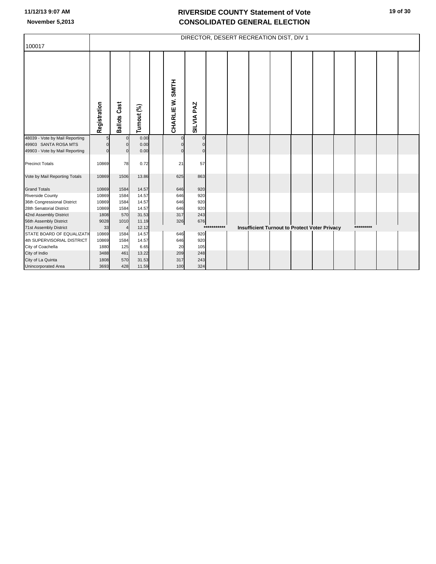|                                |              |                     |             |                  |              |             | DIRECTOR, DESERT RECREATION DIST, DIV 1 |  |                                                      |  |           |  |
|--------------------------------|--------------|---------------------|-------------|------------------|--------------|-------------|-----------------------------------------|--|------------------------------------------------------|--|-----------|--|
| 100017                         |              |                     |             |                  |              |             |                                         |  |                                                      |  |           |  |
|                                | Registration | <b>Ballots Cast</b> | Turnout (%) | CHARLIE W. SMITH | SILVIA PAZ   |             |                                         |  |                                                      |  |           |  |
| 48039 - Vote by Mail Reporting |              | $\Omega$            | 0.00        |                  | $\mathbf{0}$ |             |                                         |  |                                                      |  |           |  |
| 49903 SANTA ROSA MTS           |              | $\Omega$            | 0.00        |                  | $\Omega$     |             |                                         |  |                                                      |  |           |  |
| 49903 - Vote by Mail Reporting |              | $\Omega$            | 0.00        | U                | $\mathbf 0$  |             |                                         |  |                                                      |  |           |  |
| <b>Precinct Totals</b>         | 10869        | 78                  | 0.72        | 21               | 57           |             |                                         |  |                                                      |  |           |  |
| Vote by Mail Reporting Totals  | 10869        | 1506                | 13.86       | 625              | 863          |             |                                         |  |                                                      |  |           |  |
| <b>Grand Totals</b>            | 10869        | 1584                | 14.57       | 646              | 920          |             |                                         |  |                                                      |  |           |  |
| <b>Riverside County</b>        | 10869        | 1584                | 14.57       | 646              | 920          |             |                                         |  |                                                      |  |           |  |
| 36th Congressional District    | 10869        | 1584                | 14.57       | 646              | 920          |             |                                         |  |                                                      |  |           |  |
| 28th Senatorial District       | 10869        | 1584                | 14.57       | 646              | 920          |             |                                         |  |                                                      |  |           |  |
| 42nd Assembly District         | 1808         | 570                 | 31.53       | 317              | 243          |             |                                         |  |                                                      |  |           |  |
| 56th Assembly District         | 9028         | 1010                | 11.19       | 326              | 676          |             |                                         |  |                                                      |  |           |  |
| 71st Assembly District         | 33           | $\overline{4}$      | 12.12       |                  |              | *********** |                                         |  | <b>Insufficient Turnout to Protect Voter Privacy</b> |  | ********* |  |
| STATE BOARD OF EQUALIZATI      | 10869        | 1584                | 14.57       | 646              | 920          |             |                                         |  |                                                      |  |           |  |
| 4th SUPERVISORIAL DISTRICT     | 10869        | 1584                | 14.57       | 646              | 920          |             |                                         |  |                                                      |  |           |  |
| City of Coachella              | 1880         | 125                 | 6.65        | 20               | 105          |             |                                         |  |                                                      |  |           |  |
| City of Indio                  | 3488         | 461                 | 13.22       | 209              | 248          |             |                                         |  |                                                      |  |           |  |
| City of La Quinta              | 1808         | 570                 | 31.53       | 317              | 243          |             |                                         |  |                                                      |  |           |  |
| <b>Unincorporated Area</b>     | 3693         | 428                 | 11.59       | 100              | 324          |             |                                         |  |                                                      |  |           |  |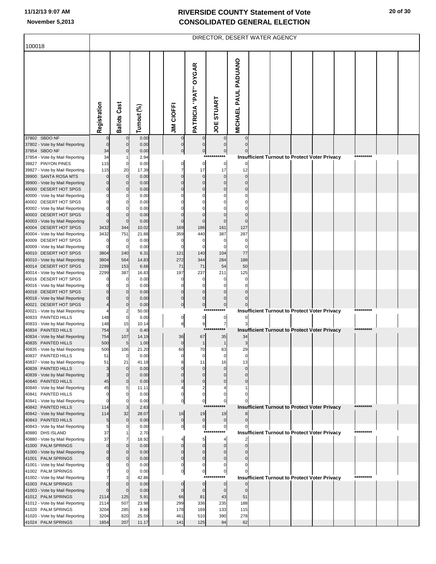| 100018                                                  |                          |                               |                |                                  |                                        | DIRECTOR, DESERT WATER AGENCY   |                             |  |                                               |           |  |
|---------------------------------------------------------|--------------------------|-------------------------------|----------------|----------------------------------|----------------------------------------|---------------------------------|-----------------------------|--|-----------------------------------------------|-----------|--|
|                                                         | Registration             | <b>Ballots Cast</b>           | Turnout (%)    | <b>JIM CIOFFI</b>                | PATRICIA "PAT" OYGAR                   | <b>STUART</b><br><b>JOE</b>     | <b>MICHAEL PAUL PADUANO</b> |  |                                               |           |  |
| 37802 SBDO NF                                           |                          | $\mathbf 0$                   | 0.00           | 0                                |                                        |                                 | $\mathbf 0$                 |  |                                               |           |  |
| 37802 - Vote by Mail Reporting<br>37854 SBDO NF         | $\mathbf{0}$<br>34       | $\mathbf 0$<br>0              | 0.00<br>0.00   | $\overline{0}$<br>$\overline{0}$ | $\pmb{0}$<br>$\overline{0}$            | $\mathbf 0$<br>$\boldsymbol{0}$ | $\mathbf 0$                 |  |                                               |           |  |
| 37854 - Vote by Mail Reporting<br>39827 PINYON PINES    | 34<br>115                | $\mathbf 0$                   | 2.94<br>0.00   | $\overline{0}$                   | $***$<br>$\bf{0}$                      | *******<br>$\pmb{0}$            |                             |  | Insufficient Turnout to Protect Voter Privacy | ********* |  |
| 39827 - Vote by Mail Reporting                          | 115                      | 20                            | 17.39          | $\overline{7}$                   | 17                                     | 17                              | 12                          |  |                                               |           |  |
| 39900 SANTA ROSA MTS<br>39900 - Vote by Mail Reporting  | $\Omega$<br>$\Omega$     | $\mathbf 0$<br>$\Omega$       | 0.00<br>0.00   | $\pmb{0}$<br>$\pmb{0}$           | $\mathbf 0$<br>$\mathbf 0$             | $\mathbf 0$<br>$\mathbf 0$      | $\mathbf 0$<br>$\Omega$     |  |                                               |           |  |
| 40000 DESERT HOT SPGS                                   | $\mathbf{0}$             | 0                             | 0.00           | $\mathbf 0$                      | $\mathbf 0$                            | $\mathbf 0$                     | $\mathbf 0$                 |  |                                               |           |  |
| 40000 - Vote by Mail Reporting<br>40002 DESERT HOT SPGS | 0<br>0                   | n<br>0                        | 0.00<br>0.00   | $\Omega$<br>$\Omega$             | $\Omega$<br>$\Omega$                   |                                 | $\Omega$<br>0               |  |                                               |           |  |
| 40002 - Vote by Mail Reporting                          | O                        | O                             | 0.00           | $\Omega$                         | $\Omega$                               |                                 |                             |  |                                               |           |  |
| 40003 DESERT HOT SPGS<br>40003 - Vote by Mail Reporting | $\mathbf{0}$<br>$\Omega$ | $\mathbf 0$<br>$\Omega$       | 0.00<br>0.00   | $\pmb{0}$<br>$\pmb{0}$           | $\mathbf 0$<br>$\mathbf 0$             | $\Omega$<br>$\Omega$            | $\mathbf 0$<br>$\Omega$     |  |                                               |           |  |
| 40004 DESERT HOT SPGS                                   | 3432                     | 344                           | 10.02          | 169                              | 186                                    | 161                             | 127                         |  |                                               |           |  |
| 40004 - Vote by Mail Reporting<br>40009 DESERT HOT SPGS | 3432<br>$\Omega$         | 751<br>0                      | 21.88<br>0.00  | 359<br>0                         | 440<br>0                               | 387<br>0                        | 287<br>$\Omega$             |  |                                               |           |  |
| 40009 - Vote by Mail Reporting                          | $\Omega$                 | 0                             | 0.00           | $\mathbf 0$                      | $\Omega$                               | 0                               | $\Omega$                    |  |                                               |           |  |
| 40010 DESERT HOT SPGS<br>40010 - Vote by Mail Reporting | 3804<br>3804             | 240<br>564                    | 6.31<br>14.83  | 121<br>272                       | 140<br>344                             | 104<br>284                      | 77<br>188                   |  |                                               |           |  |
| 40014 DESERT HOT SPGS                                   | 2299                     | 153                           | 6.66           | 71                               | 71                                     | 54                              | 50                          |  |                                               |           |  |
| 40014 - Vote by Mail Reporting<br>40016 DESERT HOT SPGS | 2299<br>O                | 387<br>$\Omega$               | 16.83<br>0.00  | 197<br>0                         | 237<br>0                               | 211<br>0                        | 125<br>0                    |  |                                               |           |  |
| 40016 - Vote by Mail Reporting                          | ŋ                        | $\Omega$                      | 0.00           | $\mathbf 0$                      | $\Omega$                               | n                               | $\Omega$                    |  |                                               |           |  |
| 40018 DESERT HOT SPGS<br>40018 - Vote by Mail Reporting | 0<br>$\Omega$            | 0<br>$\Omega$                 | 0.00<br>0.00   | $\pmb{0}$<br>$\pmb{0}$           | $\mathbf 0$<br>$\mathbf 0$             | $\Omega$<br>$\mathbf 0$         | $\Omega$<br>$\Omega$        |  |                                               |           |  |
| 40021 DESERT HOT SPGS                                   | 4                        | $\mathbf 0$                   | 0.00           | $\overline{0}$                   | $\overline{0}$                         | $\pmb{0}$                       |                             |  |                                               |           |  |
| 40021 - Vote by Mail Reporting<br>40833 PAINTED HILLS   | 148                      | $\overline{2}$<br>$\mathbf 0$ | 50.00<br>0.00  | $\mathbf{0}$                     | ***<br>$\overline{0}$                  | ********<br>$\boldsymbol{0}$    |                             |  | Insufficient Turnout to Protect Voter Privacy | ********* |  |
| 40833 - Vote by Mail Reporting                          | 148                      | 15                            | 10.14          | 8                                | 9<br>$***$                             | $\overline{7}$<br>$***$         |                             |  |                                               | ********* |  |
| 40834 PAINTED HILLS<br>40834 - Vote by Mail Reporting   | 754<br>754               | 3<br>107                      | 0.40<br>14.19  | 36                               | 67                                     | 35                              | 34                          |  | Insufficient Turnout to Protect Voter Privacy |           |  |
| 40835 PAINTED HILLS                                     | 500                      | 5                             | 1.00           | $\pmb{0}$                        | $\mathbf{1}$                           | $\mathbf{1}$                    | 3                           |  |                                               |           |  |
| 40835 - Vote by Mail Reporting<br>40837 PAINTED HILLS   | 500<br>51                | 106                           | 21.20<br>0.00  | 60                               | 70                                     | 63                              | 29                          |  |                                               |           |  |
| 40837 - Vote by Mail Reporting                          | 51                       | 21                            | 41.18          |                                  | 11                                     | 16                              | 13                          |  |                                               |           |  |
| 40839 PAINTED HILLS<br>40839 - Vote by Mail Reporting   | 3<br>3                   | $\mathbf 0$<br>0              | 0.00<br>0.00   | 0<br>$\mathbf{0}$                | $\Omega$<br>$\Omega$                   | 0<br>n                          | $\Omega$                    |  |                                               |           |  |
| 40840 PAINTED HILLS                                     | 45                       | 0                             | 0.00           | $\pmb{0}$                        | $\pmb{0}$                              | $\Omega$                        |                             |  |                                               |           |  |
| 40840 - Vote by Mail Reporting<br>40841 PAINTED HILLS   | 45<br>$\Omega$           | 5<br>0                        | 11.11<br>0.00  | 4<br>$\pmb{0}$                   | $\overline{\mathbf{c}}$<br>$\mathbf 0$ | 0                               |                             |  |                                               |           |  |
| 40841 - Vote by Mail Reporting                          | $\Omega$                 | $\Omega$                      | 0.00           | $\overline{0}$                   | $\bf{0}$<br>$**$                       | $\pmb{0}$                       |                             |  |                                               | ********* |  |
| 40842 PAINTED HILLS<br>40842 - Vote by Mail Reporting   | 114<br>114               | 3<br>32                       | 2.63<br>28.07  | 16                               | 19                                     | 19                              |                             |  | Insufficient Turnout to Protect Voter Privacy |           |  |
| 40843 PAINTED HILLS                                     | 5                        | $\mathbf 0$<br>O              | 0.00           | $\overline{0}$                   | $\overline{0}$                         | $\boldsymbol{0}$                | $\mathbf 0$                 |  |                                               |           |  |
| 40843 - Vote by Mail Reporting<br>40880 DHS ISLAND      | 5<br>37                  |                               | 0.00<br>2.70   | $\mathbf{0}$                     | $\mathbf{0}$<br>$***$                  | $\pmb{0}$<br>****               |                             |  | Insufficient Turnout to Protect Voter Privacy | ********* |  |
| 40880 - Vote by Mail Reporting                          | 37<br>$\Omega$           | 7<br>$\Omega$                 | 18.92          | $\overline{4}$                   | 5 <sub>5</sub><br>$\pmb{0}$            | 4                               | $\Omega$                    |  |                                               |           |  |
| 41000 PALM SPRINGS<br>41000 - Vote by Mail Reporting    | $\Omega$                 | 0                             | 0.00<br>0.00   | $\mathbf 0$<br>$\pmb{0}$         | $\mathbf 0$                            | $\mathbf 0$<br>$\Omega$         |                             |  |                                               |           |  |
| 41001 PALM SPRINGS                                      | $\Omega$                 | 0                             | 0.00           | $\pmb{0}$<br>0                   | $\pmb{0}$<br>0                         | $\mathbf 0$<br>0                |                             |  |                                               |           |  |
| 41001 - Vote by Mail Reporting<br>41002 PALM SPRINGS    |                          | 0                             | 0.00<br>0.00   | $\mathbf{0}$                     | 0                                      | $\boldsymbol{0}$                |                             |  |                                               |           |  |
| 41002 - Vote by Mail Reporting<br>41003 PALM SPRINGS    | $\mathbf{0}$             | 3<br>$\Omega$                 | 42.86<br>0.00  | $\pmb{0}$                        | $***$<br>$\mathbf 0$                   | *****<br>$\bf{0}$               |                             |  | Insufficient Turnout to Protect Voter Privacy | ********* |  |
| 41003 - Vote by Mail Reporting                          | $\Omega$                 | $\Omega$                      | 0.00           | $\mathbf 0$                      | $\mathbf 0$                            | $\mathbf 0$                     | $\mathbf 0$                 |  |                                               |           |  |
| 41012 PALM SPRINGS<br>41012 - Vote by Mail Reporting    | 2114<br>2114             | 125<br>507                    | 5.91<br>23.98  | 66<br>299                        | 81<br>336                              | 43<br>235                       | 51<br>188                   |  |                                               |           |  |
| 41020 PALM SPRINGS                                      | 3204                     | 285                           | 8.90           | 178                              | 169                                    | 133                             | 115                         |  |                                               |           |  |
| 41020 - Vote by Mail Reporting<br>41024 PALM SPRINGS    | 3204<br>1854             | 820<br>207                    | 25.59<br>11.17 | 461<br>141                       | 510<br>125                             | 390<br>94                       | 278<br>62                   |  |                                               |           |  |
|                                                         |                          |                               |                |                                  |                                        |                                 |                             |  |                                               |           |  |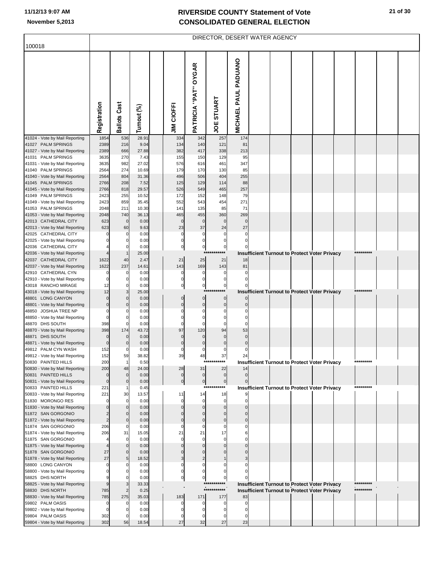r

| 100018                                                 |                             |                     |                |                          |                               | DIRECTOR, DESERT WATER AGENCY |                                |  |                                                      |           |  |
|--------------------------------------------------------|-----------------------------|---------------------|----------------|--------------------------|-------------------------------|-------------------------------|--------------------------------|--|------------------------------------------------------|-----------|--|
|                                                        |                             |                     |                |                          |                               |                               |                                |  |                                                      |           |  |
|                                                        | Registration                | <b>Ballots Cast</b> | Turnout (%)    | <b>JIM CIOFFI</b>        | PATRICIA "PAT" OYGAR          | STUART<br>ğ                   | PAUL PADUANO<br><b>MICHAEL</b> |  |                                                      |           |  |
| 41024 - Vote by Mail Reporting                         | 1854                        | 536                 | 28.91          | 334                      | 342                           | 257                           | 174                            |  |                                                      |           |  |
| 41027 PALM SPRINGS<br>41027 - Vote by Mail Reporting   | 2389<br>2389                | 216<br>666          | 9.04<br>27.88  | 134<br>382               | 140<br>417                    | 121<br>338                    | 81<br>213                      |  |                                                      |           |  |
| 41031 PALM SPRINGS                                     | 3635                        | 270                 | 7.43           | 155                      | 150                           | 129                           | 95                             |  |                                                      |           |  |
| 41031 - Vote by Mail Reporting                         | 3635                        | 982                 | 27.02          | 576                      | 616                           | 461                           | 347                            |  |                                                      |           |  |
| 41040 PALM SPRINGS                                     | 2564<br>2564                | 274<br>804          | 10.69<br>31.36 | 179<br>496               | 170<br>506                    | 130<br>404                    | 85<br>255                      |  |                                                      |           |  |
| 41040 - Vote by Mail Reporting<br>41045 PALM SPRINGS   | 2766                        | 208                 | 7.52           | 125                      | 129                           | 114                           | 88                             |  |                                                      |           |  |
| 41045 - Vote by Mail Reporting                         | 2766                        | 818                 | 29.57          | 526                      | 549                           | 465                           | 257                            |  |                                                      |           |  |
| 41049 PALM SPRINGS                                     | 2423                        | 255                 | 10.52          | 172                      | 152                           | 148                           | 79                             |  |                                                      |           |  |
| 41049 - Vote by Mail Reporting                         | 2423                        | 859                 | 35.45          | 552                      | 543                           | 454                           | 271                            |  |                                                      |           |  |
| 41053 PALM SPRINGS<br>41053 - Vote by Mail Reporting   | 2048<br>2048                | 211<br>740          | 10.30<br>36.13 | 141<br>465               | 135<br>455                    | 85<br>360                     | 71<br>269                      |  |                                                      |           |  |
| 42013 CATHEDRAL CITY                                   | 623                         | $\mathbf 0$         | 0.00           | $\Omega$                 | $\mathbf 0$                   | $\mathbf 0$                   | $\Omega$                       |  |                                                      |           |  |
| 42013 - Vote by Mail Reporting                         | 623                         | 60                  | 9.63           | 23                       | 37                            | 24                            | 27                             |  |                                                      |           |  |
| 42025 CATHEDRAL CITY                                   | 0                           | 0                   | 0.00           | 0                        | 0                             | $\mathbf 0$                   | $\Omega$                       |  |                                                      |           |  |
| 42025 - Vote by Mail Reporting<br>42036 CATHEDRAL CITY | 0                           | $\Omega$<br>C       | 0.00<br>0.00   | 0<br>$\pmb{0}$           | $\pmb{0}$<br>$\mathbf 0$      | 0<br>$\pmb{0}$                | $\Omega$                       |  |                                                      |           |  |
| 42036 - Vote by Mail Reporting                         |                             | $\mathbf 1$         | 25.00          |                          | $***$                         |                               |                                |  | <b>Insufficient Turnout to Protect Voter Privacy</b> | ********* |  |
| 42037 CATHEDRAL CITY                                   | 1622                        | 40                  | 2.47           | 21                       | 25                            | 21                            | 18                             |  |                                                      |           |  |
| 42037 - Vote by Mail Reporting                         | 1622                        | 237                 | 14.61          | 143                      | 169                           | 143                           | 81                             |  |                                                      |           |  |
| 42910 CATHEDRAL CYN                                    | 0<br>$\mathbf 0$            | $\Omega$            | 0.00           | 0                        | 0                             | $\mathbf 0$                   | $\Omega$<br>$\Omega$           |  |                                                      |           |  |
| 42910 - Vote by Mail Reporting<br>43018 RANCHO MIRAGE  | 12                          | 0<br>$\Omega$       | 0.00<br>0.00   | 0<br>$\pmb{0}$           | $\pmb{0}$<br>$\mathbf 0$      | 0<br>$\pmb{0}$                |                                |  |                                                      |           |  |
| 43018 - Vote by Mail Reporting                         | 12                          | 3                   | 25.00          |                          | $***$                         |                               |                                |  | Insufficient Turnout to Protect Voter Privacy        | ********* |  |
| 48801 LONG CANYON                                      | $\mathbf{0}$                | $\Omega$            | 0.00           | $\mathbf 0$              | $\mathbf 0$                   | $\mathbf 0$                   | $\Omega$                       |  |                                                      |           |  |
| 48801 - Vote by Mail Reporting                         | $\mathbf 0$                 | $\Omega$            | 0.00           | $\mathbf 0$              | $\mathbf 0$                   | $\mathbf 0$                   | $\Omega$                       |  |                                                      |           |  |
| 48850 JOSHUA TREE NP<br>48850 - Vote by Mail Reporting | $\mathbf 0$<br>0            | C<br>$\Omega$       | 0.00<br>0.00   | O<br>0                   | $\Omega$<br>$\Omega$          | C<br>$\Omega$                 | C<br>$\Omega$                  |  |                                                      |           |  |
| 48870 DHS SOUTH                                        | 398                         | $\Omega$            | 0.00           | $\mathbf 0$              | $\Omega$                      | $\mathbf 0$                   | $\Omega$                       |  |                                                      |           |  |
| 48870 - Vote by Mail Reporting                         | 398                         | 174                 | 43.72          | 97                       | 120                           | 94                            | 53                             |  |                                                      |           |  |
| 48871 DHS SOUTH                                        | $\mathbf{0}$                | $\Omega$            | 0.00           | $\Omega$                 | $\mathbf 0$                   | $\Omega$                      | $\Omega$                       |  |                                                      |           |  |
| 48871 - Vote by Mail Reporting<br>49812 PALM CYN WASH  | $\mathbf{0}$<br>152         | $\Omega$<br>0       | 0.00<br>0.00   | $\mathbf 0$<br>0         | $\mathbf 0$<br>$\Omega$       | $\mathbf 0$<br>$\Omega$       | $\mathbf 0$<br>$\Omega$        |  |                                                      |           |  |
| 49812 - Vote by Mail Reporting                         | 152                         | 5â                  | 38.82          | 39                       | 48                            | 37                            | 24                             |  |                                                      |           |  |
| 50830 PAINTED HILLS                                    | 200                         | -1                  | 0.50           |                          |                               | ******                        |                                |  | <b>Insufficient Turnout to Protect Voter Privacy</b> | ********* |  |
| 50830 - Vote by Mail Reporting                         | 200                         | 48                  | 24.00          | 28                       | 31                            | 22                            | 14                             |  |                                                      |           |  |
| 50831 PAINTED HILLS<br>50831 - Vote by Mail Reporting  | $\mathbf 0$<br>$\mathbf{0}$ | $\Omega$<br>0       | 0.00<br>0.00   | $\mathbf 0$<br>$\pmb{0}$ | $\mathbf 0$<br>$\overline{0}$ | $\mathbf 0$<br>$\pmb{0}$      | $\mathbf 0$                    |  |                                                      |           |  |
| 50833 PAINTED HILLS                                    | 221                         |                     | 0.45           |                          | $***$                         | ***                           |                                |  | <b>Insufficient Turnout to Protect Voter Privacy</b> | ********* |  |
| 50833 - Vote by Mail Reporting                         | 221                         | 30                  | 13.57          | 11                       | 14                            | 18                            |                                |  |                                                      |           |  |
| 51830 MORONGO RES                                      | 0                           | $\Omega$            | 0.00           | $\Omega$                 | $\mathbf 0$                   | $\mathbf 0$                   | O                              |  |                                                      |           |  |
| 51830 - Vote by Mail Reporting<br>51872 SAN GORGONIO   | $\Omega$                    | $\Omega$<br>O       | 0.00           | O<br>O                   | $\Omega$<br>$\Omega$          | $\Omega$<br>C                 | O                              |  |                                                      |           |  |
| 51872 - Vote by Mail Reporting                         | $\overline{2}$              | $\Omega$            | 0.00<br>0.00   | $\Omega$                 | $\Omega$                      | $\mathcal{C}$                 | $\Omega$                       |  |                                                      |           |  |
| 51874 SAN GORGONIO                                     | 206                         | C                   | 0.00           | O                        | $\Omega$                      | C                             |                                |  |                                                      |           |  |
| 51874 - Vote by Mail Reporting                         | 206                         | 31                  | 15.05          | 21                       | 21                            | 17                            |                                |  |                                                      |           |  |
| 51875 SAN GORGONIO                                     |                             | $\Omega$            | 0.00           | $\Omega$                 | $\Omega$                      | $\Omega$                      | C                              |  |                                                      |           |  |
| 51875 - Vote by Mail Reporting<br>51878 SAN GORGONIO   | 27                          | $\Omega$<br>C       | 0.00<br>0.00   | O<br>O                   | $\Omega$                      | $\sqrt{ }$                    | $\Omega$                       |  |                                                      |           |  |
| 51878 - Vote by Mail Reporting                         | 27                          | 5                   | 18.52          | 3                        | 2                             |                               |                                |  |                                                      |           |  |
| 58800 LONG CANYON                                      | 0                           | O                   | 0.00           | O                        | $\Omega$                      |                               |                                |  |                                                      |           |  |
| 58800 - Vote by Mail Reporting                         | 0                           |                     | 0.00           | 0                        | 0                             |                               |                                |  |                                                      |           |  |
| 58825 DHS NORTH<br>58825 - Vote by Mail Reporting      | 9<br>9                      | З                   | 0.00<br>33.33  | 0                        | $\Omega$                      | $\mathbf 0$                   |                                |  | <b>Insufficient Turnout to Protect Voter Privacy</b> | ********* |  |
| 58830 DHS NORTH                                        | 785                         | 2                   | 0.25           |                          |                               | ***********                   |                                |  | Insufficient Turnout to Protect Voter Privacy        | ********* |  |
| 58830 - Vote by Mail Reporting                         | 785                         | 275                 | 35.03          | 183                      | 171                           | 177                           | 83                             |  |                                                      |           |  |
| 59802 PALM OASIS                                       | 0                           | -0                  | 0.00           |                          |                               | C                             |                                |  |                                                      |           |  |
| 59802 - Vote by Mail Reporting                         | $\Omega$                    | -0<br>-C            | 0.00           |                          | 0                             | C                             | n                              |  |                                                      |           |  |
| 59804 PALM OASIS<br>59804 - Vote by Mail Reporting     | 302<br>302                  | 56                  | 0.00<br>18.54  | 0<br>27                  | 32                            | 27                            | 23                             |  |                                                      |           |  |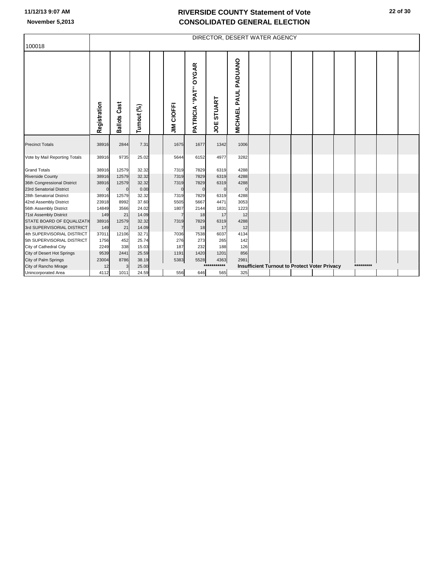| PAUL PADUANO<br>"PAT" OYGAR<br>STUART<br><b>Ballots Cast</b><br>Registration<br><b>JIM CIOFFI</b><br>Turnout (%)<br><b>PATRICIA</b><br><b>MICHAEL</b><br>υg<br>38916<br>2844<br>7.31<br>1675<br>1677<br>1342<br>1006<br>9735<br>25.02<br>6152<br>4977<br>3282<br>38916<br>5644<br>12579<br>32.32<br>7829<br>4288<br>38916<br>7319<br>6319<br>12579<br>32.32<br>7829<br>6319<br>4288<br>38916<br>7319<br>12579<br>32.32<br>7829<br>6319<br>4288<br>38916<br>7319<br>0.00<br>$\mathbf 0$<br>$\mathbf 0$<br>$\Omega$<br>$\mathbf 0$<br>$\mathbf 0$<br>38916<br>12579<br>32.32<br>7319<br>7829<br>6319<br>4288<br>8992<br>37.60<br>5505<br>5667<br>4471<br>3053<br>23918<br>14849<br>3566<br>24.02<br>1807<br>2144<br>1831<br>1223<br>21<br>149<br>14.09<br>18<br>17<br>12<br>$\overline{7}$<br>12579<br>7829<br>6319<br>4288<br>STATE BOARD OF EQUALIZATI<br>38916<br>32.32<br>7319<br>3rd SUPERVISORIAL DISTRICT<br>21<br>18<br>17<br>12<br>149<br>14.09<br>$\overline{7}$<br>12106<br>7538<br>4134<br>4th SUPERVISORIAL DISTRICT<br>37011<br>32.71<br>7036<br>6037<br>276<br>5th SUPERVISORIAL DISTRICT<br>452<br>25.74<br>273<br>265<br>142<br>1756<br>338<br>187<br>City of Cathedral City<br>2249<br>15.03<br>232<br>188<br>126<br>2441<br>1420<br>1201<br>856<br>City of Desert Hot Springs<br>9539<br>25.59<br>1191<br>5383<br>5528<br>City of Palm Springs<br>23004<br>8786<br>38.19<br>4363<br>2981 | 100018                                       |  |  |  | DIRECTOR, DESERT WATER AGENCY |  |  |  |           |  |
|-----------------------------------------------------------------------------------------------------------------------------------------------------------------------------------------------------------------------------------------------------------------------------------------------------------------------------------------------------------------------------------------------------------------------------------------------------------------------------------------------------------------------------------------------------------------------------------------------------------------------------------------------------------------------------------------------------------------------------------------------------------------------------------------------------------------------------------------------------------------------------------------------------------------------------------------------------------------------------------------------------------------------------------------------------------------------------------------------------------------------------------------------------------------------------------------------------------------------------------------------------------------------------------------------------------------------------------------------------------------------------------------------------------|----------------------------------------------|--|--|--|-------------------------------|--|--|--|-----------|--|
|                                                                                                                                                                                                                                                                                                                                                                                                                                                                                                                                                                                                                                                                                                                                                                                                                                                                                                                                                                                                                                                                                                                                                                                                                                                                                                                                                                                                           |                                              |  |  |  |                               |  |  |  |           |  |
|                                                                                                                                                                                                                                                                                                                                                                                                                                                                                                                                                                                                                                                                                                                                                                                                                                                                                                                                                                                                                                                                                                                                                                                                                                                                                                                                                                                                           | <b>Precinct Totals</b>                       |  |  |  |                               |  |  |  |           |  |
|                                                                                                                                                                                                                                                                                                                                                                                                                                                                                                                                                                                                                                                                                                                                                                                                                                                                                                                                                                                                                                                                                                                                                                                                                                                                                                                                                                                                           | Vote by Mail Reporting Totals                |  |  |  |                               |  |  |  |           |  |
|                                                                                                                                                                                                                                                                                                                                                                                                                                                                                                                                                                                                                                                                                                                                                                                                                                                                                                                                                                                                                                                                                                                                                                                                                                                                                                                                                                                                           | <b>Grand Totals</b>                          |  |  |  |                               |  |  |  |           |  |
|                                                                                                                                                                                                                                                                                                                                                                                                                                                                                                                                                                                                                                                                                                                                                                                                                                                                                                                                                                                                                                                                                                                                                                                                                                                                                                                                                                                                           | <b>Riverside County</b>                      |  |  |  |                               |  |  |  |           |  |
|                                                                                                                                                                                                                                                                                                                                                                                                                                                                                                                                                                                                                                                                                                                                                                                                                                                                                                                                                                                                                                                                                                                                                                                                                                                                                                                                                                                                           | 36th Congressional District                  |  |  |  |                               |  |  |  |           |  |
|                                                                                                                                                                                                                                                                                                                                                                                                                                                                                                                                                                                                                                                                                                                                                                                                                                                                                                                                                                                                                                                                                                                                                                                                                                                                                                                                                                                                           | 23rd Senatorial District                     |  |  |  |                               |  |  |  |           |  |
|                                                                                                                                                                                                                                                                                                                                                                                                                                                                                                                                                                                                                                                                                                                                                                                                                                                                                                                                                                                                                                                                                                                                                                                                                                                                                                                                                                                                           | 28th Senatorial District                     |  |  |  |                               |  |  |  |           |  |
|                                                                                                                                                                                                                                                                                                                                                                                                                                                                                                                                                                                                                                                                                                                                                                                                                                                                                                                                                                                                                                                                                                                                                                                                                                                                                                                                                                                                           | 42nd Assembly District                       |  |  |  |                               |  |  |  |           |  |
|                                                                                                                                                                                                                                                                                                                                                                                                                                                                                                                                                                                                                                                                                                                                                                                                                                                                                                                                                                                                                                                                                                                                                                                                                                                                                                                                                                                                           | 56th Assembly District                       |  |  |  |                               |  |  |  |           |  |
|                                                                                                                                                                                                                                                                                                                                                                                                                                                                                                                                                                                                                                                                                                                                                                                                                                                                                                                                                                                                                                                                                                                                                                                                                                                                                                                                                                                                           | 71st Assembly District                       |  |  |  |                               |  |  |  |           |  |
|                                                                                                                                                                                                                                                                                                                                                                                                                                                                                                                                                                                                                                                                                                                                                                                                                                                                                                                                                                                                                                                                                                                                                                                                                                                                                                                                                                                                           |                                              |  |  |  |                               |  |  |  |           |  |
|                                                                                                                                                                                                                                                                                                                                                                                                                                                                                                                                                                                                                                                                                                                                                                                                                                                                                                                                                                                                                                                                                                                                                                                                                                                                                                                                                                                                           |                                              |  |  |  |                               |  |  |  |           |  |
|                                                                                                                                                                                                                                                                                                                                                                                                                                                                                                                                                                                                                                                                                                                                                                                                                                                                                                                                                                                                                                                                                                                                                                                                                                                                                                                                                                                                           |                                              |  |  |  |                               |  |  |  |           |  |
|                                                                                                                                                                                                                                                                                                                                                                                                                                                                                                                                                                                                                                                                                                                                                                                                                                                                                                                                                                                                                                                                                                                                                                                                                                                                                                                                                                                                           |                                              |  |  |  |                               |  |  |  |           |  |
|                                                                                                                                                                                                                                                                                                                                                                                                                                                                                                                                                                                                                                                                                                                                                                                                                                                                                                                                                                                                                                                                                                                                                                                                                                                                                                                                                                                                           |                                              |  |  |  |                               |  |  |  |           |  |
|                                                                                                                                                                                                                                                                                                                                                                                                                                                                                                                                                                                                                                                                                                                                                                                                                                                                                                                                                                                                                                                                                                                                                                                                                                                                                                                                                                                                           |                                              |  |  |  |                               |  |  |  |           |  |
|                                                                                                                                                                                                                                                                                                                                                                                                                                                                                                                                                                                                                                                                                                                                                                                                                                                                                                                                                                                                                                                                                                                                                                                                                                                                                                                                                                                                           |                                              |  |  |  |                               |  |  |  | ********* |  |
| <b>Insufficient Turnout to Protect Voter Privacy</b><br>25.00<br>12<br>3<br>325<br>556<br>646<br>565<br>4112<br>1011<br>24.59                                                                                                                                                                                                                                                                                                                                                                                                                                                                                                                                                                                                                                                                                                                                                                                                                                                                                                                                                                                                                                                                                                                                                                                                                                                                             | City of Rancho Mirage<br>Unincorporated Area |  |  |  |                               |  |  |  |           |  |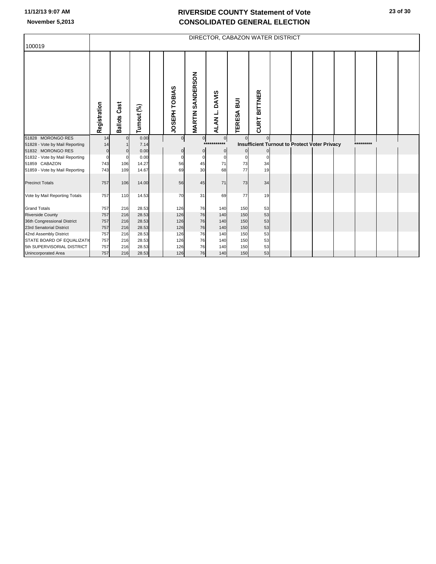| 100019                                              |              |                        |              |                |                         |                                  |                                 | DIRECTOR, CABAZON WATER DISTRICT                     |  |  |           |  |
|-----------------------------------------------------|--------------|------------------------|--------------|----------------|-------------------------|----------------------------------|---------------------------------|------------------------------------------------------|--|--|-----------|--|
|                                                     | Registration | Cast<br><b>Ballots</b> | Turnout (%)  | JOSEPH TOBIAS  | <b>MARTIN SANDERSON</b> | <b>DAVIS</b><br>ALAN L.          | $\overline{a}$<br><b>TERESA</b> | <b>BITTNER</b><br><b>CURT</b>                        |  |  |           |  |
| 51828 MORONGO RES                                   | 14           | $\overline{0}$         | 0.00         | $\overline{0}$ | $\overline{0}$          | $\overline{0}$<br>$***$<br>$***$ | $\Omega$                        | $\mathbf 0$                                          |  |  | ********* |  |
| 51828 - Vote by Mail Reporting<br>51832 MORONGO RES | 14           |                        | 7.14<br>0.00 |                | $\pmb{0}$               | $\mathbf 0$                      |                                 | <b>Insufficient Turnout to Protect Voter Privacy</b> |  |  |           |  |
| 51832 - Vote by Mail Reporting                      |              | $\Omega$               | 0.00         |                | $\Omega$                | $\Omega$                         | 0                               | $\Omega$                                             |  |  |           |  |
| 51859 CABAZON                                       | 743          | 106                    | 14.27        | 56             | 45                      | 71                               | 73                              | 34                                                   |  |  |           |  |
| 51859 - Vote by Mail Reporting                      | 743          | 109                    | 14.67        | 69             | 30                      | 68                               | 77                              | 19                                                   |  |  |           |  |
| <b>Precinct Totals</b>                              | 757          | 106                    | 14.00        | 56             | 45                      | 71                               | 73                              | 34                                                   |  |  |           |  |
| Vote by Mail Reporting Totals                       | 757          | 110                    | 14.53        | 70             | 31                      | 69                               | 77                              | 19                                                   |  |  |           |  |
| <b>Grand Totals</b>                                 | 757          | 216                    | 28.53        | 126            | 76                      | 140                              | 150                             | 53                                                   |  |  |           |  |
| <b>Riverside County</b>                             | 757          | 216                    | 28.53        | 126            | 76                      | 140                              | 150                             | 53                                                   |  |  |           |  |
| 36th Congressional District                         | 757          | 216                    | 28.53        | 126            | 76                      | 140                              | 150                             | 53                                                   |  |  |           |  |
| 23rd Senatorial District                            | 757          | 216                    | 28.53        | 126            | 76                      | 140                              | 150                             | 53                                                   |  |  |           |  |
| 42nd Assembly District                              | 757          | 216                    | 28.53        | 126            | 76                      | 140                              | 150                             | 53                                                   |  |  |           |  |
| STATE BOARD OF EQUALIZATI                           | 757          | 216                    | 28.53        | 126            | 76                      | 140                              | 150                             | 53                                                   |  |  |           |  |
| 5th SUPERVISORIAL DISTRICT                          | 757          | 216                    | 28.53        | 126            | 76                      | 140                              | 150                             | 53                                                   |  |  |           |  |
| <b>Unincorporated Area</b>                          | 757          | 216                    | 28.53        | 126            | 76                      | 140                              | 150                             | 53                                                   |  |  |           |  |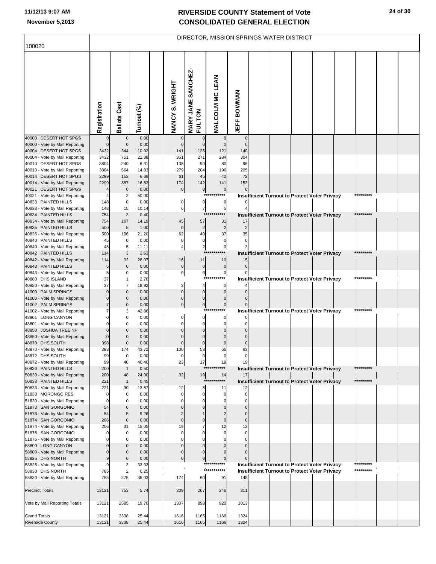| 100020                                                  |              |                                |               |                                |                                              |                                | DIRECTOR, MISSION SPRINGS WATER DISTRICT |  |                                                                                                              |                        |  |
|---------------------------------------------------------|--------------|--------------------------------|---------------|--------------------------------|----------------------------------------------|--------------------------------|------------------------------------------|--|--------------------------------------------------------------------------------------------------------------|------------------------|--|
|                                                         |              |                                |               |                                |                                              |                                |                                          |  |                                                                                                              |                        |  |
|                                                         | Registration | Ballots Cast                   | Turnout (%)   | NANCY S. WRIGHT                | SANCHEZ<br><b>MARY JANE</b><br><b>FULTON</b> | <b>MALCOLM MC LEAN</b>         | <b>JEFF BOWMAN</b>                       |  |                                                                                                              |                        |  |
| 40000 DESERT HOT SPGS<br>40000 - Vote by Mail Reporting |              | $\bf{0}$<br>$\mathbf 0$        | 0.00<br>0.00  | $\Omega$                       | 0<br>$\mathbf{0}$                            | $\mathbf 0$<br>$\pmb{0}$       | $\Omega$<br>$\Omega$                     |  |                                                                                                              |                        |  |
| 40004 DESERT HOT SPGS                                   | 3432         | 344                            | 10.02         | 141                            | 125                                          | 121                            | 140                                      |  |                                                                                                              |                        |  |
| 40004 - Vote by Mail Reporting                          | 3432         | 751                            | 21.88         | 351                            | 271                                          | 284                            | 304                                      |  |                                                                                                              |                        |  |
| 40010 DESERT HOT SPGS<br>40010 - Vote by Mail Reporting | 3804<br>3804 | 240<br>564                     | 6.31<br>14.83 | 105<br>279                     | 90<br>204                                    | 80<br>196                      | 96<br>205                                |  |                                                                                                              |                        |  |
| 40014 DESERT HOT SPGS                                   | 2299         | 153                            | 6.66          | 61                             | 45                                           | 40                             | 72                                       |  |                                                                                                              |                        |  |
| 40014 - Vote by Mail Reporting                          | 2299         | 387                            | 16.83         | 174                            | 142                                          | 141                            | 153                                      |  |                                                                                                              |                        |  |
| 40021 DESERT HOT SPGS<br>40021 - Vote by Mail Reporting |              | $\pmb{0}$<br>$\overline{2}$    | 0.00<br>50.00 | $\mathbf 0$                    | $\overline{0}$                               | $\overline{0}$<br>*****<br>*** |                                          |  | <b>Insufficient Turnout to Protect Voter Privacy</b>                                                         | *********              |  |
| 40833 PAINTED HILLS                                     | 148          | $\mathbf 0$                    | 0.00          | 0                              | $\mathbf{0}$                                 | $\mathbf{0}$                   |                                          |  |                                                                                                              |                        |  |
| 40833 - Vote by Mail Reporting                          | 148          | 15                             | 10.14         | 6                              | $\overline{7}$                               | $5\overline{)}$                |                                          |  |                                                                                                              |                        |  |
| 40834 PAINTED HILLS                                     | 754          | 3                              | 0.40          |                                | **:                                          |                                |                                          |  | Insufficient Turnout to Protect Voter Privacy                                                                | *********              |  |
| 40834 - Vote by Mail Reporting<br>40835 PAINTED HILLS   | 754<br>500   | 107<br>5                       | 14.19<br>1.00 | 45<br>$\mathbf 0$              | 57<br>$\overline{2}$                         | 31<br>$\overline{c}$           | 17<br>$\overline{2}$                     |  |                                                                                                              |                        |  |
| 40835 - Vote by Mail Reporting                          | 500          | 106                            | 21.20         | 62                             | 40                                           | 37                             | 35                                       |  |                                                                                                              |                        |  |
| 40840 PAINTED HILLS                                     | 45           | $\pmb{0}$                      | 0.00          | 0                              | 0                                            | $\pmb{0}$                      | $\mathbf 0$                              |  |                                                                                                              |                        |  |
| 40840 - Vote by Mail Reporting                          | 45           | $\overline{5}$                 | 11.11         | 4                              | $\mathbf{2}$<br>$***$                        | $\overline{0}$                 |                                          |  |                                                                                                              |                        |  |
| 40842 PAINTED HILLS<br>40842 - Vote by Mail Reporting   | 114<br>114   | 3<br>32                        | 2.63<br>28.07 | 16                             | 11                                           | 10                             | 15                                       |  | Insufficient Turnout to Protect Voter Privacy                                                                |                        |  |
| 40843 PAINTED HILLS                                     | 5            | $\mathbf 0$                    | 0.00          | $\pmb{0}$                      | $\overline{0}$                               | $\overline{0}$                 | $\mathbf{0}$                             |  |                                                                                                              |                        |  |
| 40843 - Vote by Mail Reporting                          | 5            | 0                              | 0.00          | $\overline{0}$                 | $\overline{0}$                               | $\overline{0}$                 |                                          |  |                                                                                                              | *********              |  |
| 40880 DHS ISLAND<br>40880 - Vote by Mail Reporting      | 37<br>37     | 1<br>$\overline{7}$            | 2.70<br>18.92 | 3                              | 4                                            | ***<br>$\mathbf 0$             |                                          |  | Insufficient Turnout to Protect Voter Privacy                                                                |                        |  |
| 41000 PALM SPRINGS                                      |              | $\mathbf 0$                    | 0.00          | $\Omega$                       | $\overline{0}$                               | $\pmb{0}$                      |                                          |  |                                                                                                              |                        |  |
| 41000 - Vote by Mail Reporting                          |              | $\mathbf 0$                    | 0.00          | $\mathbf 0$                    | $\overline{0}$                               | $\pmb{0}$                      |                                          |  |                                                                                                              |                        |  |
| 41002 PALM SPRINGS                                      |              | $\mathbf 0$                    | 0.00          | $\mathbf 0$                    | 이                                            | $\overline{0}$<br>****<br>***  |                                          |  |                                                                                                              | *********              |  |
| 41002 - Vote by Mail Reporting<br>48801 LONG CANYON     |              | 3<br>0                         | 42.86<br>0.00 | 0                              | 0                                            | $\overline{0}$                 |                                          |  | Insufficient Turnout to Protect Voter Privacy                                                                |                        |  |
| 48801 - Vote by Mail Reporting                          |              | $\Omega$                       | 0.00          | $\mathbf 0$                    | $\Omega$                                     | $\mathbf 0$                    |                                          |  |                                                                                                              |                        |  |
| 48850 JOSHUA TREE NP                                    |              | $\mathbf 0$                    | 0.00          | U                              | $\Omega$                                     | $\pmb{0}$                      |                                          |  |                                                                                                              |                        |  |
| 48850 - Vote by Mail Reporting<br>48870 DHS SOUTH       | 398          | $\mathbf 0$<br>$\mathbf 0$     | 0.00<br>0.00  | U<br>U                         | $\Omega$<br>$\Omega$                         | $\pmb{0}$<br>$\pmb{0}$         | $\Omega$<br>$\Omega$                     |  |                                                                                                              |                        |  |
| 48870 - Vote by Mail Reporting                          | 398          | 174                            | 43.72         | 100                            | 53                                           | 66                             | 63                                       |  |                                                                                                              |                        |  |
| 48872 DHS SOUTH                                         | 99           |                                | 0.00          |                                |                                              |                                |                                          |  |                                                                                                              |                        |  |
| 48872 - Vote by Mail Reporting<br>50830 PAINTED HILLS   | 99<br>200    | 40<br>$\mathbf{1}$             | 40.40<br>0.50 | 23                             | 17                                           | 18                             | 19                                       |  | <b>Insufficient Turnout to Protect Voter Privacy</b>                                                         | *********              |  |
| 50830 - Vote by Mail Reporting                          | 200          | 48                             | 24.00         | 32                             | 10                                           | 14                             | 17                                       |  |                                                                                                              |                        |  |
| 50833 PAINTED HILLS                                     | 221          | $\mathbf{1}$                   | 0.45          |                                | $***$                                        |                                |                                          |  | <b>Insufficient Turnout to Protect Voter Privacy</b>                                                         | *********              |  |
| 50833 - Vote by Mail Reporting<br>51830 MORONGO RES     | 221<br>-0    | 30<br>0                        | 13.57<br>0.00 | 12<br>0                        | 8<br>0                                       | 11<br>0                        | 12<br>0                                  |  |                                                                                                              |                        |  |
| 51830 - Vote by Mail Reporting                          |              | $\Omega$                       | 0.00          | n                              | $\Omega$                                     | $\Omega$                       | $\Omega$                                 |  |                                                                                                              |                        |  |
| 51873 SAN GORGONIO                                      | 54           | $\pmb{0}$                      | 0.00          | 0                              | 0                                            | 0                              | $\Omega$                                 |  |                                                                                                              |                        |  |
| 51873 - Vote by Mail Reporting<br>51874 SAN GORGONIO    | 54<br>206    | 5<br>$\mathbf 0$               | 9.26<br>0.00  | $\overline{2}$<br>$\mathbf{0}$ | $\Omega$                                     | $\overline{c}$<br>$\pmb{0}$    | $\Omega$<br>$\mathbf 0$                  |  |                                                                                                              |                        |  |
| 51874 - Vote by Mail Reporting                          | 206          | 31                             | 15.05         | 19                             |                                              | 12                             | 12                                       |  |                                                                                                              |                        |  |
| 51876 SAN GORGONIO                                      |              | 0                              | 0.00          | 0                              | $\Omega$                                     | 0                              | 0                                        |  |                                                                                                              |                        |  |
| 51876 - Vote by Mail Reporting                          |              | $\Omega$                       | 0.00          | n                              | $\Omega$<br>$\mathbf 0$                      | $\mathbf 0$                    | $\Omega$<br>O                            |  |                                                                                                              |                        |  |
| 58800 LONG CANYON<br>58800 - Vote by Mail Reporting     |              | $\bf{0}$<br>$\mathbf 0$        | 0.00<br>0.00  | 0<br>0                         | $\Omega$                                     | $\mathbf 0$<br>$\mathbf 0$     |                                          |  |                                                                                                              |                        |  |
| 58825 DHS NORTH                                         |              | $\pmb{0}$                      | 0.00          | $\mathbf 0$                    | $\overline{0}$                               | $\overline{0}$                 |                                          |  |                                                                                                              |                        |  |
| 58825 - Vote by Mail Reporting                          |              | 3                              | 33.33         |                                |                                              | ***********<br>***********     |                                          |  | <b>Insufficient Turnout to Protect Voter Privacy</b><br><b>Insufficient Turnout to Protect Voter Privacy</b> | *********<br>********* |  |
| 58830 DHS NORTH<br>58830 - Vote by Mail Reporting       | 785<br>785   | $\overline{\mathbf{c}}$<br>275 | 0.25<br>35.03 | 174                            | 60                                           | 91                             | 148                                      |  |                                                                                                              |                        |  |
|                                                         |              |                                |               |                                |                                              |                                |                                          |  |                                                                                                              |                        |  |
| <b>Precinct Totals</b>                                  | 13121        | 753                            | 5.74          | 309                            | 267                                          | 246                            | 311                                      |  |                                                                                                              |                        |  |
| Vote by Mail Reporting Totals                           | 13121        | 2585                           | 19.70         | 1307                           | 898                                          | 920                            | 1013                                     |  |                                                                                                              |                        |  |
|                                                         |              |                                |               |                                |                                              |                                |                                          |  |                                                                                                              |                        |  |
| <b>Grand Totals</b>                                     | 13121        | 3338                           | 25.44         | 1616                           | 1165                                         | 1166                           | 1324                                     |  |                                                                                                              |                        |  |
| <b>Riverside County</b>                                 | 13121        | 3338                           | 25.44         | 1616                           | 1165                                         | 1166                           | 1324                                     |  |                                                                                                              |                        |  |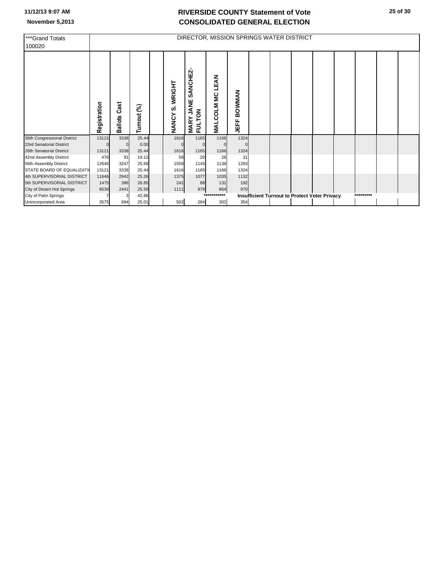| ***Grand Totals<br>100020   |              |                        |             |                                            |                                                        | DIRECTOR, MISSION SPRINGS WATER DISTRICT |                       |  |                                                      |           |  |
|-----------------------------|--------------|------------------------|-------------|--------------------------------------------|--------------------------------------------------------|------------------------------------------|-----------------------|--|------------------------------------------------------|-----------|--|
|                             | Registration | Cast<br><b>Ballots</b> | Turnout (%) | <b>WRIGHT</b><br><b>ဟဲ</b><br><b>NANCY</b> | SANCHEZ<br>٣<br>⋖<br><b>FULTON</b><br>っ<br><b>MARY</b> | LEAN<br>MALCOLM <sub>MC</sub>            | <b>BOWMAN</b><br>JEFF |  |                                                      |           |  |
| 36th Congressional District | 13121        | 3338                   | 25.44       | 1616                                       | 1165                                                   | 1166                                     | 1324                  |  |                                                      |           |  |
| 23rd Senatorial District    |              | $\Omega$               | 0.00        | $\Omega$                                   | $\Omega$                                               |                                          |                       |  |                                                      |           |  |
| 28th Senatorial District    | 13121        | 3338                   | 25.44       | 1616                                       | 1165                                                   | 1166                                     | 1324                  |  |                                                      |           |  |
| 42nd Assembly District      | 476          | 91                     | 19.12       | 58                                         | 20                                                     | 28                                       | 31                    |  |                                                      |           |  |
| 56th Assembly District      | 12645        | 3247                   | 25.68       | 1558                                       | 1145                                                   | 1138                                     | 1293                  |  |                                                      |           |  |
| STATE BOARD OF EQUALIZATION | 13121        | 3338                   | 25.44       | 1616                                       | 1165                                                   | 1166                                     | 1324                  |  |                                                      |           |  |
| 4th SUPERVISORIAL DISTRICT  | 11646        | 2942                   | 25.26       | 1375                                       | 1077                                                   | 1035                                     | 1132                  |  |                                                      |           |  |
| 5th SUPERVISORIAL DISTRICT  | 1475         | 396                    | 26.85       | 241                                        | 88                                                     | 131                                      | 192                   |  |                                                      |           |  |
| City of Desert Hot Springs  | 9539         | 2441                   | 25.59       | 1111                                       | 879                                                    | 864                                      | 970                   |  |                                                      |           |  |
| City of Palm Springs        |              |                        | 42.86       |                                            |                                                        | *******<br>***:                          |                       |  | <b>Insufficient Turnout to Protect Voter Privacy</b> | ********* |  |
| Unincorporated Area         | 3575         | 894                    | 25.01       | 502                                        | 284                                                    | 302                                      | 354                   |  |                                                      |           |  |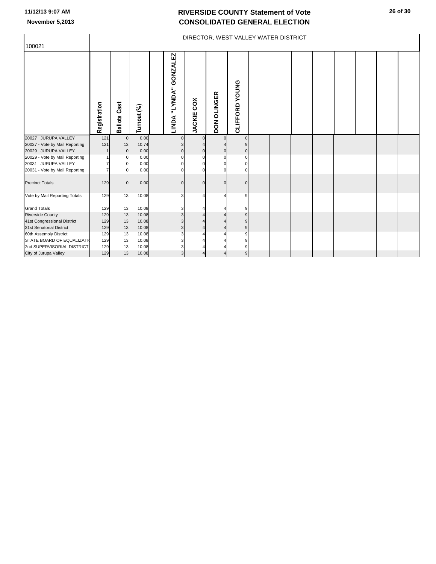|                                |              |                 |             |                        |                   | DIRECTOR, WEST VALLEY WATER DISTRICT |                |  |  |  |  |
|--------------------------------|--------------|-----------------|-------------|------------------------|-------------------|--------------------------------------|----------------|--|--|--|--|
| 100021                         |              |                 |             |                        |                   |                                      |                |  |  |  |  |
|                                | Registration | Cast<br>Ballots | Turnout (%) | LINDA "LYNDA" GONZALEZ | <b>JACKIE COX</b> | DON OLINGER                          | CLIFFORD YOUNG |  |  |  |  |
| 20027 JURUPA VALLEY            | 121          | $\mathbf 0$     | 0.00        |                        | $\Omega$          | $\Omega$                             | $\Omega$       |  |  |  |  |
| 20027 - Vote by Mail Reporting | 121          | 13              | 10.74       |                        |                   |                                      |                |  |  |  |  |
| 20029 JURUPA VALLEY            |              | $\mathbf{0}$    | 0.00        |                        |                   | C                                    | $\Omega$       |  |  |  |  |
| 20029 - Vote by Mail Reporting |              | $\Omega$        | 0.00        |                        |                   | $\Omega$                             | $\Omega$       |  |  |  |  |
| 20031 JURUPA VALLEY            |              |                 | 0.00        |                        |                   |                                      |                |  |  |  |  |
| 20031 - Vote by Mail Reporting |              |                 | 0.00        |                        |                   |                                      |                |  |  |  |  |
| <b>Precinct Totals</b>         | 129          | $\Omega$        | 0.00        |                        | $\Omega$          | $\Omega$                             |                |  |  |  |  |
| Vote by Mail Reporting Totals  | 129          | 13              | 10.08       | З                      |                   | Δ                                    | 9              |  |  |  |  |
| <b>Grand Totals</b>            | 129          | 13              | 10.08       |                        |                   |                                      |                |  |  |  |  |
| <b>Riverside County</b>        | 129          | 13              | 10.08       |                        |                   |                                      |                |  |  |  |  |
| 41st Congressional District    | 129          | 13              | 10.08       |                        |                   |                                      |                |  |  |  |  |
| 31st Senatorial District       | 129          | 13              | 10.08       |                        |                   |                                      | 9              |  |  |  |  |
| 60th Assembly District         | 129          | 13              | 10.08       |                        |                   |                                      | q              |  |  |  |  |
| STATE BOARD OF EQUALIZATI      | 129          | 13              | 10.08       |                        |                   |                                      |                |  |  |  |  |
| 2nd SUPERVISORIAL DISTRICT     | 129          | 13              | 10.08       |                        |                   |                                      |                |  |  |  |  |
| City of Jurupa Valley          | 129          | 13              | 10.08       | 3                      |                   |                                      | 9              |  |  |  |  |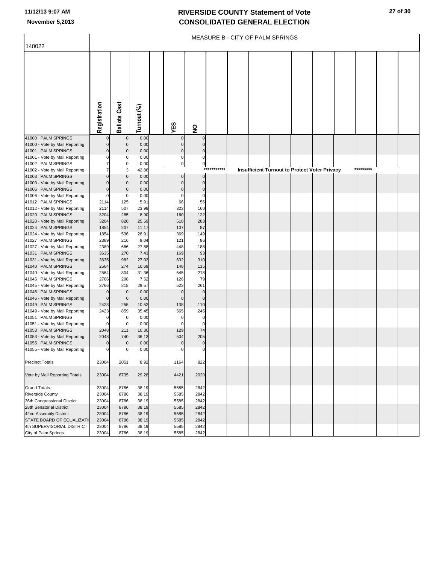|                                |              |                     |             |                |                         | MEASURE B - CITY OF PALM SPRINGS |  |                                               |           |  |
|--------------------------------|--------------|---------------------|-------------|----------------|-------------------------|----------------------------------|--|-----------------------------------------------|-----------|--|
| 140022                         |              |                     |             |                |                         |                                  |  |                                               |           |  |
|                                |              |                     |             |                |                         |                                  |  |                                               |           |  |
|                                |              |                     |             |                |                         |                                  |  |                                               |           |  |
|                                |              |                     |             |                |                         |                                  |  |                                               |           |  |
|                                |              |                     |             |                |                         |                                  |  |                                               |           |  |
|                                |              |                     |             |                |                         |                                  |  |                                               |           |  |
|                                |              |                     |             |                |                         |                                  |  |                                               |           |  |
|                                |              |                     |             |                |                         |                                  |  |                                               |           |  |
|                                |              |                     |             |                |                         |                                  |  |                                               |           |  |
|                                |              |                     |             |                |                         |                                  |  |                                               |           |  |
|                                |              |                     |             |                |                         |                                  |  |                                               |           |  |
|                                |              |                     |             |                |                         |                                  |  |                                               |           |  |
|                                |              |                     |             |                |                         |                                  |  |                                               |           |  |
|                                | Registration | <b>Ballots Cast</b> | Turnout (%) | YES            | $\overline{\mathbf{z}}$ |                                  |  |                                               |           |  |
| 41000 PALM SPRINGS             |              | $\mathbf{C}$        | 0.00        |                | $\Omega$                |                                  |  |                                               |           |  |
| 41000 - Vote by Mail Reporting |              | $\mathbf 0$         | 0.00        | $\mathbf 0$    | $\Omega$                |                                  |  |                                               |           |  |
| 41001 PALM SPRINGS             |              | $\mathbf 0$         | 0.00        | $\bf 0$        | $\mathbf 0$             |                                  |  |                                               |           |  |
| 41001 - Vote by Mail Reporting |              | C                   | 0.00        | $\mathbf 0$    | $\mathbf 0$             |                                  |  |                                               |           |  |
| 41002 PALM SPRINGS             |              | C                   | 0.00        | $\overline{0}$ | $\overline{0}$          |                                  |  |                                               |           |  |
| 41002 - Vote by Mail Reporting |              | З                   | 42.86       |                | $***$                   |                                  |  | Insufficient Turnout to Protect Voter Privacy | ********* |  |
| 41003 PALM SPRINGS             |              | O                   | 0.00        | $\mathbf 0$    | $\pmb{0}$               |                                  |  |                                               |           |  |
| 41003 - Vote by Mail Reporting |              | $\mathbf 0$         | 0.00        | $\mathbf 0$    | $\mathbf 0$             |                                  |  |                                               |           |  |
| 41006 PALM SPRINGS             | 0            | O                   | 0.00        | $\mathbf 0$    | $\mathbf 0$             |                                  |  |                                               |           |  |
| 41006 - Vote by Mail Reporting |              | C                   | 0.00        | $\mathbf 0$    | $\mathbf 0$             |                                  |  |                                               |           |  |
| 41012 PALM SPRINGS             | 2114         | 125                 | 5.91        | 66             | 56                      |                                  |  |                                               |           |  |
| 41012 - Vote by Mail Reporting | 2114         | 507                 | 23.98       | 323            | 160                     |                                  |  |                                               |           |  |
| 41020 PALM SPRINGS             | 3204         | 285                 | 8.90        | 160            | 122                     |                                  |  |                                               |           |  |
| 41020 - Vote by Mail Reporting | 3204         | 820                 | 25.59       | 510            | 283                     |                                  |  |                                               |           |  |
| 41024 PALM SPRINGS             | 1854         | 207                 | 11.17       | 107            | 87                      |                                  |  |                                               |           |  |
| 41024 - Vote by Mail Reporting | 1854         | 536                 | 28.91       | 369            | 149                     |                                  |  |                                               |           |  |
| 41027 PALM SPRINGS             | 2389         | 216                 | 9.04        | 121            | 86                      |                                  |  |                                               |           |  |
| 41027 - Vote by Mail Reporting | 2389         | 666                 | 27.88       | 448            | 188                     |                                  |  |                                               |           |  |
| 41031 PALM SPRINGS             | 3635         | 270                 | 7.43        | 169            | 93                      |                                  |  |                                               |           |  |
| 41031 - Vote by Mail Reporting | 3635         | 982                 | 27.02       | 632            | 310                     |                                  |  |                                               |           |  |
| 41040 PALM SPRINGS             | 2564         | 274                 | 10.69       | 148            | 115                     |                                  |  |                                               |           |  |
| 41040 - Vote by Mail Reporting | 2564         | 804                 | 31.36       | 545            | 218                     |                                  |  |                                               |           |  |
| 41045 PALM SPRINGS             | 2766         | 208                 | 7.52        | 126            | 79                      |                                  |  |                                               |           |  |
| 41045 - Vote by Mail Reporting | 2766         | 818                 | 29.57       | 523            | 261                     |                                  |  |                                               |           |  |
| 41046 PALM SPRINGS             |              | $\mathbf 0$         | 0.00        | $\mathbf 0$    | $\mathbf 0$             |                                  |  |                                               |           |  |
| 41046 - Vote by Mail Reporting | $\Omega$     | $\mathbf 0$         | 0.00        | $\overline{0}$ | $\mathbf 0$             |                                  |  |                                               |           |  |
| 41049 PALM SPRINGS             | 2423         | 255                 | 10.52       | 138            | 110                     |                                  |  |                                               |           |  |
| 41049 - Vote by Mail Reporting | 2423         | 859                 | 35.45       | 565            | 245                     |                                  |  |                                               |           |  |
| 41051 PALM SPRINGS             |              | $\mathbf 0$         | 0.00        | 0              | 0                       |                                  |  |                                               |           |  |
| 41051 - Vote by Mail Reporting |              | $\mathbf 0$         | 0.00        | $\Omega$       | $\Omega$                |                                  |  |                                               |           |  |
| 41053 PALM SPRINGS             | 2048         | 211                 | 10.30       | 129            | 74                      |                                  |  |                                               |           |  |
| 41053 - Vote by Mail Reporting | 2048         | 740                 | 36.13       | 504            | 205                     |                                  |  |                                               |           |  |
| 41055 PALM SPRINGS             | 0            | $\mathbf 0$         | 0.00        | $\pmb{0}$      | $\pmb{0}$               |                                  |  |                                               |           |  |
| 41055 - Vote by Mail Reporting | $\mathbf 0$  | $\mathbf 0$         | 0.00        | $\mathbf{0}$   | $\mathbf 0$             |                                  |  |                                               |           |  |
|                                |              |                     |             |                |                         |                                  |  |                                               |           |  |
| <b>Precinct Totals</b>         | 23004        | 2051                | 8.92        | 1164           | 822                     |                                  |  |                                               |           |  |
|                                |              |                     |             |                |                         |                                  |  |                                               |           |  |
| Vote by Mail Reporting Totals  | 23004        | 6735                | 29.28       | 4421           | 2020                    |                                  |  |                                               |           |  |
|                                |              |                     |             |                |                         |                                  |  |                                               |           |  |
| <b>Grand Totals</b>            | 23004        | 8786                | 38.19       | 5585           | 2842                    |                                  |  |                                               |           |  |
| <b>Riverside County</b>        | 23004        | 8786                | 38.19       | 5585           | 2842                    |                                  |  |                                               |           |  |
| 36th Congressional District    | 23004        | 8786                | 38.19       | 5585           | 2842                    |                                  |  |                                               |           |  |
| 28th Senatorial District       | 23004        | 8786                | 38.19       | 5585           | 2842                    |                                  |  |                                               |           |  |
| 42nd Assembly District         | 23004        | 8786                | 38.19       | 5585           | 2842                    |                                  |  |                                               |           |  |
| STATE BOARD OF EQUALIZATI      | 23004        | 8786                | 38.19       | 5585           | 2842                    |                                  |  |                                               |           |  |
| 4th SUPERVISORIAL DISTRICT     | 23004        | 8786                | 38.19       | 5585           | 2842                    |                                  |  |                                               |           |  |
| City of Palm Springs           | 23004        | 8786                | 38.19       | 5585           | 2842                    |                                  |  |                                               |           |  |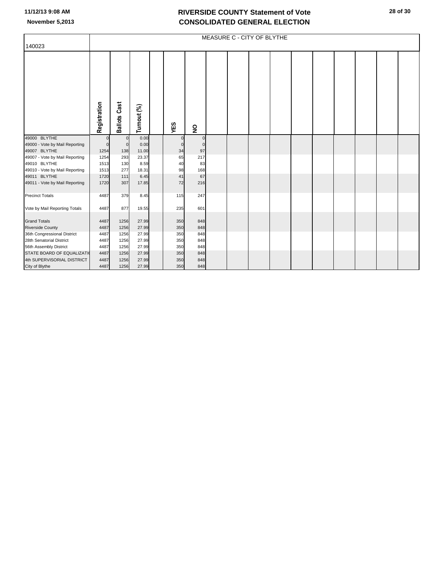|                                |              |                     |             |             |                         | MEASURE C - CITY OF BLYTHE |  |  |  |  |
|--------------------------------|--------------|---------------------|-------------|-------------|-------------------------|----------------------------|--|--|--|--|
| 140023                         |              |                     |             |             |                         |                            |  |  |  |  |
|                                | Registration | <b>Ballots Cast</b> | Turnout (%) | YES         | $\overline{\mathbf{z}}$ |                            |  |  |  |  |
| 49000 BLYTHE                   |              | $\mathbf 0$         | 0.00        | $\mathbf 0$ |                         |                            |  |  |  |  |
| 49000 - Vote by Mail Reporting | $\Omega$     | $\mathbf{0}$        | 0.00        | $\Omega$    | $\Omega$                |                            |  |  |  |  |
| 49007 BLYTHE                   | 1254         | 138                 | 11.00       | 34          | 97                      |                            |  |  |  |  |
| 49007 - Vote by Mail Reporting | 1254         | 293                 | 23.37       | 65          | 217                     |                            |  |  |  |  |
| 49010 BLYTHE                   | 1513         | 130                 | 8.59        | 40          | 83                      |                            |  |  |  |  |
| 49010 - Vote by Mail Reporting | 1513         | 277                 | 18.31       | 98          | 168                     |                            |  |  |  |  |
| 49011 BLYTHE                   | 1720         | 111                 | 6.45        | 41          | 67                      |                            |  |  |  |  |
| 49011 - Vote by Mail Reporting | 1720         | 307                 | 17.85       | 72          | 216                     |                            |  |  |  |  |
| <b>Precinct Totals</b>         | 4487         | 379                 | 8.45        | 115         | 247                     |                            |  |  |  |  |
| Vote by Mail Reporting Totals  | 4487         | 877                 | 19.55       | 235         | 601                     |                            |  |  |  |  |
| <b>Grand Totals</b>            | 4487         | 1256                | 27.99       | 350         | 848                     |                            |  |  |  |  |
| <b>Riverside County</b>        | 4487         | 1256                | 27.99       | 350         | 848                     |                            |  |  |  |  |
| 36th Congressional District    | 4487         | 1256                | 27.99       | 350         | 848                     |                            |  |  |  |  |
| 28th Senatorial District       | 4487         | 1256                | 27.99       | 350         | 848                     |                            |  |  |  |  |
| 56th Assembly District         | 4487         | 1256                | 27.99       | 350         | 848                     |                            |  |  |  |  |
| STATE BOARD OF EQUALIZATI      | 4487         | 1256                | 27.99       | 350         | 848                     |                            |  |  |  |  |
| 4th SUPERVISORIAL DISTRICT     | 4487         | 1256                | 27.99       | 350         | 848                     |                            |  |  |  |  |
| City of Blythe                 | 4487         | 1256                | 27.99       | 350         | 848                     |                            |  |  |  |  |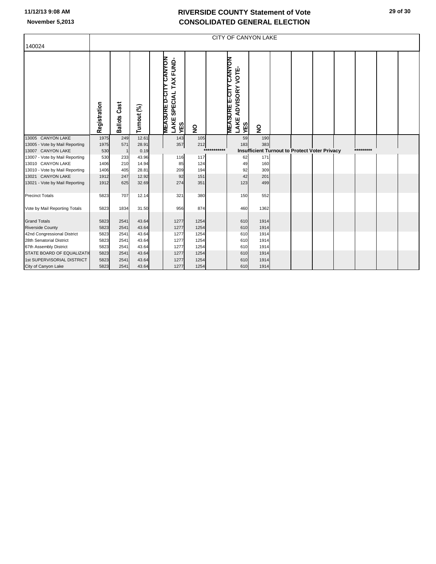|                                |              |                 |             |                                                                               |                                |             | <b>CITY OF CANYON LAKE</b>                                               |                                                      |  |  |           |  |
|--------------------------------|--------------|-----------------|-------------|-------------------------------------------------------------------------------|--------------------------------|-------------|--------------------------------------------------------------------------|------------------------------------------------------|--|--|-----------|--|
| 140024                         |              |                 |             |                                                                               |                                |             |                                                                          |                                                      |  |  |           |  |
|                                | Registration | Cast<br>Ballots | Turnout (%) | <b>CANYON</b><br>TAX FUND-<br><b>MEASURE D-CITY</b><br>SPECIAL<br><b>LAKE</b> | YES<br>$\overline{\mathbf{z}}$ |             | <b>UANYON</b><br>ADVISORY VOTE-<br><b>MEASURE E-CITY</b><br>LAKE.<br>YES | $\overline{\mathbf{z}}$                              |  |  |           |  |
| 13005 CANYON LAKE              | 1975         | 249             | 12.61       |                                                                               | 143<br>105                     |             | 59                                                                       | 190                                                  |  |  |           |  |
| 13005 - Vote by Mail Reporting | 1975         | 571             | 28.91       |                                                                               | 357<br>212                     |             | 183                                                                      | 383                                                  |  |  |           |  |
| 13007 CANYON LAKE              | 530          | $\overline{1}$  | 0.19        |                                                                               |                                | *********** |                                                                          | <b>Insufficient Turnout to Protect Voter Privacy</b> |  |  | ********* |  |
| 13007 - Vote by Mail Reporting | 530          | 233             | 43.96       |                                                                               | 117<br>116                     |             | 62                                                                       | 171                                                  |  |  |           |  |
| 13010 CANYON LAKE              | 1406         | 210             | 14.94       |                                                                               | 124<br>85                      |             | 49                                                                       | 160                                                  |  |  |           |  |
| 13010 - Vote by Mail Reporting | 1406         | 405             | 28.81       |                                                                               | 209<br>194                     |             | 92                                                                       | 309                                                  |  |  |           |  |
| 13021 CANYON LAKE              | 1912         | 247             | 12.92       |                                                                               | 92<br>151                      |             | 42                                                                       | 201                                                  |  |  |           |  |
| 13021 - Vote by Mail Reporting | 1912         | 625             | 32.69       |                                                                               | 274<br>351                     |             | 123                                                                      | 499                                                  |  |  |           |  |
| <b>Precinct Totals</b>         | 5823         | 707             | 12.14       |                                                                               | 380<br>321                     |             | 150                                                                      | 552                                                  |  |  |           |  |
| Vote by Mail Reporting Totals  | 5823         | 1834            | 31.50       |                                                                               | 956<br>874                     |             | 460                                                                      | 1362                                                 |  |  |           |  |
| <b>Grand Totals</b>            | 5823         | 2541            | 43.64       | 1277                                                                          | 1254                           |             | 610                                                                      | 1914                                                 |  |  |           |  |
| <b>Riverside County</b>        | 5823         | 2541            | 43.64       | 1277                                                                          | 1254                           |             | 610                                                                      | 1914                                                 |  |  |           |  |
| 42nd Congressional District    | 5823         | 2541            | 43.64       | 1277                                                                          | 1254                           |             | 610                                                                      | 1914                                                 |  |  |           |  |
| 28th Senatorial District       | 5823         | 2541            | 43.64       | 1277                                                                          | 1254                           |             | 610                                                                      | 1914                                                 |  |  |           |  |
| 67th Assembly District         | 5823         | 2541            | 43.64       | 1277                                                                          | 1254                           |             | 610                                                                      | 1914                                                 |  |  |           |  |
| STATE BOARD OF EQUALIZATI      | 5823         | 2541            | 43.64       | 1277                                                                          | 1254                           |             | 610                                                                      | 1914                                                 |  |  |           |  |
| 1st SUPERVISORIAL DISTRICT     | 5823         | 2541            | 43.64       | 1277                                                                          | 1254                           |             | 610                                                                      | 1914                                                 |  |  |           |  |
| City of Canyon Lake            | 5823         | 2541            | 43.64       | 1277                                                                          | 1254                           |             | 610                                                                      | 1914                                                 |  |  |           |  |